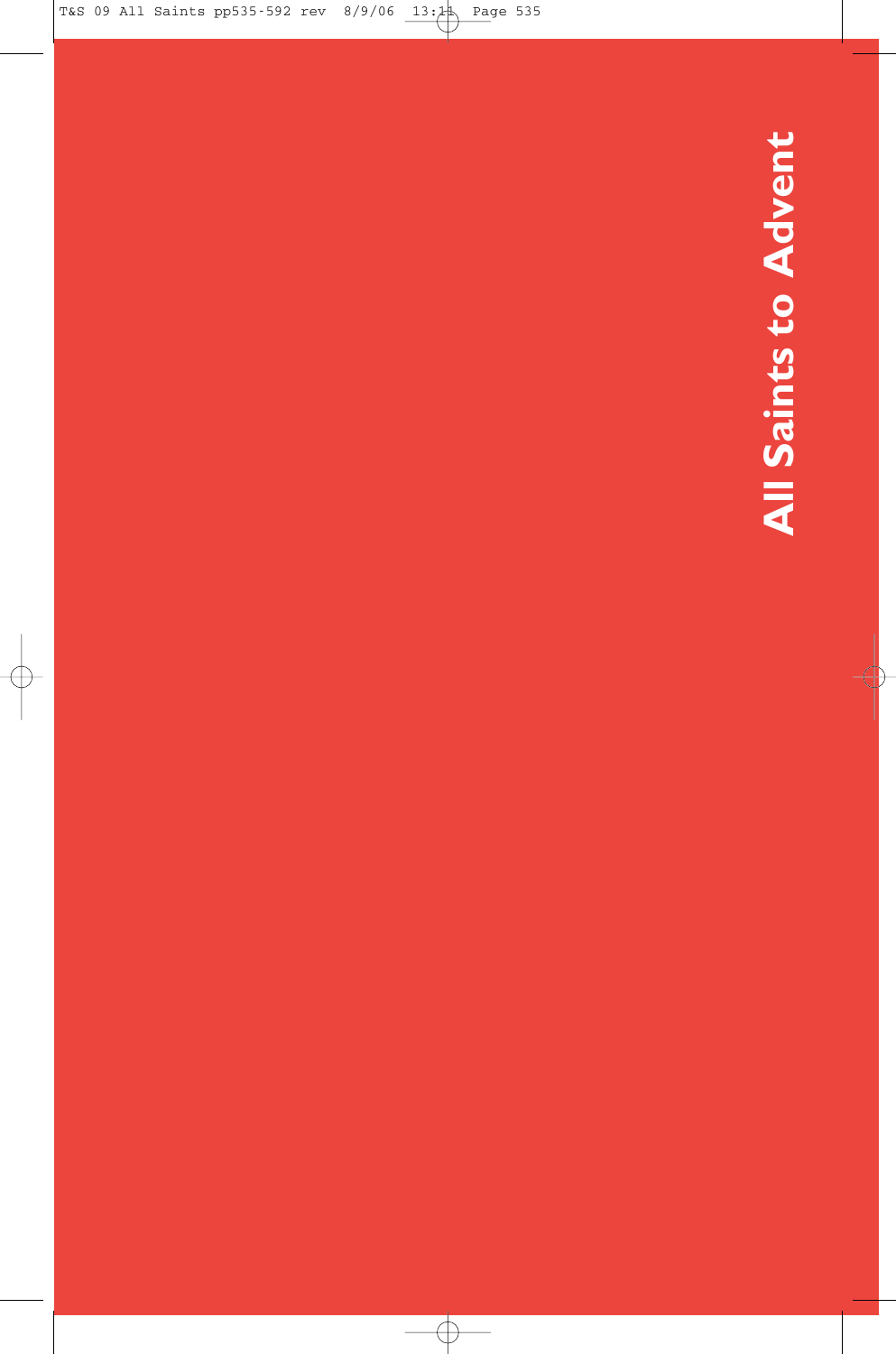All Saints to Advent **All Saints to Advent**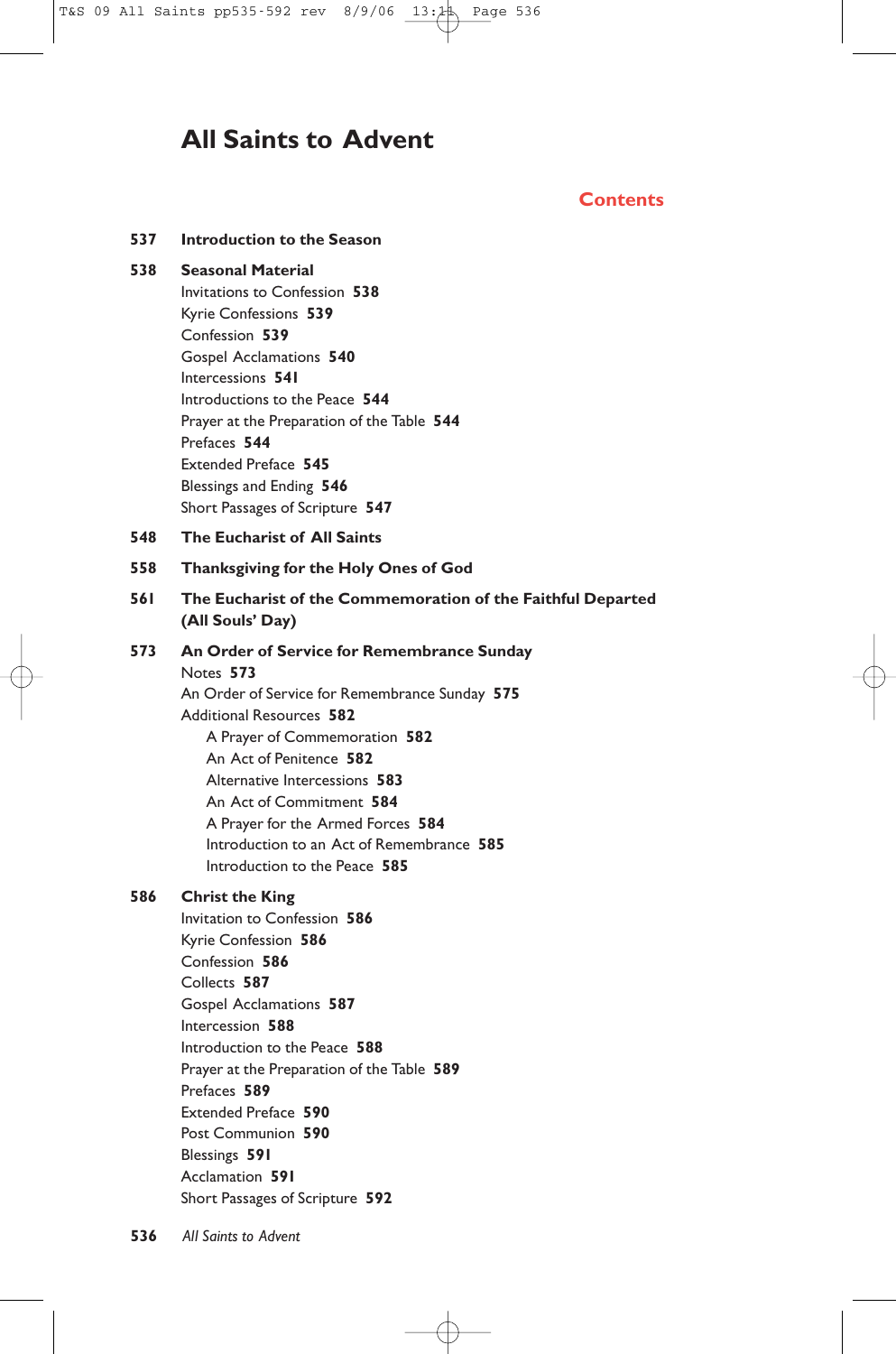# **All Saints to Advent**

# **Contents**

| 537 | Introduction to the Season                                                                                                                                                                                                                                                                                                                                                                 |
|-----|--------------------------------------------------------------------------------------------------------------------------------------------------------------------------------------------------------------------------------------------------------------------------------------------------------------------------------------------------------------------------------------------|
| 538 | <b>Seasonal Material</b><br>Invitations to Confession 538<br>Kyrie Confessions 539<br>Confession 539<br>Gospel Acclamations 540<br>Intercessions 541<br>Introductions to the Peace 544<br>Prayer at the Preparation of the Table 544<br>Prefaces 544<br><b>Extended Preface 545</b><br>Blessings and Ending 546<br>Short Passages of Scripture 547                                         |
| 548 | <b>The Eucharist of All Saints</b>                                                                                                                                                                                                                                                                                                                                                         |
| 558 | Thanksgiving for the Holy Ones of God                                                                                                                                                                                                                                                                                                                                                      |
| 561 | The Eucharist of the Commemoration of the Faithful Departed<br>(All Souls' Day)                                                                                                                                                                                                                                                                                                            |
| 573 | An Order of Service for Remembrance Sunday<br>Notes 573<br>An Order of Service for Remembrance Sunday 575<br><b>Additional Resources 582</b><br>A Prayer of Commemoration 582<br>An Act of Penitence 582<br>Alternative Intercessions 583<br>An Act of Commitment 584<br>A Prayer for the Armed Forces 584<br>Introduction to an Act of Remembrance 585<br>Introduction to the Peace 585   |
| 586 | <b>Christ the King</b><br>Invitation to Confession 586<br>Kyrie Confession 586<br>Confession 586<br>Collects 587<br>Gospel Acclamations 587<br>Intercession 588<br>Introduction to the Peace 588<br>Prayer at the Preparation of the Table 589<br>Prefaces 589<br><b>Extended Preface 590</b><br>Post Communion 590<br>Blessings 591<br>Acclamation 591<br>Short Passages of Scripture 592 |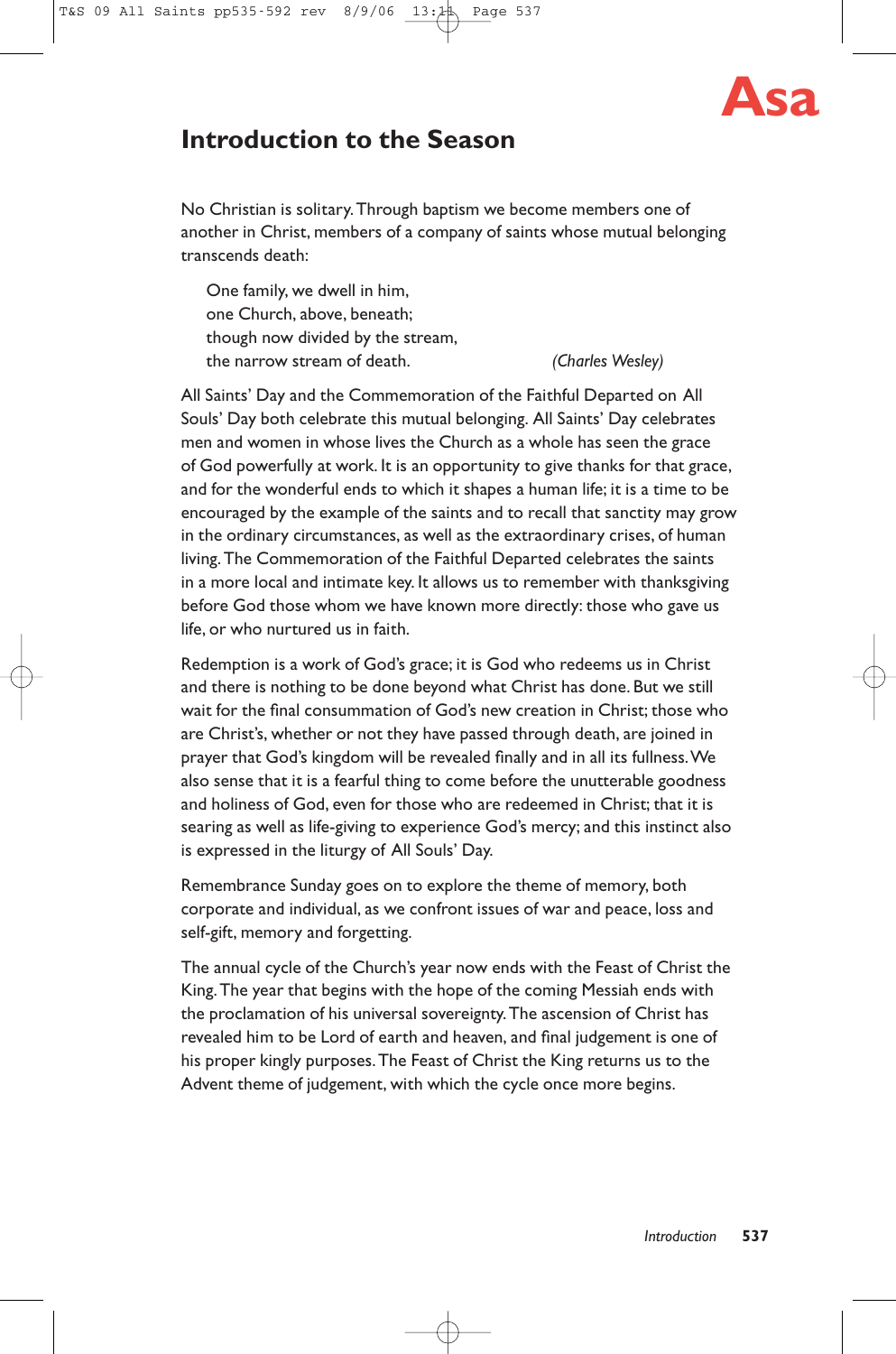

# **Introduction to the Season**

No Christian is solitary.Through baptism we become members one of another in Christ, members of a company of saints whose mutual belonging transcends death:

One family, we dwell in him, one Church, above, beneath; though now divided by the stream, the narrow stream of death. *(Charles Wesley)*

All Saints' Day and the Commemoration of the Faithful Departed on All Souls' Day both celebrate this mutual belonging. All Saints' Day celebrates men and women in whose lives the Church as a whole has seen the grace of God powerfully at work. It is an opportunity to give thanks for that grace, and for the wonderful ends to which it shapes a human life; it is a time to be encouraged by the example of the saints and to recall that sanctity may grow in the ordinary circumstances, as well as the extraordinary crises, of human living.The Commemoration of the Faithful Departed celebrates the saints in a more local and intimate key. It allows us to remember with thanksgiving before God those whom we have known more directly: those who gave us life, or who nurtured us in faith.

Redemption is a work of God's grace; it is God who redeems us in Christ and there is nothing to be done beyond what Christ has done. But we still wait for the final consummation of God's new creation in Christ; those who are Christ's, whether or not they have passed through death, are joined in prayer that God's kingdom will be revealed finally and in all its fullness.We also sense that it is a fearful thing to come before the unutterable goodness and holiness of God, even for those who are redeemed in Christ; that it is searing as well as life-giving to experience God's mercy; and this instinct also is expressed in the liturgy of All Souls' Day.

Remembrance Sunday goes on to explore the theme of memory, both corporate and individual, as we confront issues of war and peace, loss and self-gift, memory and forgetting.

The annual cycle of the Church's year now ends with the Feast of Christ the King.The year that begins with the hope of the coming Messiah ends with the proclamation of his universal sovereignty.The ascension of Christ has revealed him to be Lord of earth and heaven, and final judgement is one of his proper kingly purposes.The Feast of Christ the King returns us to the Advent theme of judgement, with which the cycle once more begins.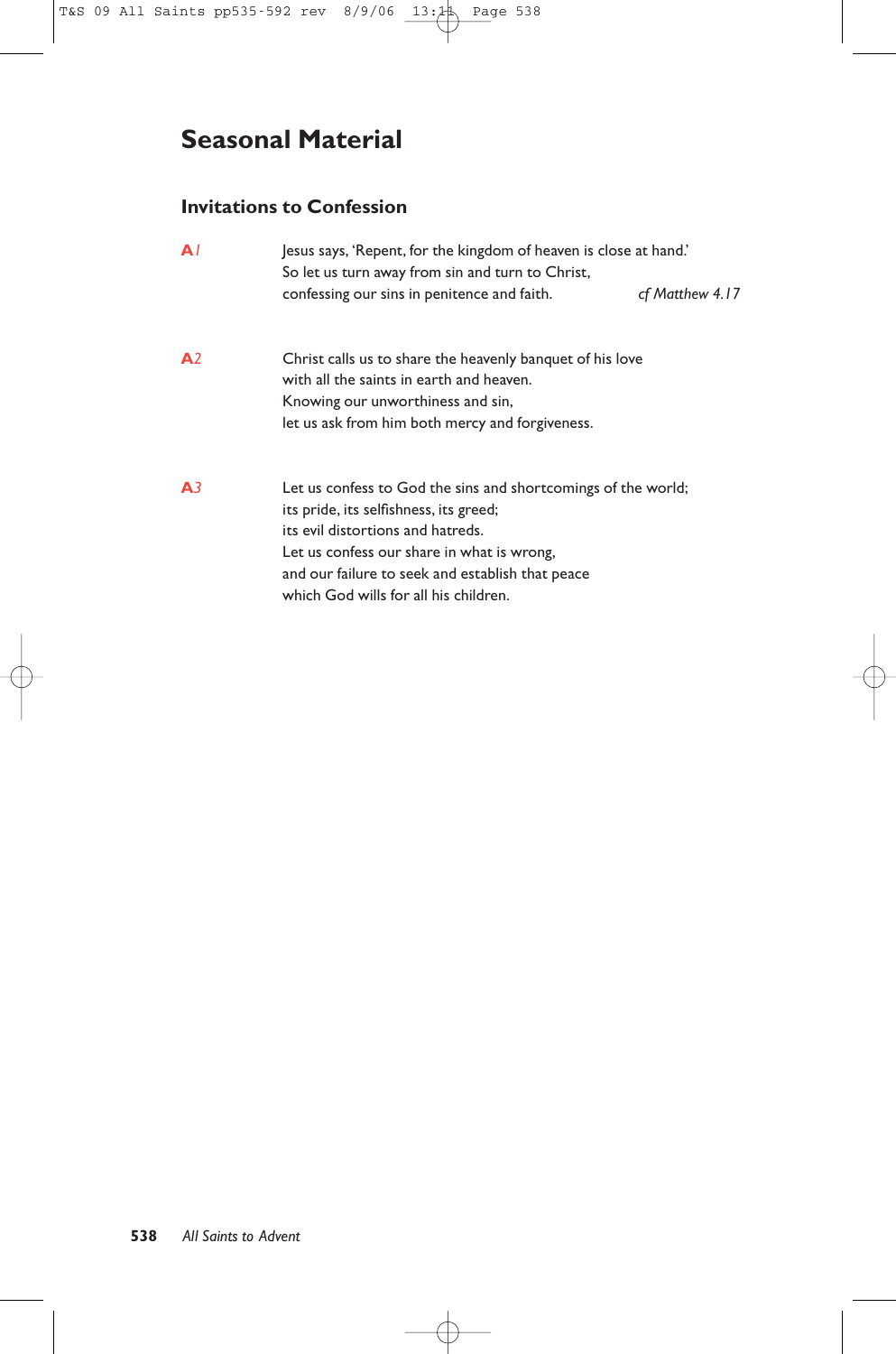# **Seasonal Material**

# **Invitations to Confession**

| $\mathbf{A}$   | Jesus says, 'Repent, for the kingdom of heaven is close at hand.'<br>So let us turn away from sin and turn to Christ,                                                                                                                                                                   |                 |  |
|----------------|-----------------------------------------------------------------------------------------------------------------------------------------------------------------------------------------------------------------------------------------------------------------------------------------|-----------------|--|
|                | confessing our sins in penitence and faith.                                                                                                                                                                                                                                             | cf Matthew 4.17 |  |
| A <sub>2</sub> | Christ calls us to share the heavenly banguet of his love<br>with all the saints in earth and heaven.<br>Knowing our unworthiness and sin,<br>let us ask from him both mercy and forgiveness.                                                                                           |                 |  |
| A <sub>3</sub> | Let us confess to God the sins and shortcomings of the world;<br>its pride, its selfishness, its greed;<br>its evil distortions and hatreds.<br>Let us confess our share in what is wrong,<br>and our failure to seek and establish that peace<br>which God wills for all his children. |                 |  |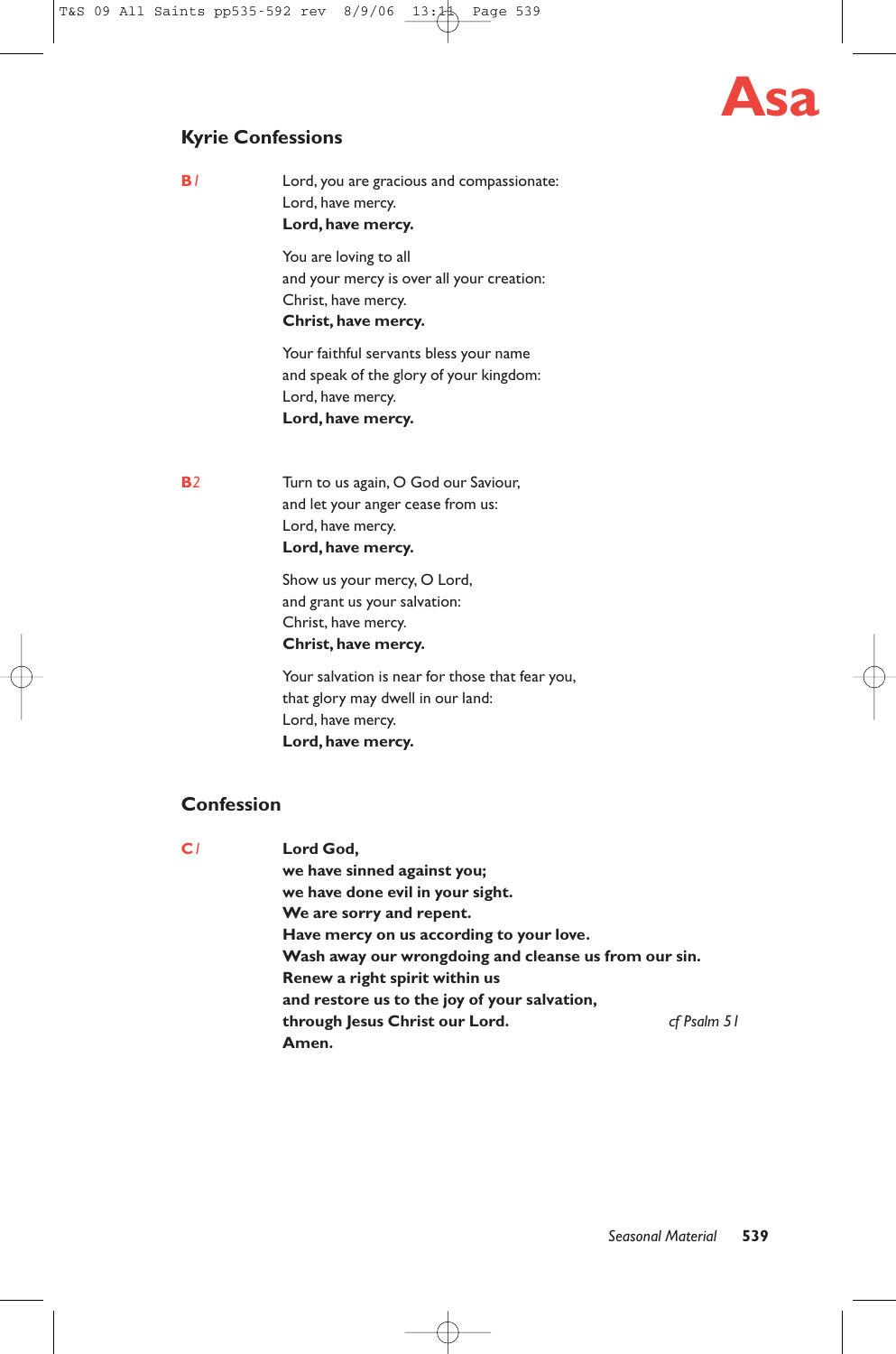# **Asa**

# **Kyrie Confessions**

**B***1* Lord, you are gracious and compassionate: Lord, have mercy. **Lord, have mercy.**

> You are loving to all and your mercy is over all your creation: Christ, have mercy. **Christ, have mercy.**

Your faithful servants bless your name and speak of the glory of your kingdom: Lord, have mercy. **Lord, have mercy.**

**B***2* Turn to us again, O God our Saviour, and let your anger cease from us: Lord, have mercy. **Lord, have mercy.**

> Show us your mercy, O Lord, and grant us your salvation: Christ, have mercy. **Christ, have mercy.**

Your salvation is near for those that fear you, that glory may dwell in our land: Lord, have mercy. **Lord, have mercy.**

# **Confession**

**C***1* **Lord God, we have sinned against you; we have done evil in your sight. We are sorry and repent. Have mercy on us according to your love. Wash away our wrongdoing and cleanse us from our sin. Renew a right spirit within us and restore us to the joy of your salvation, through Jesus Christ our Lord.** *cf Psalm 51* **Amen.**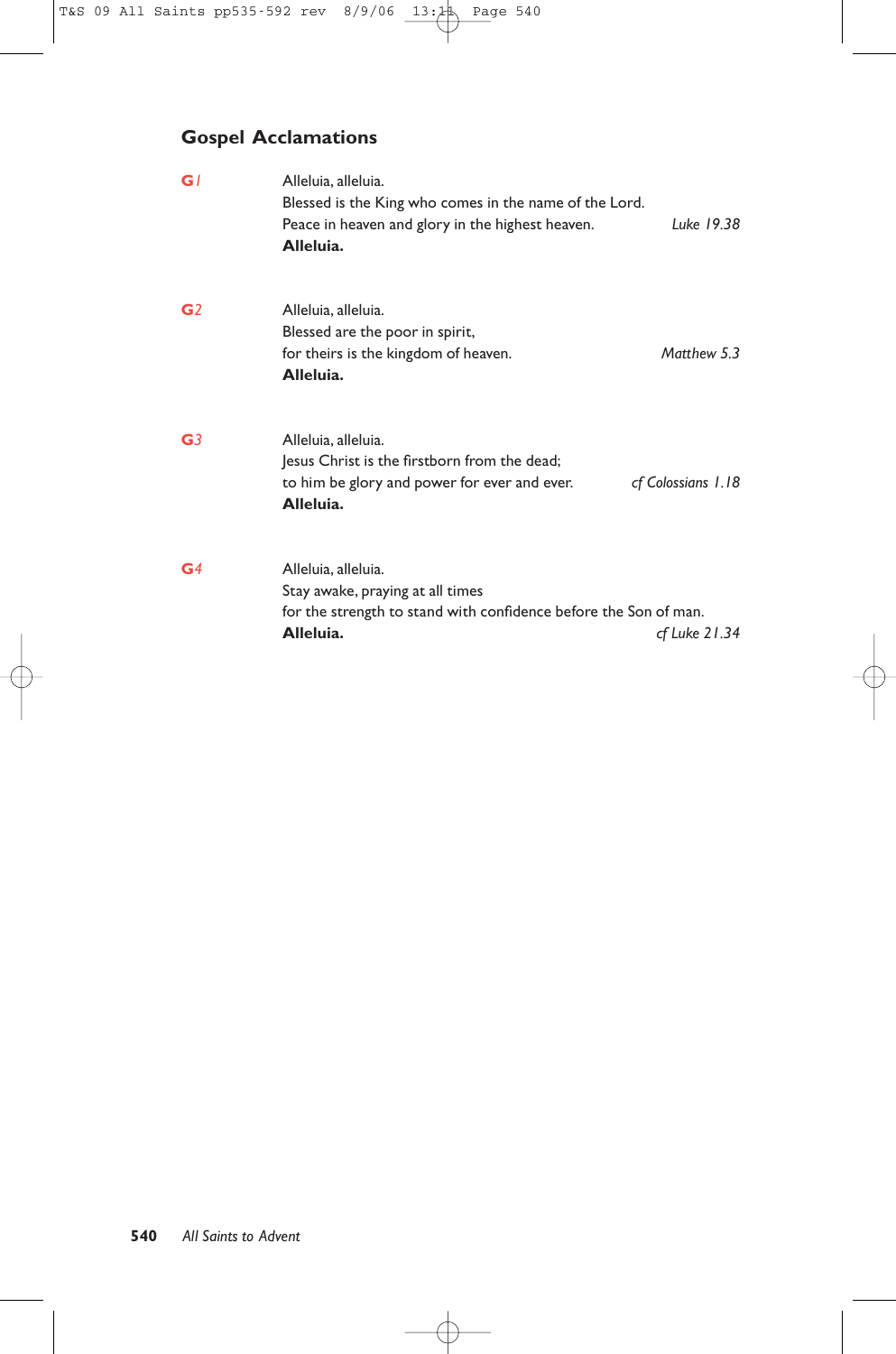# **Gospel Acclamations**

| GI             | Alleluia, alleluia.<br>Blessed is the King who comes in the name of the Lord.<br>Peace in heaven and glory in the highest heaven.<br>Alleluia. | Luke 19.38         |
|----------------|------------------------------------------------------------------------------------------------------------------------------------------------|--------------------|
| G <sub>2</sub> | Alleluia, alleluia.<br>Blessed are the poor in spirit,<br>for theirs is the kingdom of heaven.<br>Alleluia.                                    | Matthew 5.3        |
| G <sub>3</sub> | Alleluia, alleluia.<br>Jesus Christ is the firstborn from the dead;<br>to him be glory and power for ever and ever.<br>Alleluia.               | cf Colossians 1.18 |
| G <sub>4</sub> | Alleluia, alleluia.<br>Stay awake, praying at all times<br>for the strength to stand with confidence before the Son of man.<br>Alleluia.       | cf Luke 21.34      |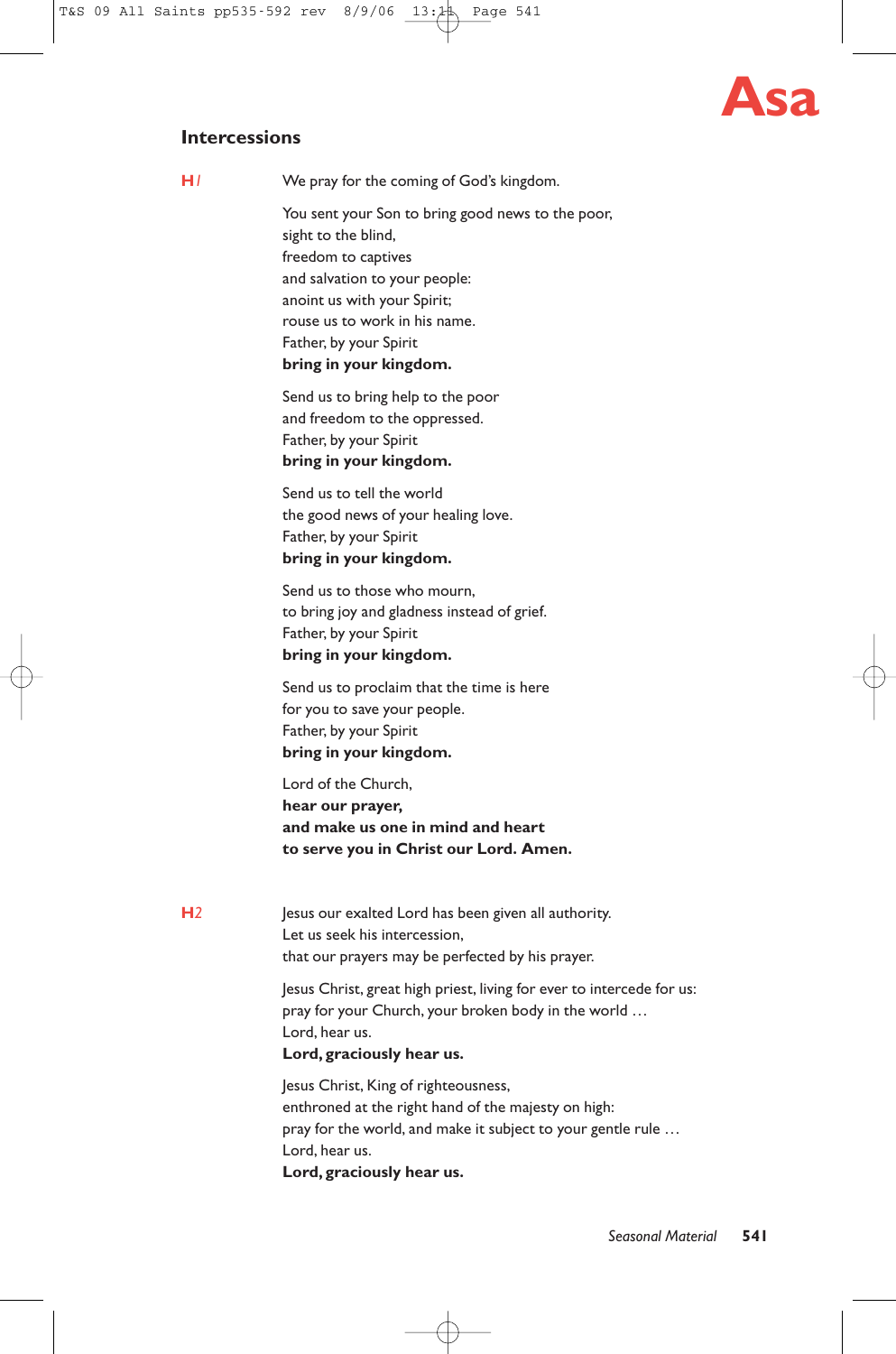

# **Intercessions**

**H***1* We pray for the coming of God's kingdom.

You sent your Son to bring good news to the poor, sight to the blind, freedom to captives and salvation to your people: anoint us with your Spirit; rouse us to work in his name. Father, by your Spirit **bring in your kingdom.**

Send us to bring help to the poor and freedom to the oppressed. Father, by your Spirit **bring in your kingdom.**

Send us to tell the world the good news of your healing love. Father, by your Spirit **bring in your kingdom.**

Send us to those who mourn, to bring joy and gladness instead of grief. Father, by your Spirit **bring in your kingdom.**

Send us to proclaim that the time is here for you to save your people. Father, by your Spirit **bring in your kingdom.**

Lord of the Church, **hear our prayer, and make us one in mind and heart to serve you in Christ our Lord. Amen.**

**H***2* Jesus our exalted Lord has been given all authority. Let us seek his intercession, that our prayers may be perfected by his prayer.

> Jesus Christ, great high priest, living for ever to intercede for us: pray for your Church, your broken body in the world … Lord, hear us.

# **Lord, graciously hear us.**

Jesus Christ, King of righteousness, enthroned at the right hand of the majesty on high: pray for the world, and make it subject to your gentle rule ... Lord, hear us. **Lord, graciously hear us.**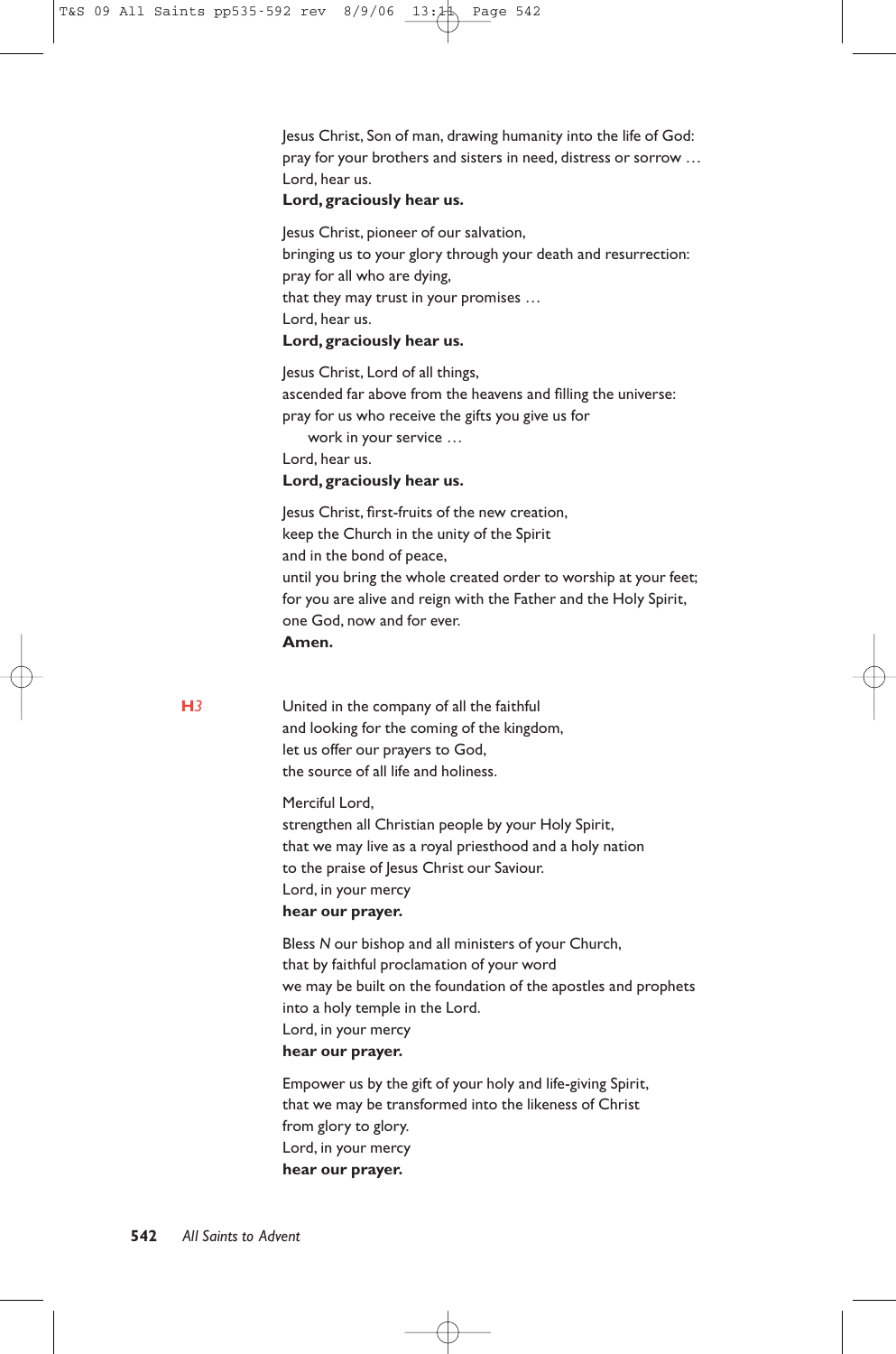Jesus Christ, Son of man, drawing humanity into the life of God: pray for your brothers and sisters in need, distress or sorrow … Lord, hear us.

#### **Lord, graciously hear us.**

Jesus Christ, pioneer of our salvation, bringing us to your glory through your death and resurrection: pray for all who are dying, that they may trust in your promises … Lord, hear us. **Lord, graciously hear us.**

Jesus Christ, Lord of all things, ascended far above from the heavens and filling the universe: pray for us who receive the gifts you give us for work in your service …

Lord, hear us.

#### **Lord, graciously hear us.**

Jesus Christ, first-fruits of the new creation, keep the Church in the unity of the Spirit and in the bond of peace, until you bring the whole created order to worship at your feet; for you are alive and reign with the Father and the Holy Spirit, one God, now and for ever. **Amen.**

**H***3* United in the company of all the faithful and looking for the coming of the kingdom, let us offer our prayers to God, the source of all life and holiness.

> Merciful Lord, strengthen all Christian people by your Holy Spirit,

that we may live as a royal priesthood and a holy nation to the praise of Jesus Christ our Saviour. Lord, in your mercy **hear our prayer.**

Bless *N* our bishop and all ministers of your Church, that by faithful proclamation of your word we may be built on the foundation of the apostles and prophets into a holy temple in the Lord. Lord, in your mercy **hear our prayer.**

Empower us by the gift of your holy and life-giving Spirit, that we may be transformed into the likeness of Christ from glory to glory. Lord, in your mercy **hear our prayer.**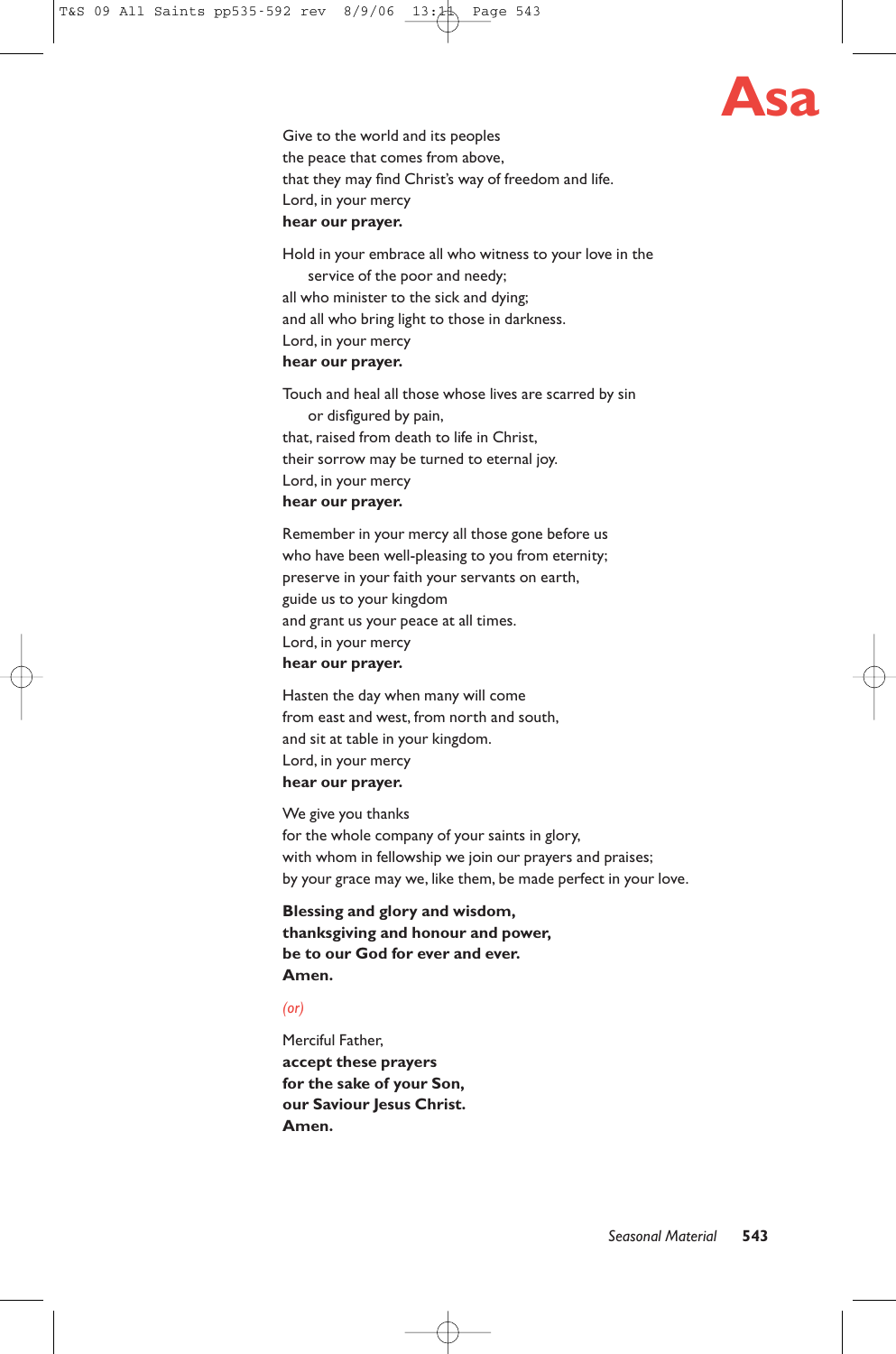

Give to the world and its peoples the peace that comes from above, that they may find Christ's way of freedom and life. Lord, in your mercy **hear our prayer.**

Hold in your embrace all who witness to your love in the service of the poor and needy; all who minister to the sick and dying; and all who bring light to those in darkness. Lord, in your mercy **hear our prayer.**

Touch and heal all those whose lives are scarred by sin or disfigured by pain, that, raised from death to life in Christ, their sorrow may be turned to eternal joy. Lord, in your mercy **hear our prayer.**

Remember in your mercy all those gone before us who have been well-pleasing to you from eternity; preserve in your faith your servants on earth, guide us to your kingdom and grant us your peace at all times. Lord, in your mercy **hear our prayer.**

Hasten the day when many will come from east and west, from north and south, and sit at table in your kingdom. Lord, in your mercy **hear our prayer.**

We give you thanks for the whole company of your saints in glory, with whom in fellowship we join our prayers and praises; by your grace may we, like them, be made perfect in your love.

**Blessing and glory and wisdom, thanksgiving and honour and power, be to our God for ever and ever. Amen.**

# *(or)*

Merciful Father, **accept these prayers for the sake of your Son, our Saviour Jesus Christ. Amen.**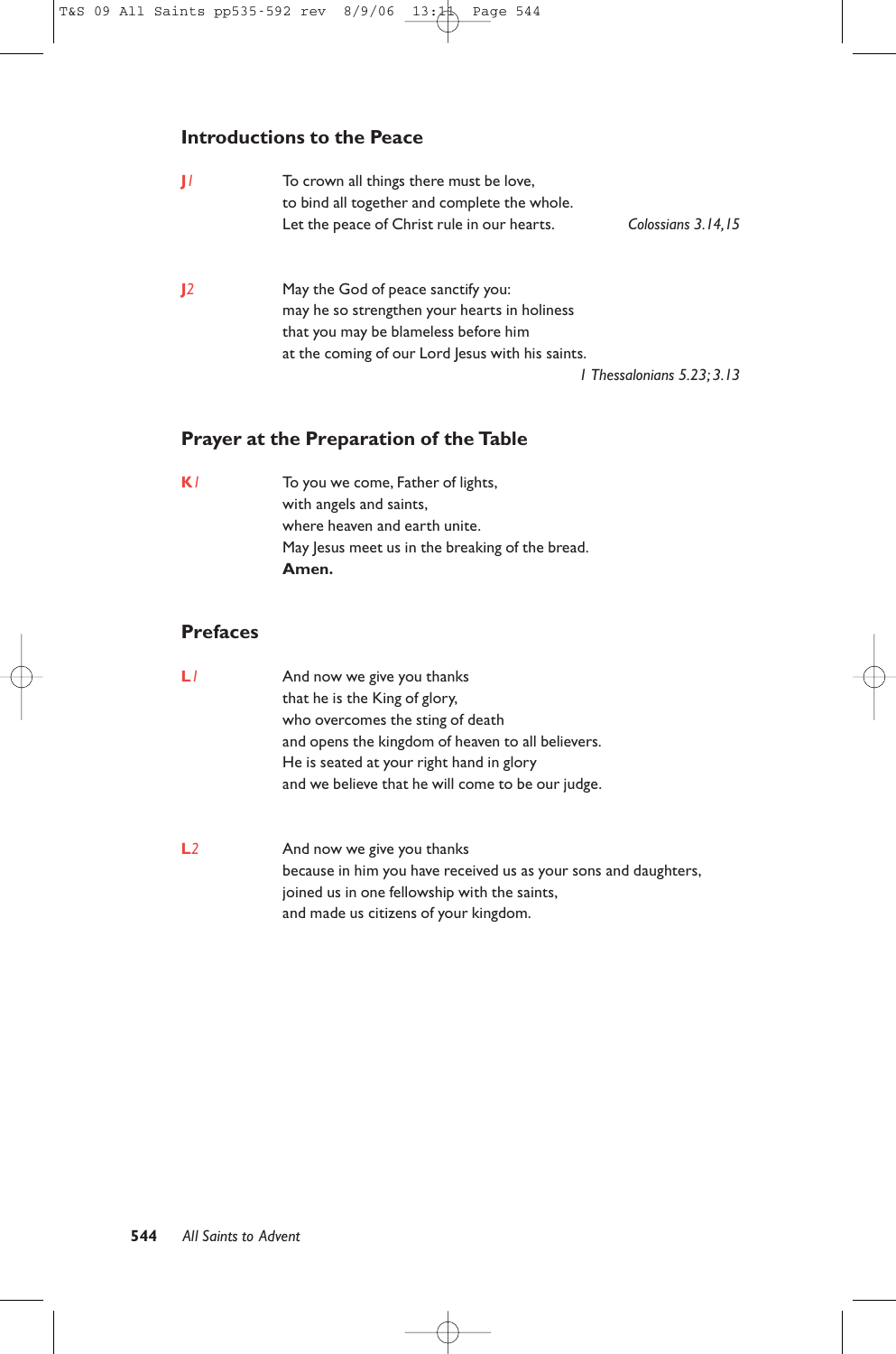# **Introductions to the Peace**

| П  | To crown all things there must be love,<br>to bind all together and complete the whole.<br>Let the peace of Christ rule in our hearts.                                         | Colossians 3.14,15         |
|----|--------------------------------------------------------------------------------------------------------------------------------------------------------------------------------|----------------------------|
| 12 | May the God of peace sanctify you:<br>may he so strengthen your hearts in holiness<br>that you may be blameless before him<br>at the coming of our Lord Jesus with his saints. | I Thessalonians 5.23: 3.13 |

# **Prayer at the Preparation of the Table**

**K***1* To you we come, Father of lights, with angels and saints, where heaven and earth unite. May Jesus meet us in the breaking of the bread. **Amen.**

# **Prefaces**

| L              | And now we give you thanks<br>that he is the King of glory,<br>who overcomes the sting of death<br>and opens the kingdom of heaven to all believers.<br>He is seated at your right hand in glory<br>and we believe that he will come to be our judge. |
|----------------|-------------------------------------------------------------------------------------------------------------------------------------------------------------------------------------------------------------------------------------------------------|
| L <sub>2</sub> | And now we give you thanks<br>because in him you have received us as your sons and daughters,<br>joined us in one fellowship with the saints,<br>and made us citizens of your kingdom.                                                                |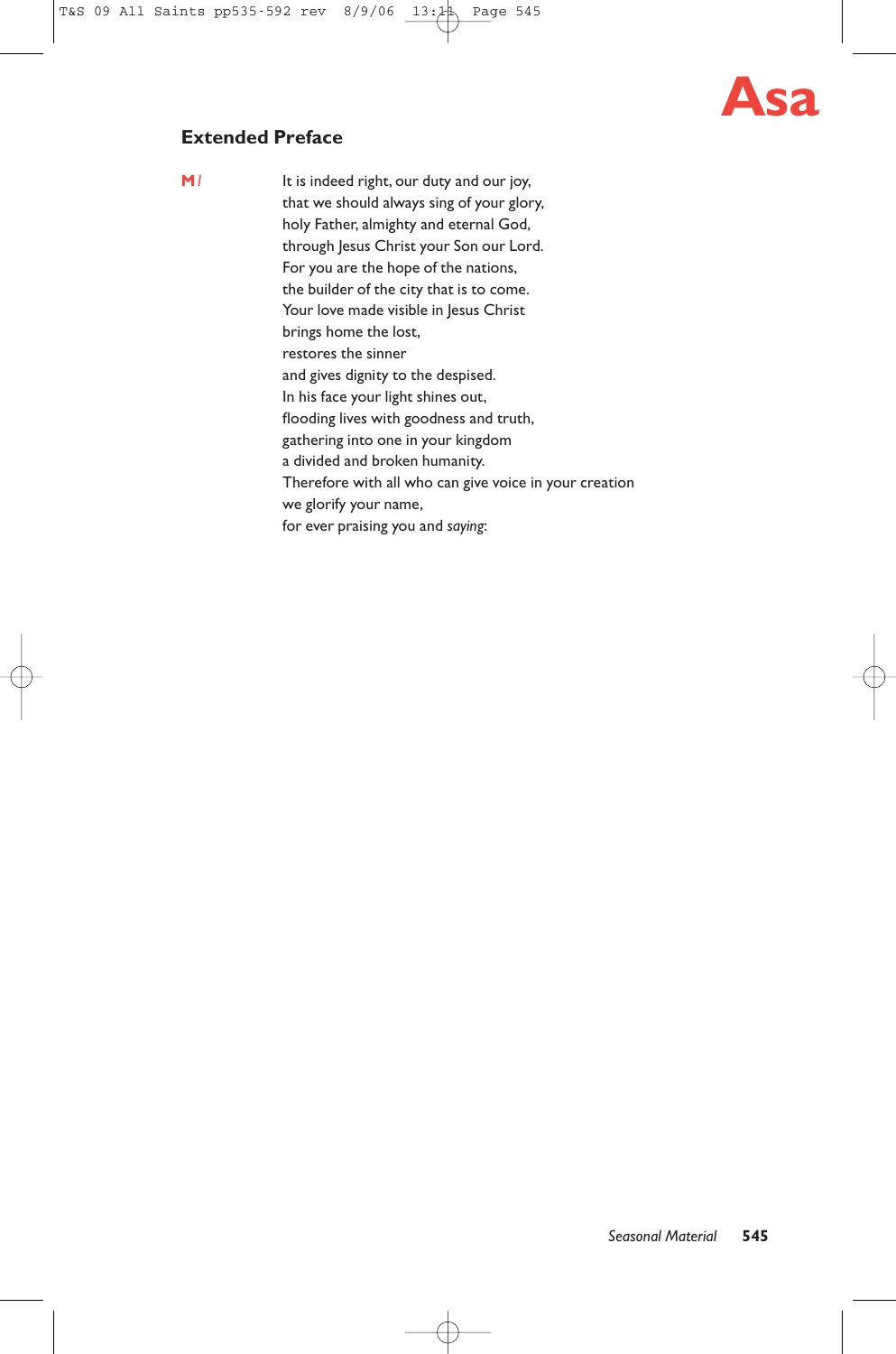# **Asa**

# **Extended Preface**

**M**<sup>1</sup> It is indeed right, our duty and our joy, that we should always sing of your glory, holy Father, almighty and eternal God, through Jesus Christ your Son our Lord. For you are the hope of the nations, the builder of the city that is to come. Your love made visible in Jesus Christ brings home the lost, restores the sinner and gives dignity to the despised. In his face your light shines out, flooding lives with goodness and truth, gathering into one in your kingdom a divided and broken humanity. Therefore with all who can give voice in your creation we glorify your name, for ever praising you and *saying*: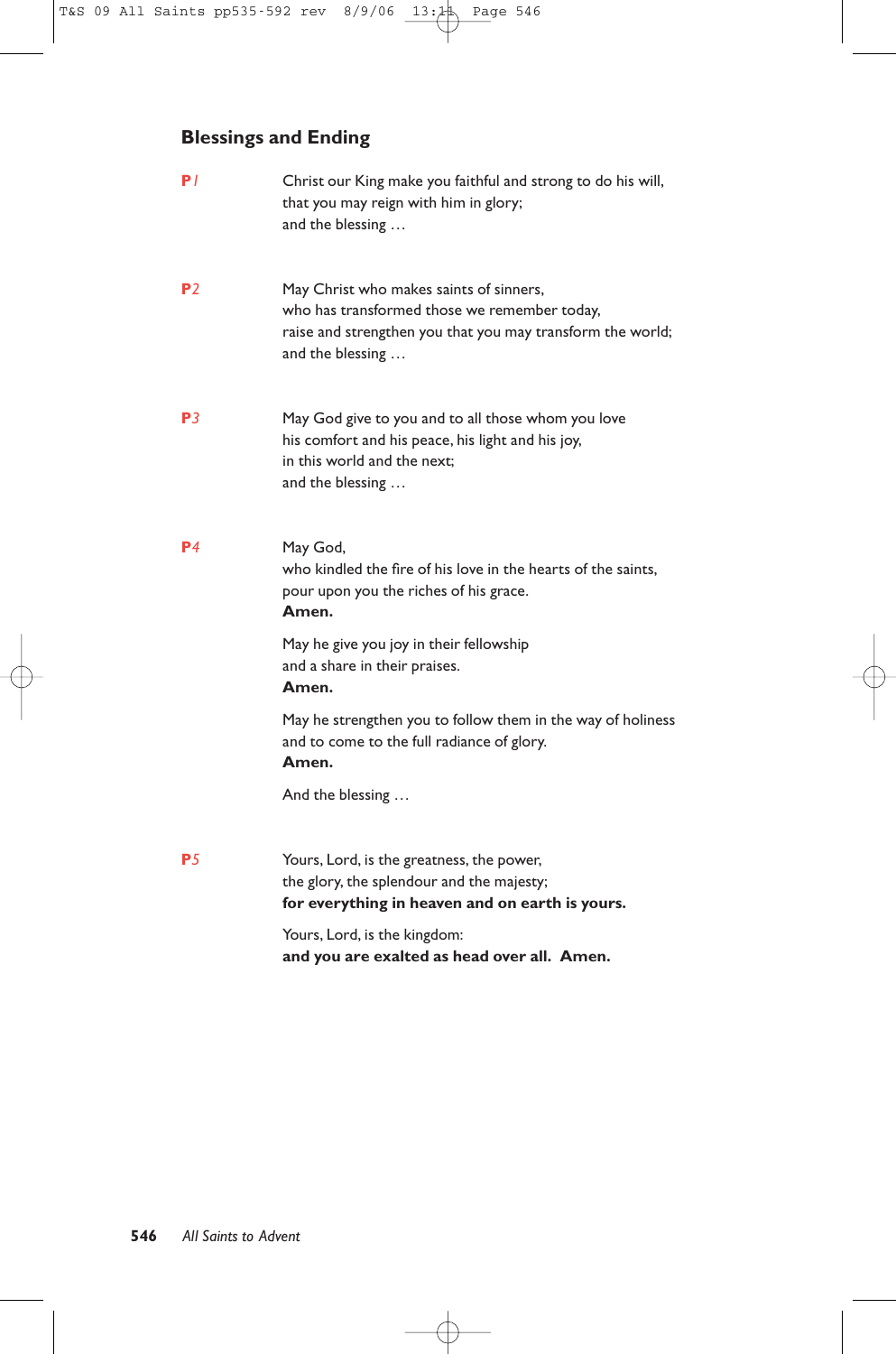# **Blessings and Ending**

| P/             | Christ our King make you faithful and strong to do his will,<br>that you may reign with him in glory;<br>and the blessing                                                 |
|----------------|---------------------------------------------------------------------------------------------------------------------------------------------------------------------------|
| P <sub>2</sub> | May Christ who makes saints of sinners,<br>who has transformed those we remember today,<br>raise and strengthen you that you may transform the world;<br>and the blessing |
| P <sub>3</sub> | May God give to you and to all those whom you love<br>his comfort and his peace, his light and his joy,<br>in this world and the next;<br>and the blessing                |
| P <sub>4</sub> | May God,<br>who kindled the fire of his love in the hearts of the saints,<br>pour upon you the riches of his grace.<br>Amen.                                              |
|                | May he give you joy in their fellowship<br>and a share in their praises.<br>Amen.                                                                                         |
|                | May he strengthen you to follow them in the way of holiness<br>and to come to the full radiance of glory.<br>Amen.                                                        |
|                | And the blessing                                                                                                                                                          |
| <b>P5</b>      | Yours, Lord, is the greatness, the power,<br>the glory, the splendour and the majesty;<br>for everything in heaven and on earth is yours.                                 |
|                | Yours, Lord, is the kingdom:<br>and you are exalted as head over all. Amen.                                                                                               |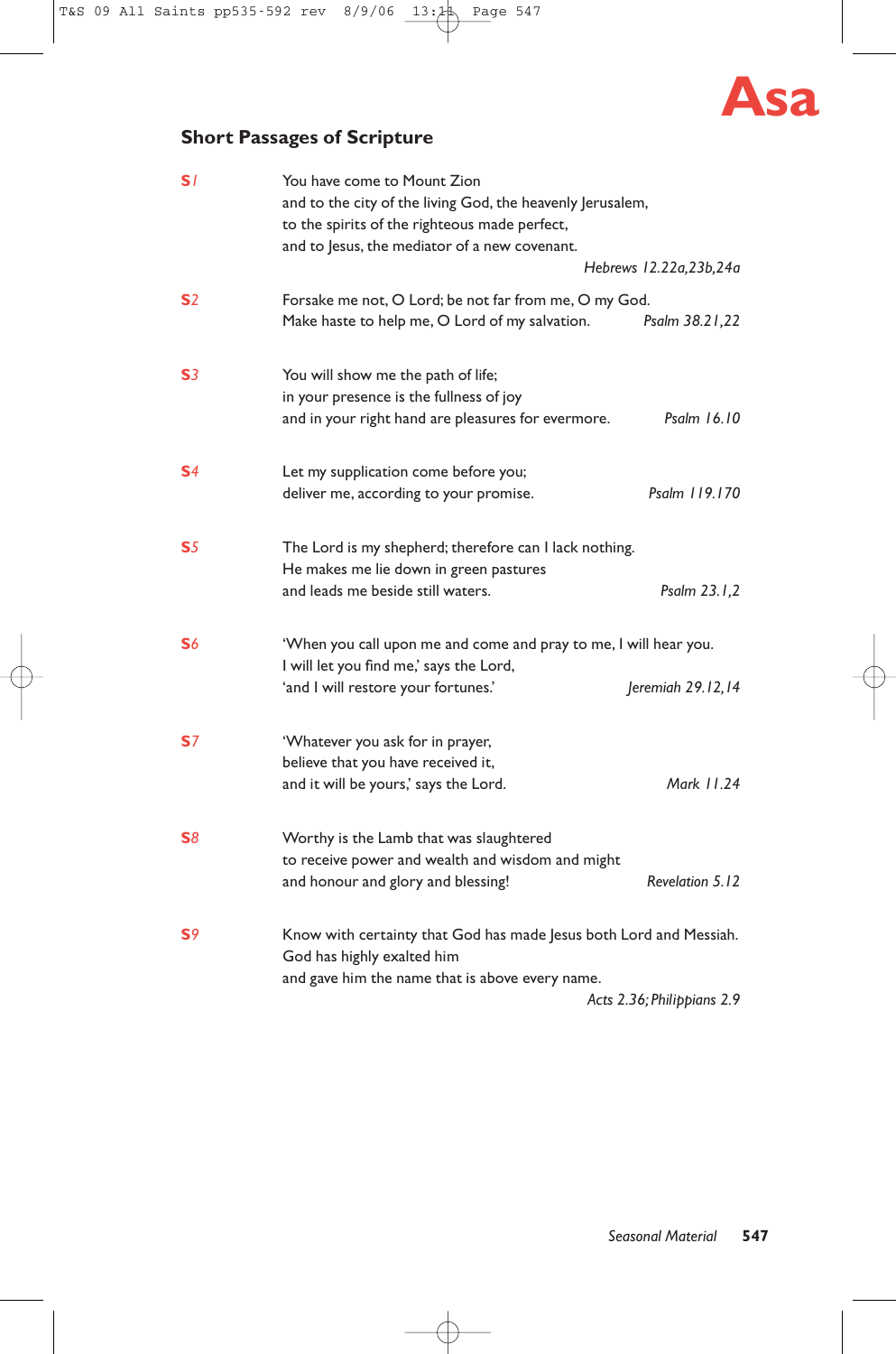

# **Short Passages of Scripture**

| S/             | You have come to Mount Zion<br>and to the city of the living God, the heavenly Jerusalem,<br>to the spirits of the righteous made perfect, |                            |
|----------------|--------------------------------------------------------------------------------------------------------------------------------------------|----------------------------|
|                | and to Jesus, the mediator of a new covenant.                                                                                              |                            |
|                |                                                                                                                                            | Hebrews 12.22a, 23b, 24a   |
| S <sub>2</sub> | Forsake me not, O Lord; be not far from me, O my God.                                                                                      |                            |
|                | Make haste to help me, O Lord of my salvation.                                                                                             | Psalm 38.21,22             |
| S <sub>3</sub> | You will show me the path of life;                                                                                                         |                            |
|                | in your presence is the fullness of joy                                                                                                    |                            |
|                | and in your right hand are pleasures for evermore.                                                                                         | Psalm 16.10                |
| S <sub>4</sub> | Let my supplication come before you;                                                                                                       |                            |
|                | deliver me, according to your promise.                                                                                                     | Psalm 119.170              |
| S <sub>5</sub> | The Lord is my shepherd; therefore can I lack nothing.                                                                                     |                            |
|                | He makes me lie down in green pastures                                                                                                     |                            |
|                | and leads me beside still waters.                                                                                                          | Psalm 23.1,2               |
| S <sub>6</sub> | 'When you call upon me and come and pray to me, I will hear you.                                                                           |                            |
|                | I will let you find me,' says the Lord,                                                                                                    |                            |
|                | 'and I will restore your fortunes.'                                                                                                        | Jeremiah 29.12,14          |
| <b>S</b> 7     | 'Whatever you ask for in prayer,                                                                                                           |                            |
|                | believe that you have received it,                                                                                                         |                            |
|                | and it will be yours,' says the Lord.                                                                                                      | Mark 11.24                 |
| <b>S</b> 8     | Worthy is the Lamb that was slaughtered                                                                                                    |                            |
|                | to receive power and wealth and wisdom and might                                                                                           |                            |
|                | and honour and glory and blessing!                                                                                                         | Revelation 5.12            |
| S <sub>9</sub> | Know with certainty that God has made Jesus both Lord and Messiah.                                                                         |                            |
|                | God has highly exalted him                                                                                                                 |                            |
|                | and gave him the name that is above every name.                                                                                            |                            |
|                |                                                                                                                                            | Acts 2.36; Philippians 2.9 |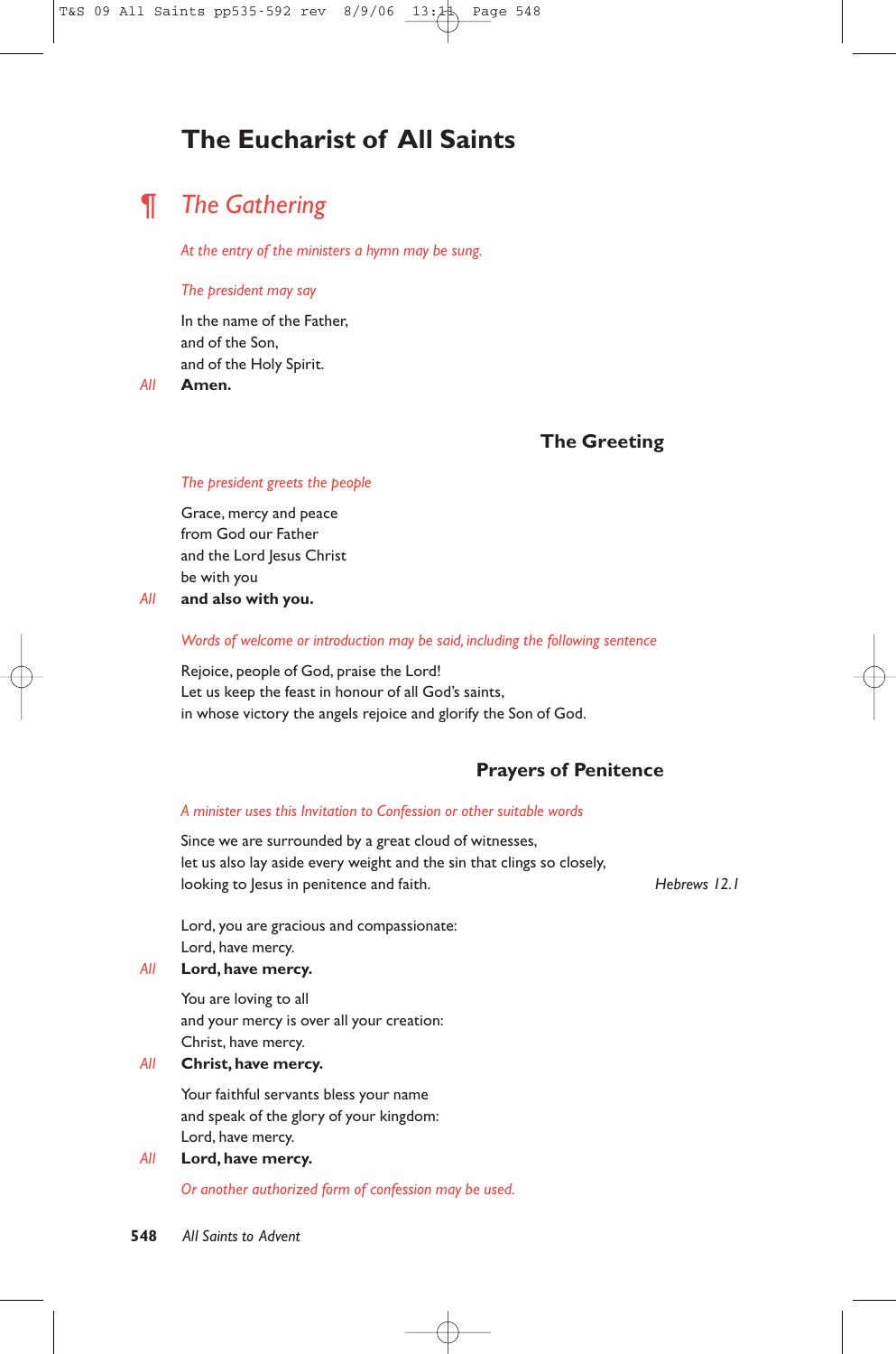# **The Eucharist of All Saints**

# *¶ The Gathering*

*At the entry of the ministers a hymn may be sung.*

#### *The president may say*

In the name of the Father, and of the Son, and of the Holy Spirit.

*All* **Amen.**

# **The Greeting**

#### *The president greets the people*

Grace, mercy and peace from God our Father and the Lord Jesus Christ be with you

*All* **and also with you.**

#### *Words of welcome or introduction may be said, including the following sentence*

Rejoice, people of God, praise the Lord! Let us keep the feast in honour of all God's saints, in whose victory the angels rejoice and glorify the Son of God.

# **Prayers of Penitence**

## *A minister uses this Invitation to Confession or other suitable words*

Since we are surrounded by a great cloud of witnesses, let us also lay aside every weight and the sin that clings so closely, looking to Jesus in penitence and faith. *Hebrews 12.1* 

Lord, you are gracious and compassionate: Lord, have mercy.

## *All* **Lord, have mercy.**

You are loving to all and your mercy is over all your creation: Christ, have mercy.

# *All* **Christ, have mercy.**

Your faithful servants bless your name and speak of the glory of your kingdom: Lord, have mercy.

#### *All* **Lord, have mercy.**

*Or another authorized form of confession may be used.*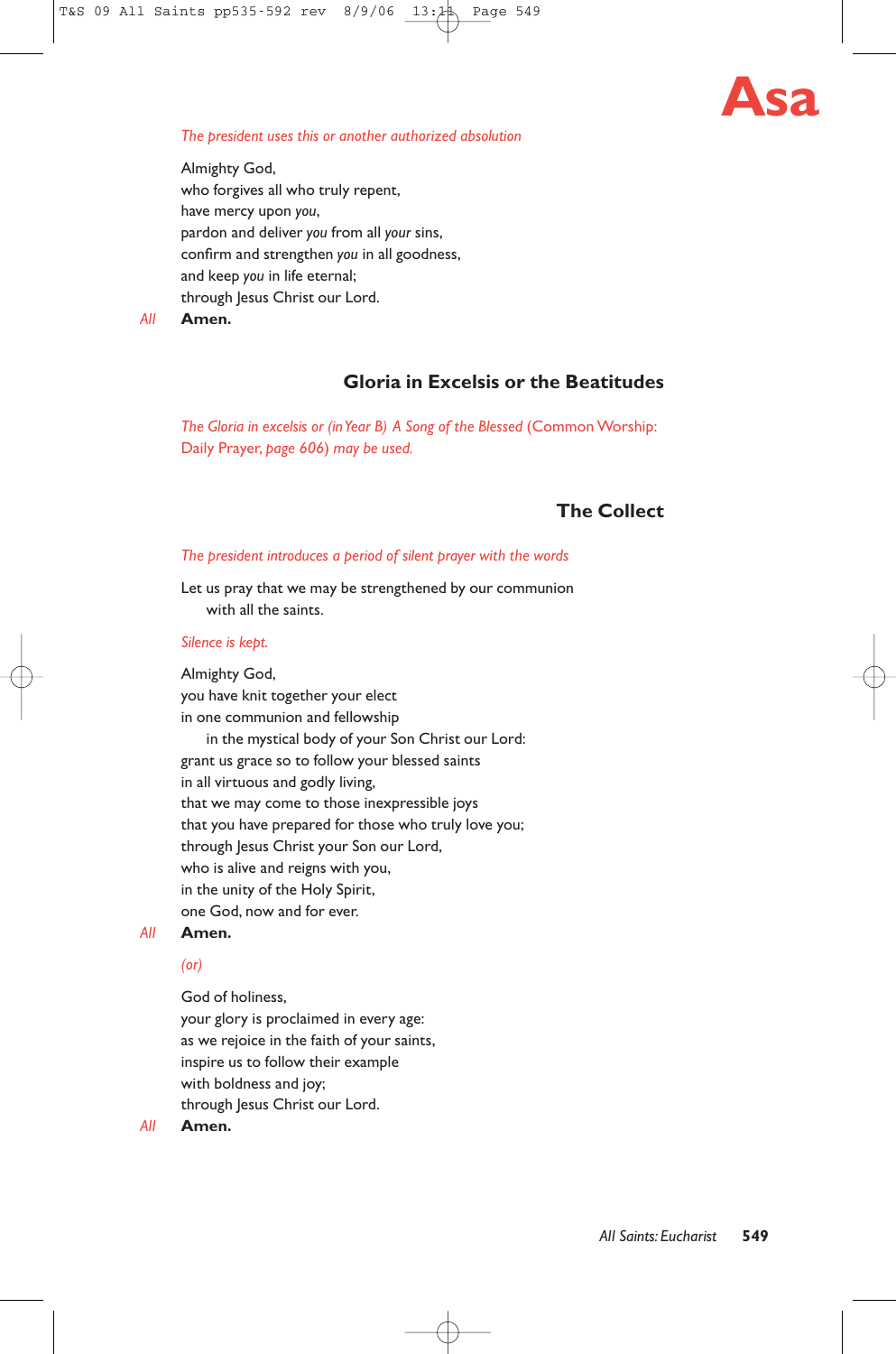

#### *The president uses this or another authorized absolution*

Almighty God, who forgives all who truly repent, have mercy upon *you*, pardon and deliver *you* from all *your* sins, confirm and strengthen *you* in all goodness, and keep *you* in life eternal; through Jesus Christ our Lord.

*All* **Amen.**

# **Gloria in Excelsis or the Beatitudes**

*The Gloria in excelsis or (in Year B) A Song of the Blessed (Common Worship:* Daily Prayer, *page 606*) *may be used.*

# **The Collect**

#### *The president introduces a period of silent prayer with the words*

Let us pray that we may be strengthened by our communion with all the saints.

#### *Silence is kept.*

Almighty God, you have knit together your elect in one communion and fellowship in the mystical body of your Son Christ our Lord: grant us grace so to follow your blessed saints in all virtuous and godly living, that we may come to those inexpressible joys that you have prepared for those who truly love you; through Jesus Christ your Son our Lord, who is alive and reigns with you, in the unity of the Holy Spirit, one God, now and for ever.

#### *All* **Amen.**

#### *(or)*

God of holiness, your glory is proclaimed in every age: as we rejoice in the faith of your saints, inspire us to follow their example with boldness and joy; through Jesus Christ our Lord.

*All* **Amen.**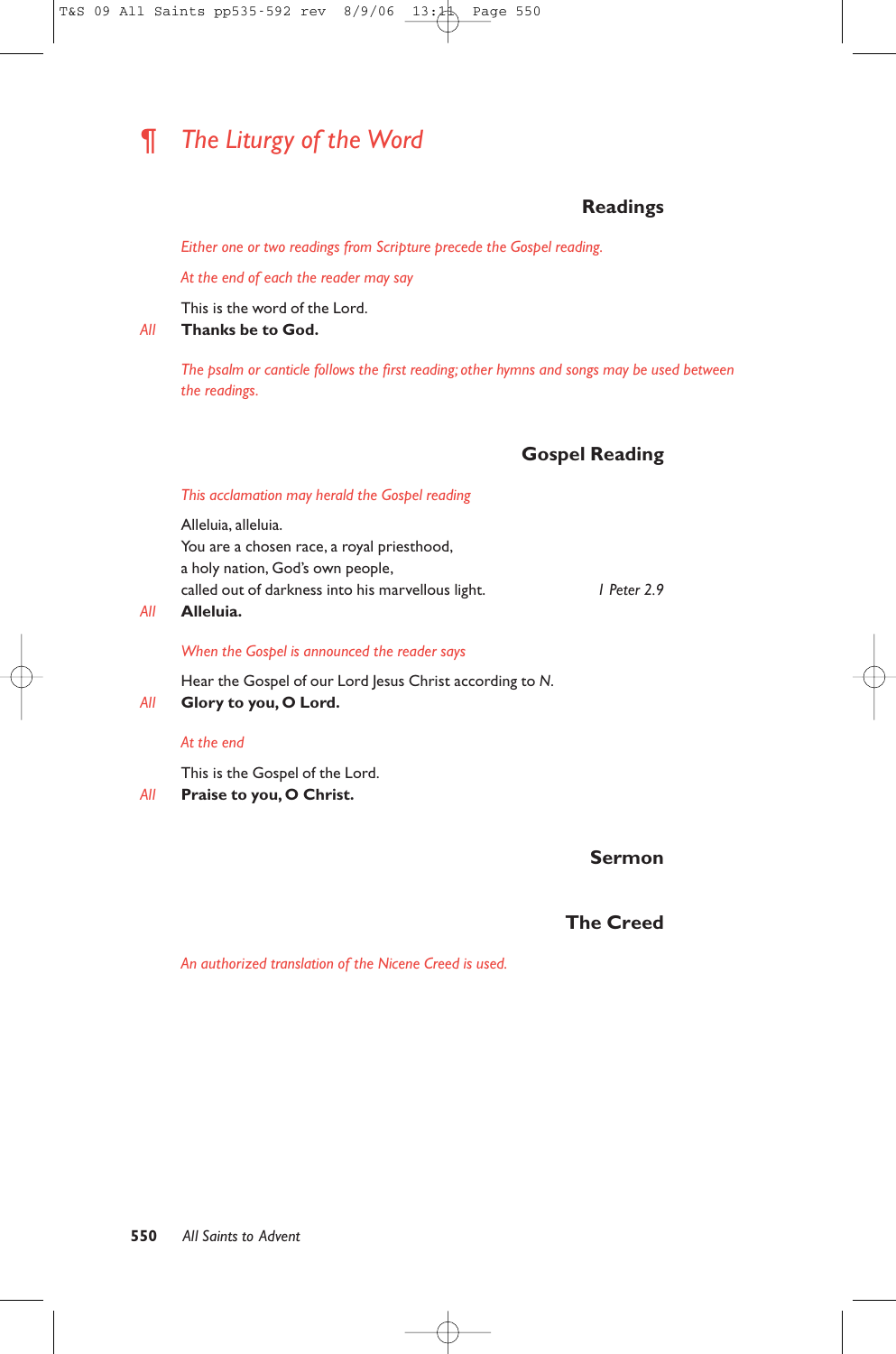# *¶ The Liturgy of the Word*

# **Readings**

*Either one or two readings from Scripture precede the Gospel reading.*

*At the end of each the reader may say*

This is the word of the Lord.

# *All* **Thanks be to God.**

*The psalm or canticle follows the first reading; other hymns and songs may be used between the readings.*

# **Gospel Reading**

## *This acclamation may herald the Gospel reading*

Alleluia, alleluia. You are a chosen race, a royal priesthood, a holy nation, God's own people, called out of darkness into his marvellous light. *1 Peter 2.9*

*All* **Alleluia.**

#### *When the Gospel is announced the reader says*

Hear the Gospel of our Lord Jesus Christ according to *N*.

*All* **Glory to you, O Lord.**

#### *At the end*

This is the Gospel of the Lord.

## *All* **Praise to you, O Christ.**

# **Sermon**

# **The Creed**

*An authorized translation of the Nicene Creed is used.*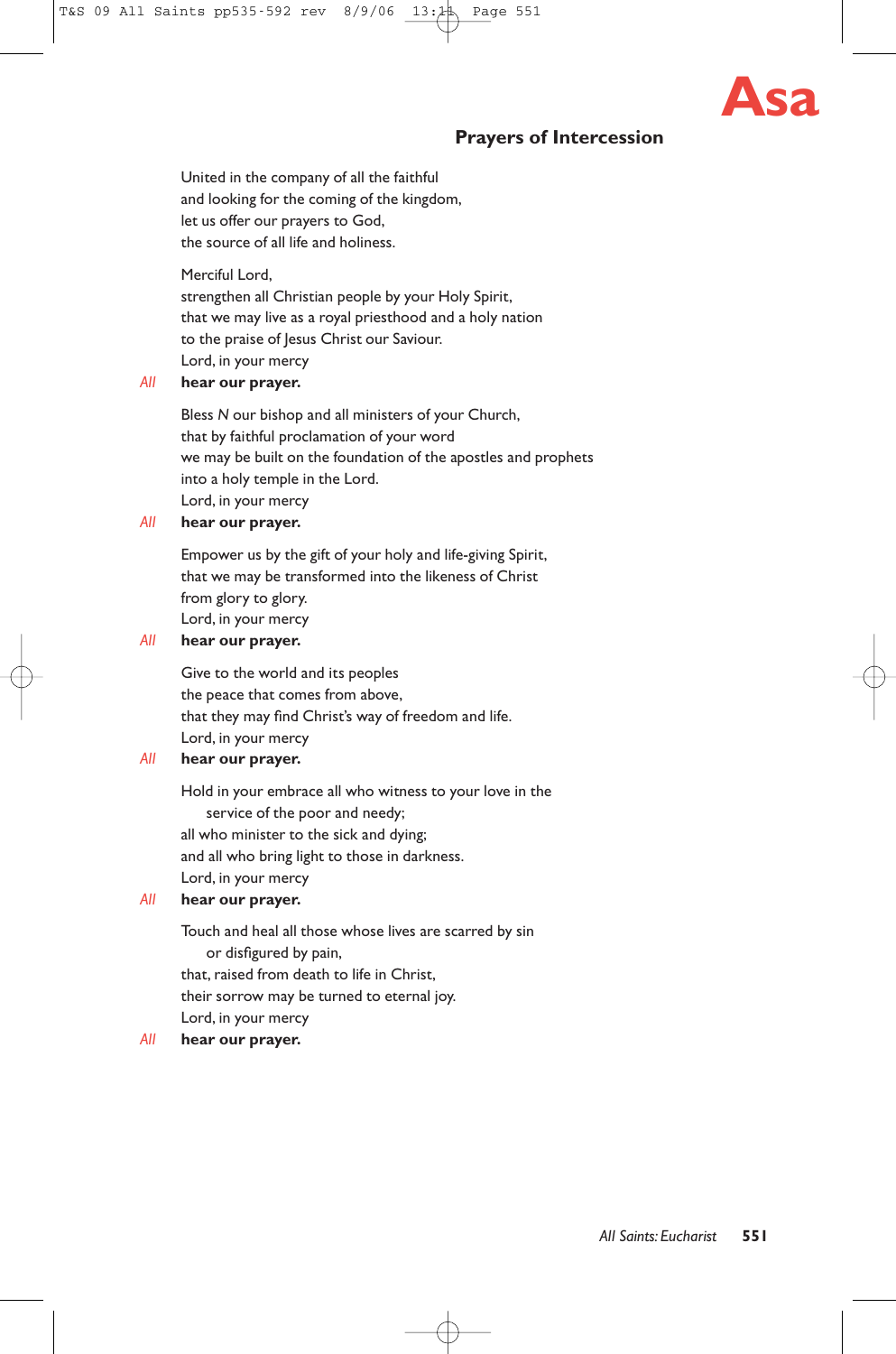# **Asa**

# **Prayers of Intercession**

United in the company of all the faithful and looking for the coming of the kingdom, let us offer our prayers to God, the source of all life and holiness.

Merciful Lord,

strengthen all Christian people by your Holy Spirit, that we may live as a royal priesthood and a holy nation to the praise of Jesus Christ our Saviour. Lord, in your mercy

# *All* **hear our prayer.**

Bless *N* our bishop and all ministers of your Church, that by faithful proclamation of your word we may be built on the foundation of the apostles and prophets into a holy temple in the Lord. Lord, in your mercy

## *All* **hear our prayer.**

Empower us by the gift of your holy and life-giving Spirit, that we may be transformed into the likeness of Christ from glory to glory. Lord, in your mercy

## *All* **hear our prayer.**

Give to the world and its peoples the peace that comes from above, that they may find Christ's way of freedom and life. Lord, in your mercy

# *All* **hear our prayer.**

Hold in your embrace all who witness to your love in the service of the poor and needy; all who minister to the sick and dying; and all who bring light to those in darkness. Lord, in your mercy

# *All* **hear our prayer.**

Touch and heal all those whose lives are scarred by sin or disfigured by pain, that, raised from death to life in Christ, their sorrow may be turned to eternal joy. Lord, in your mercy

# *All* **hear our prayer.**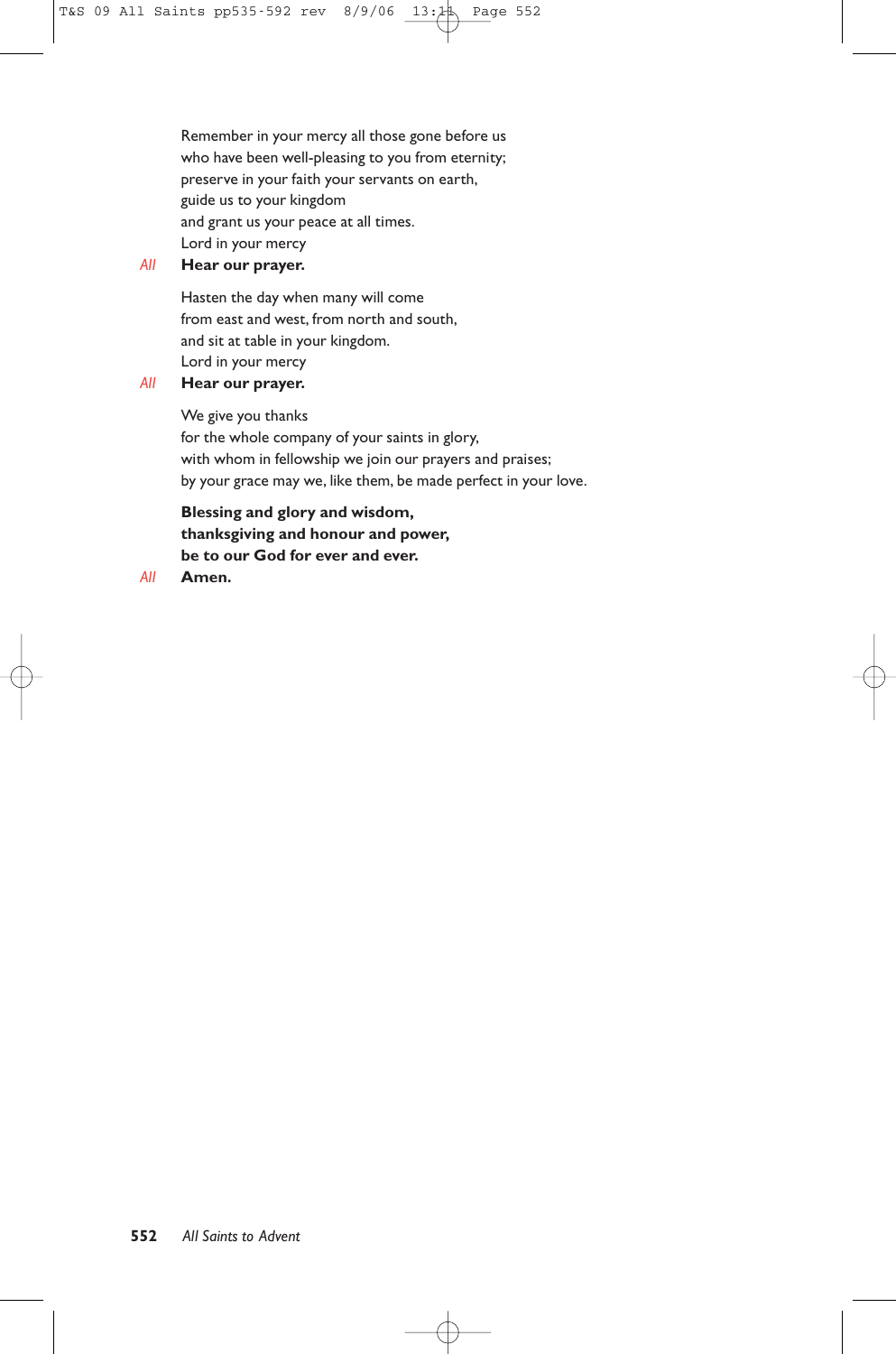Remember in your mercy all those gone before us who have been well-pleasing to you from eternity; preserve in your faith your servants on earth, guide us to your kingdom and grant us your peace at all times. Lord in your mercy

## *All* **Hear our prayer.**

Hasten the day when many will come from east and west, from north and south, and sit at table in your kingdom. Lord in your mercy

## *All* **Hear our prayer.**

We give you thanks for the whole company of your saints in glory, with whom in fellowship we join our prayers and praises; by your grace may we, like them, be made perfect in your love.

**Blessing and glory and wisdom, thanksgiving and honour and power, be to our God for ever and ever.**

# *All* **Amen.**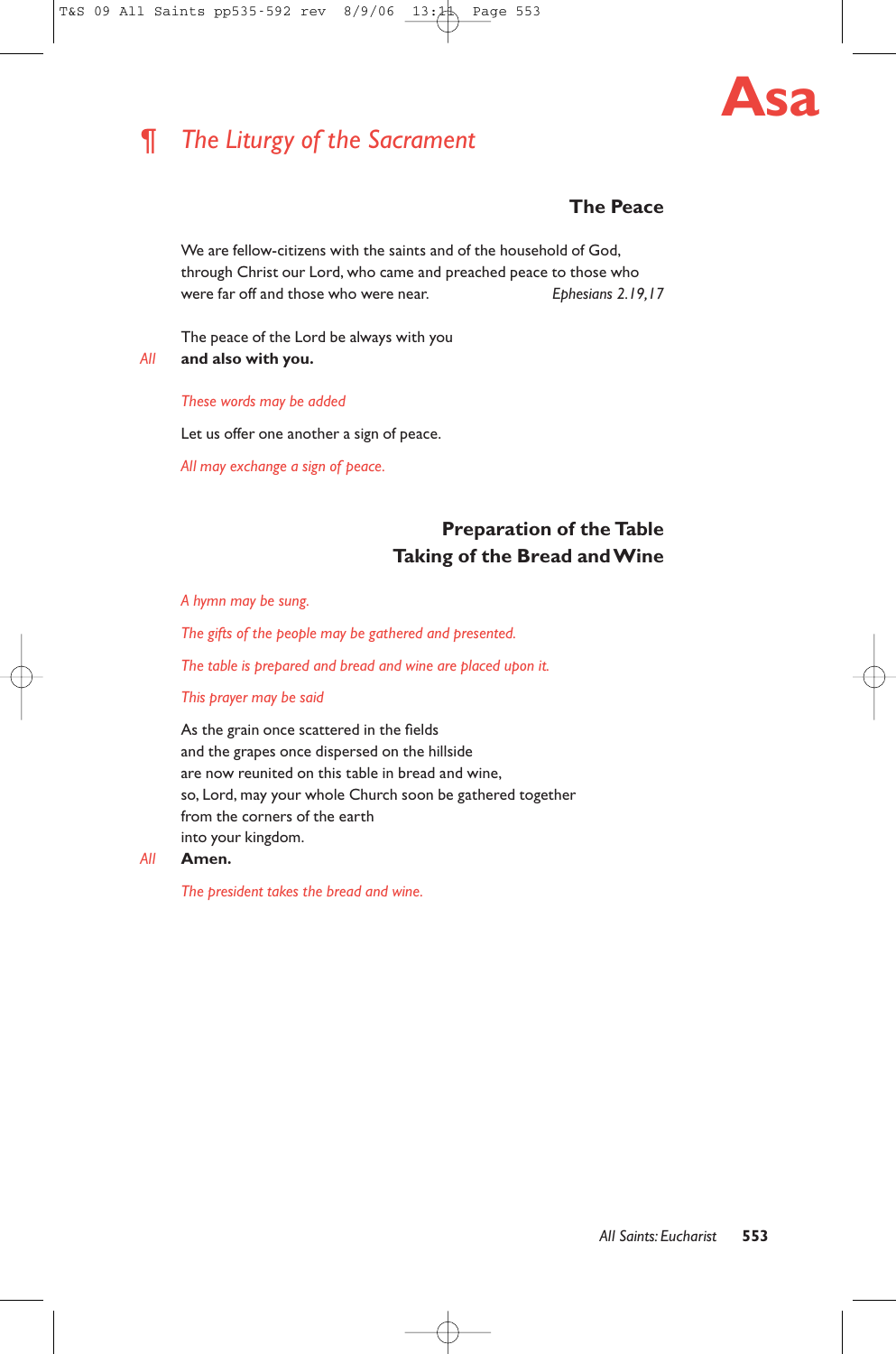

# *¶ The Liturgy of the Sacrament*

# **The Peace**

We are fellow-citizens with the saints and of the household of God, through Christ our Lord, who came and preached peace to those who were far off and those who were near. *Ephesians 2.19,17* 

The peace of the Lord be always with you *All* **and also with you.**

#### *These words may be added*

Let us offer one another a sign of peace.

*All may exchange a sign of peace.*

# **Preparation of the Table Taking of the Bread and Wine**

*A hymn may be sung.*

*The gifts of the people may be gathered and presented.*

*The table is prepared and bread and wine are placed upon it.*

*This prayer may be said*

As the grain once scattered in the fields and the grapes once dispersed on the hillside are now reunited on this table in bread and wine, so, Lord, may your whole Church soon be gathered together from the corners of the earth into your kingdom.

#### *All* **Amen.**

*The president takes the bread and wine.*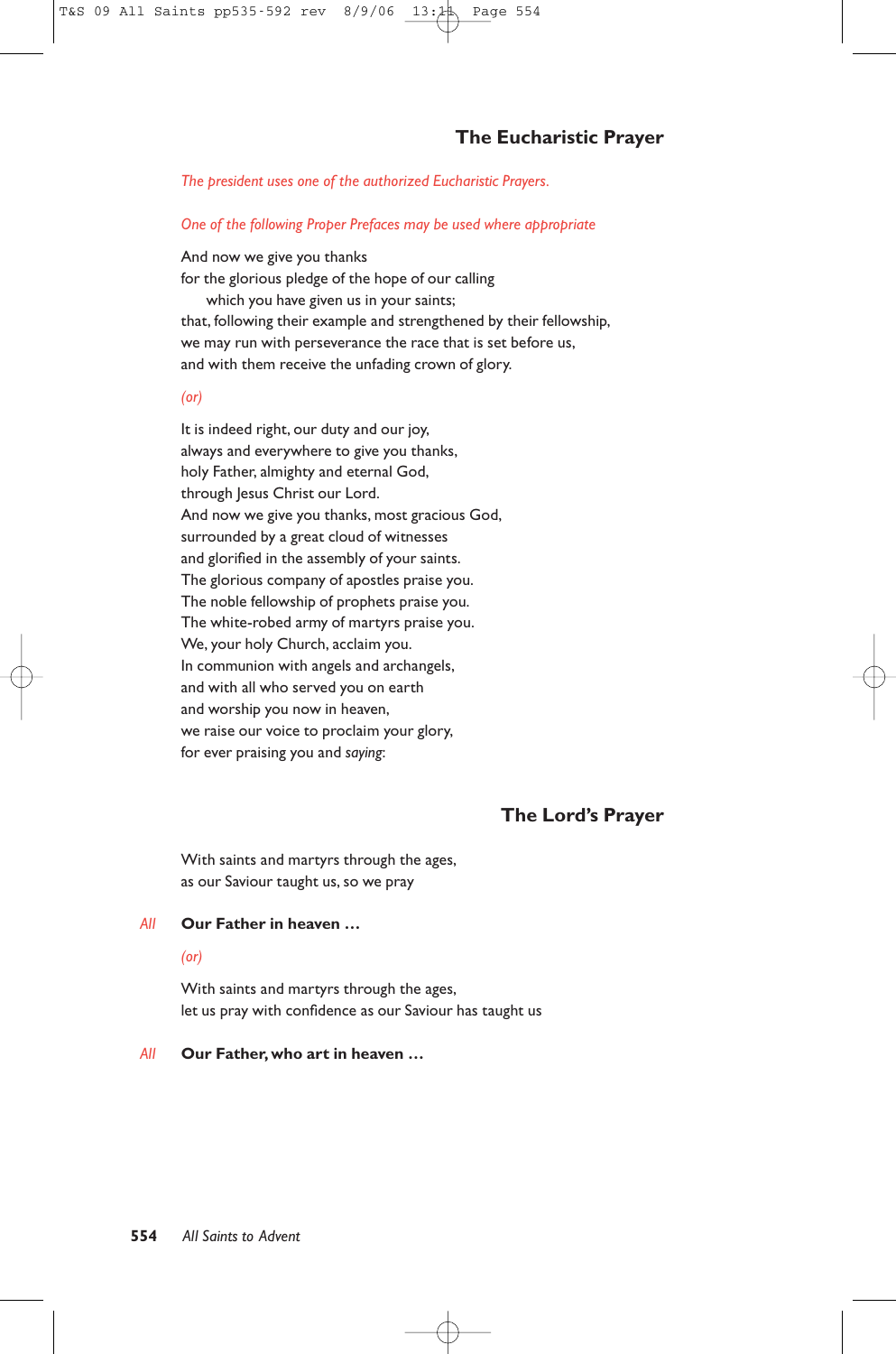## *The president uses one of the authorized Eucharistic Prayers.*

## *One of the following Proper Prefaces may be used where appropriate*

And now we give you thanks for the glorious pledge of the hope of our calling which you have given us in your saints; that, following their example and strengthened by their fellowship, we may run with perseverance the race that is set before us, and with them receive the unfading crown of glory.

#### *(or)*

It is indeed right, our duty and our joy, always and everywhere to give you thanks, holy Father, almighty and eternal God, through Jesus Christ our Lord. And now we give you thanks, most gracious God, surrounded by a great cloud of witnesses and glorified in the assembly of your saints. The glorious company of apostles praise you. The noble fellowship of prophets praise you. The white-robed army of martyrs praise you. We, your holy Church, acclaim you. In communion with angels and archangels, and with all who served you on earth and worship you now in heaven, we raise our voice to proclaim your glory, for ever praising you and *saying*:

# **The Lord's Prayer**

With saints and martyrs through the ages, as our Saviour taught us, so we pray

## *All* **Our Father in heaven …**

# *(or)*

With saints and martyrs through the ages, let us pray with confidence as our Saviour has taught us

#### *All* **Our Father, who art in heaven …**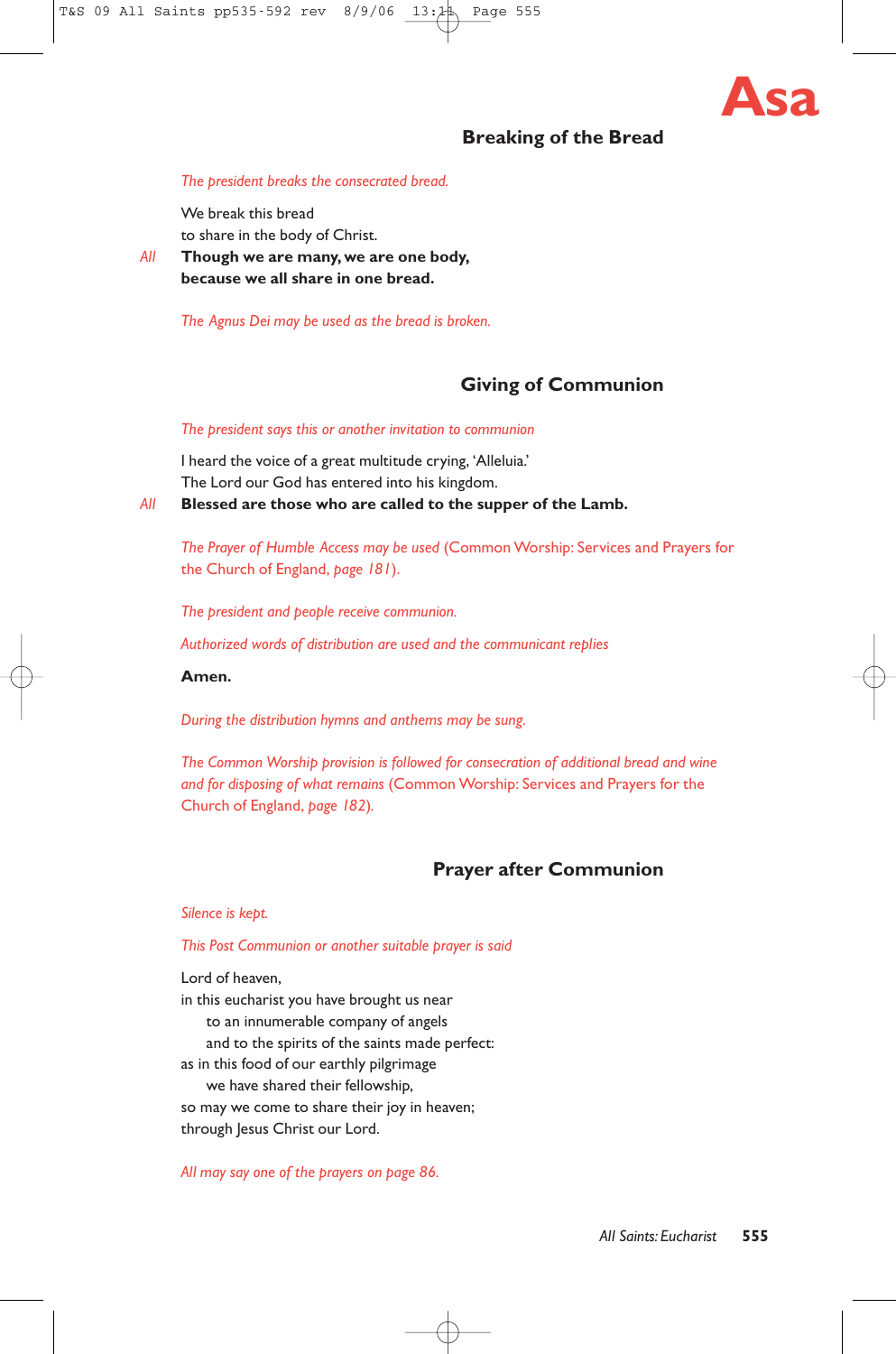

# **Breaking of the Bread**

#### *The president breaks the consecrated bread.*

We break this bread to share in the body of Christ.

*All* **Though we are many, we are one body, because we all share in one bread.**

*The Agnus Dei may be used as the bread is broken.*

# **Giving of Communion**

#### *The president says this or another invitation to communion*

I heard the voice of a great multitude crying, 'Alleluia.' The Lord our God has entered into his kingdom.

*All* **Blessed are those who are called to the supper of the Lamb.**

*The Prayer of Humble Access may be used* (Common Worship: Services and Prayers for the Church of England, *page 181*).

*The president and people receive communion.*

*Authorized words of distribution are used and the communicant replies*

#### **Amen.**

*During the distribution hymns and anthems may be sung.*

*The Common Worship provision is followed for consecration of additional bread and wine and for disposing of what remains* (Common Worship: Services and Prayers for the Church of England, *page 182*)*.*

# **Prayer after Communion**

#### *Silence is kept.*

#### *This Post Communion or another suitable prayer is said*

Lord of heaven,

in this eucharist you have brought us near to an innumerable company of angels and to the spirits of the saints made perfect: as in this food of our earthly pilgrimage we have shared their fellowship, so may we come to share their joy in heaven; through Jesus Christ our Lord.

*All may say one of the prayers on page 86.*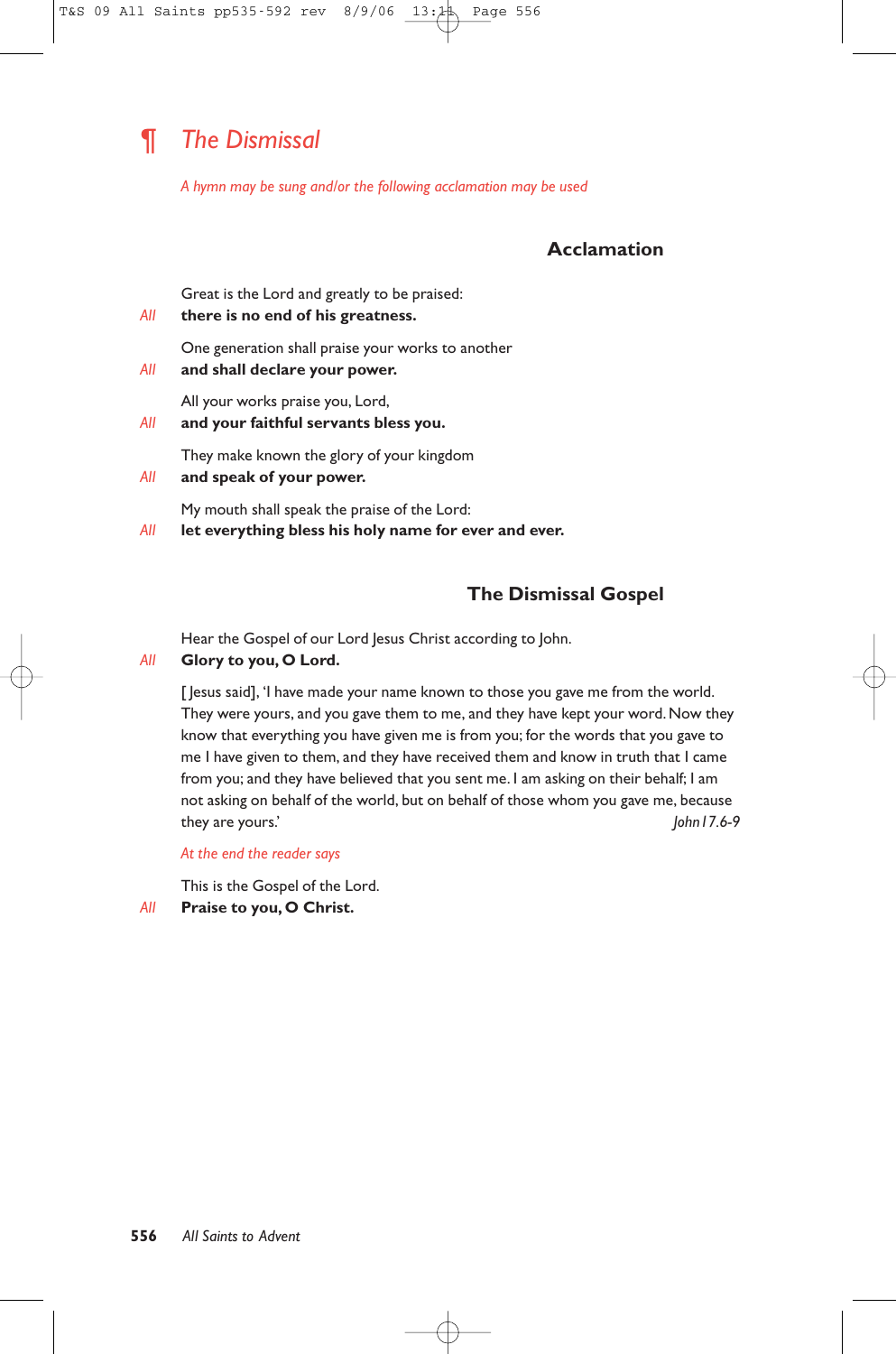# *¶ The Dismissal*

*A hymn may be sung and/or the following acclamation may be used*

# **Acclamation**

Great is the Lord and greatly to be praised:

*All* **there is no end of his greatness.**

One generation shall praise your works to another

*All* **and shall declare your power.**

All your works praise you, Lord,

*All* **and your faithful servants bless you.**

They make known the glory of your kingdom

*All* **and speak of your power.**

My mouth shall speak the praise of the Lord:

*All* **let everything bless his holy name for ever and ever.**

# **The Dismissal Gospel**

Hear the Gospel of our Lord Jesus Christ according to John.

## *All* **Glory to you, O Lord.**

[  $|$ esus said], 'I have made your name known to those you gave me from the world. They were yours, and you gave them to me, and they have kept your word. Now they know that everything you have given me is from you; for the words that you gave to me I have given to them, and they have received them and know in truth that I came from you; and they have believed that you sent me. I am asking on their behalf; I am not asking on behalf of the world, but on behalf of those whom you gave me, because they are yours.' *John17.6-9*

*At the end the reader says*

This is the Gospel of the Lord.

*All* **Praise to you, O Christ.**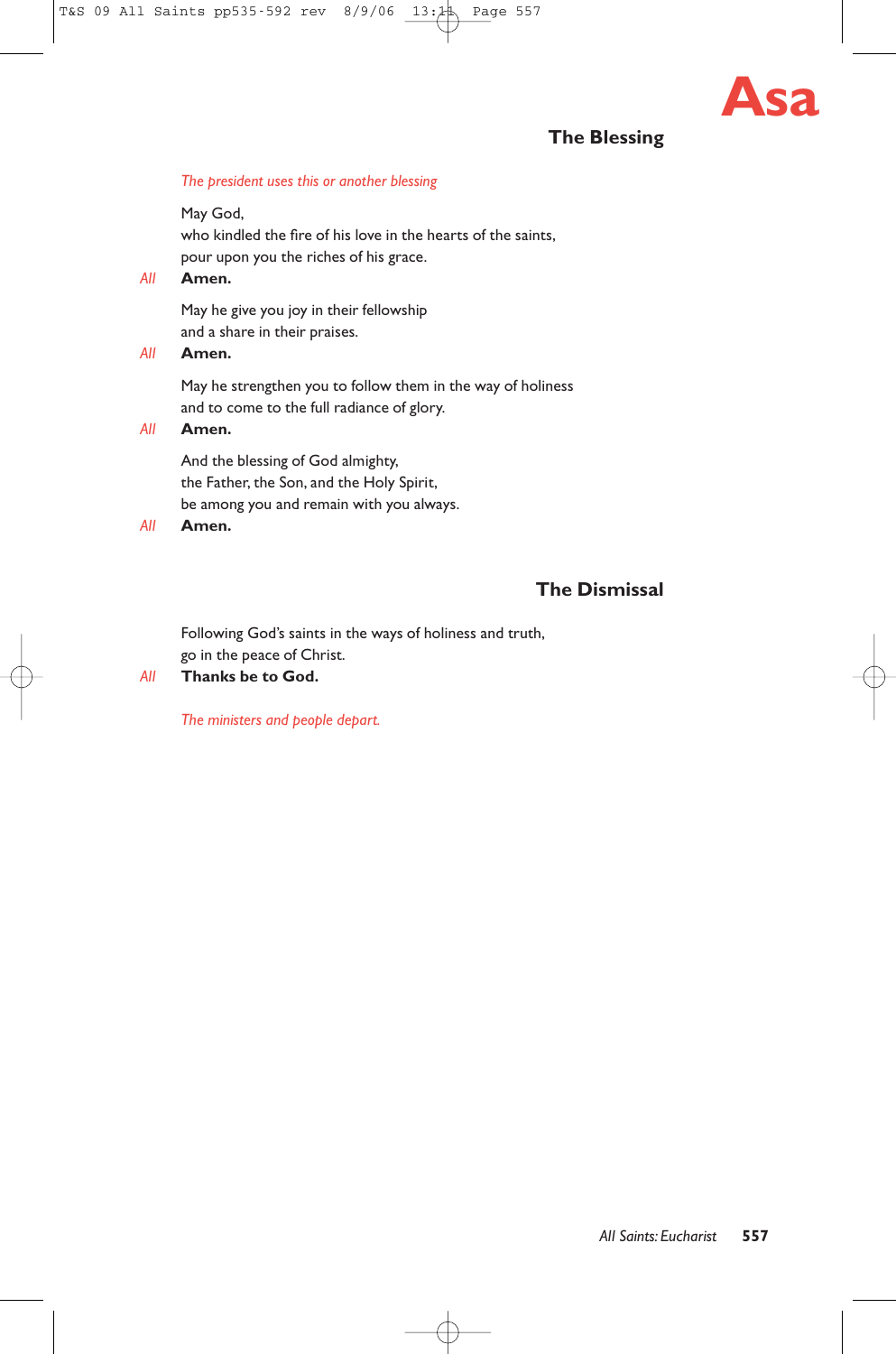

# **The Blessing**

#### *The president uses this or another blessing*

May God, who kindled the fire of his love in the hearts of the saints, pour upon you the riches of his grace.

*All* **Amen.**

May he give you joy in their fellowship and a share in their praises.

# *All* **Amen.**

May he strengthen you to follow them in the way of holiness and to come to the full radiance of glory.

*All* **Amen.**

And the blessing of God almighty, the Father, the Son, and the Holy Spirit, be among you and remain with you always.

*All* **Amen.**

# **The Dismissal**

Following God's saints in the ways of holiness and truth, go in the peace of Christ.

# *All* **Thanks be to God.**

*The ministers and people depart.*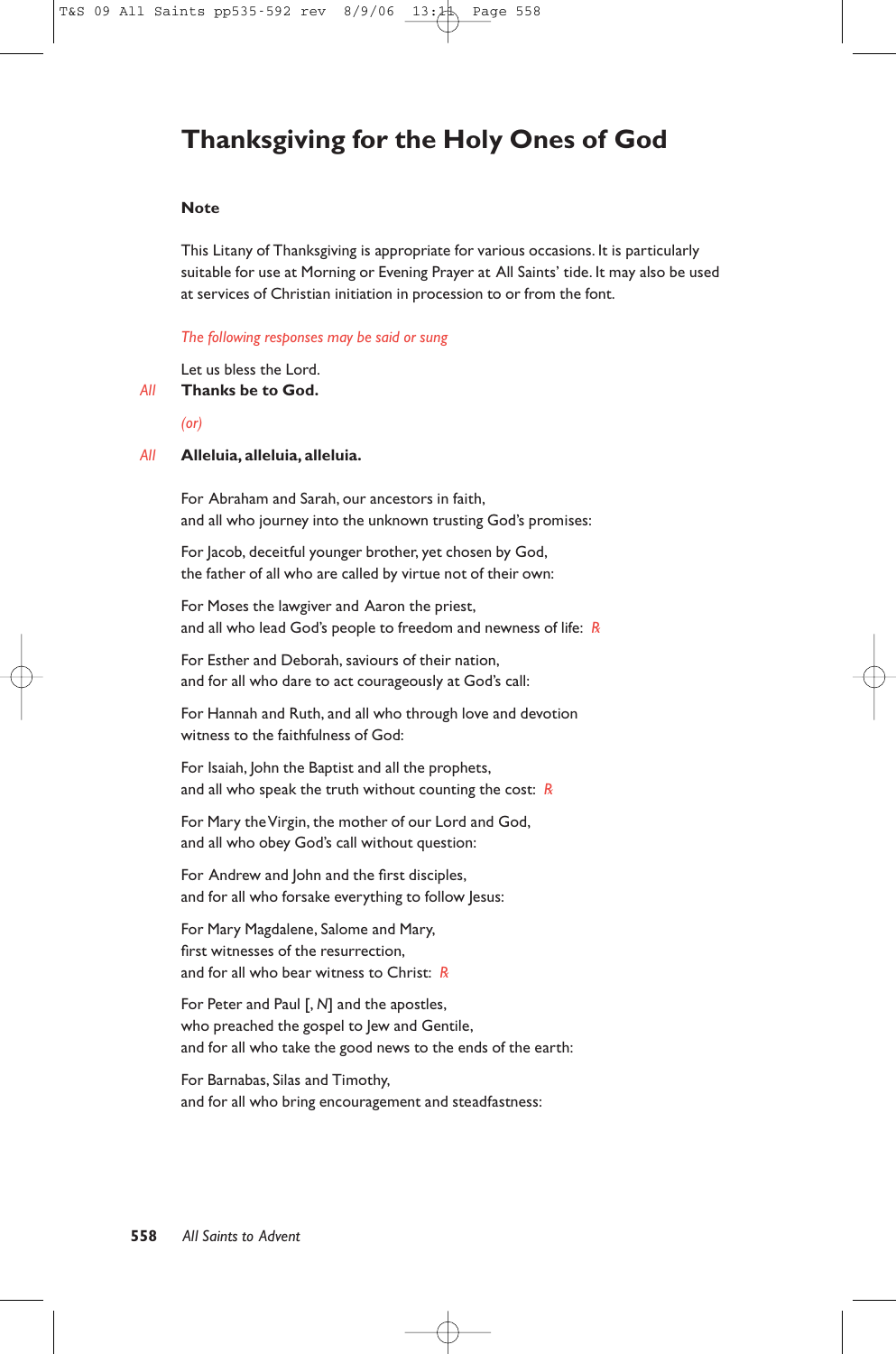# **Thanksgiving for the Holy Ones of God**

# **Note**

This Litany of Thanksgiving is appropriate for various occasions. It is particularly suitable for use at Morning or Evening Prayer at All Saints' tide. It may also be used at services of Christian initiation in procession to or from the font.

#### *The following responses may be said or sung*

Let us bless the Lord.

## *All* **Thanks be to God.**

*(or)*

#### *All* **Alleluia, alleluia, alleluia.**

For Abraham and Sarah, our ancestors in faith, and all who journey into the unknown trusting God's promises:

For Jacob, deceitful younger brother, yet chosen by God, the father of all who are called by virtue not of their own:

For Moses the lawgiver and Aaron the priest, and all who lead God's people to freedom and newness of life: *R*

For Esther and Deborah, saviours of their nation, and for all who dare to act courageously at God's call:

For Hannah and Ruth, and all who through love and devotion witness to the faithfulness of God:

For Isaiah, John the Baptist and all the prophets, and all who speak the truth without counting the cost: *R*

For Mary the Virgin, the mother of our Lord and God, and all who obey God's call without question:

For Andrew and John and the first disciples, and for all who forsake everything to follow Jesus:

For Mary Magdalene, Salome and Mary, first witnesses of the resurrection, and for all who bear witness to Christ: *R*

For Peter and Paul [, *N*] and the apostles, who preached the gospel to Jew and Gentile, and for all who take the good news to the ends of the earth:

For Barnabas, Silas and Timothy, and for all who bring encouragement and steadfastness: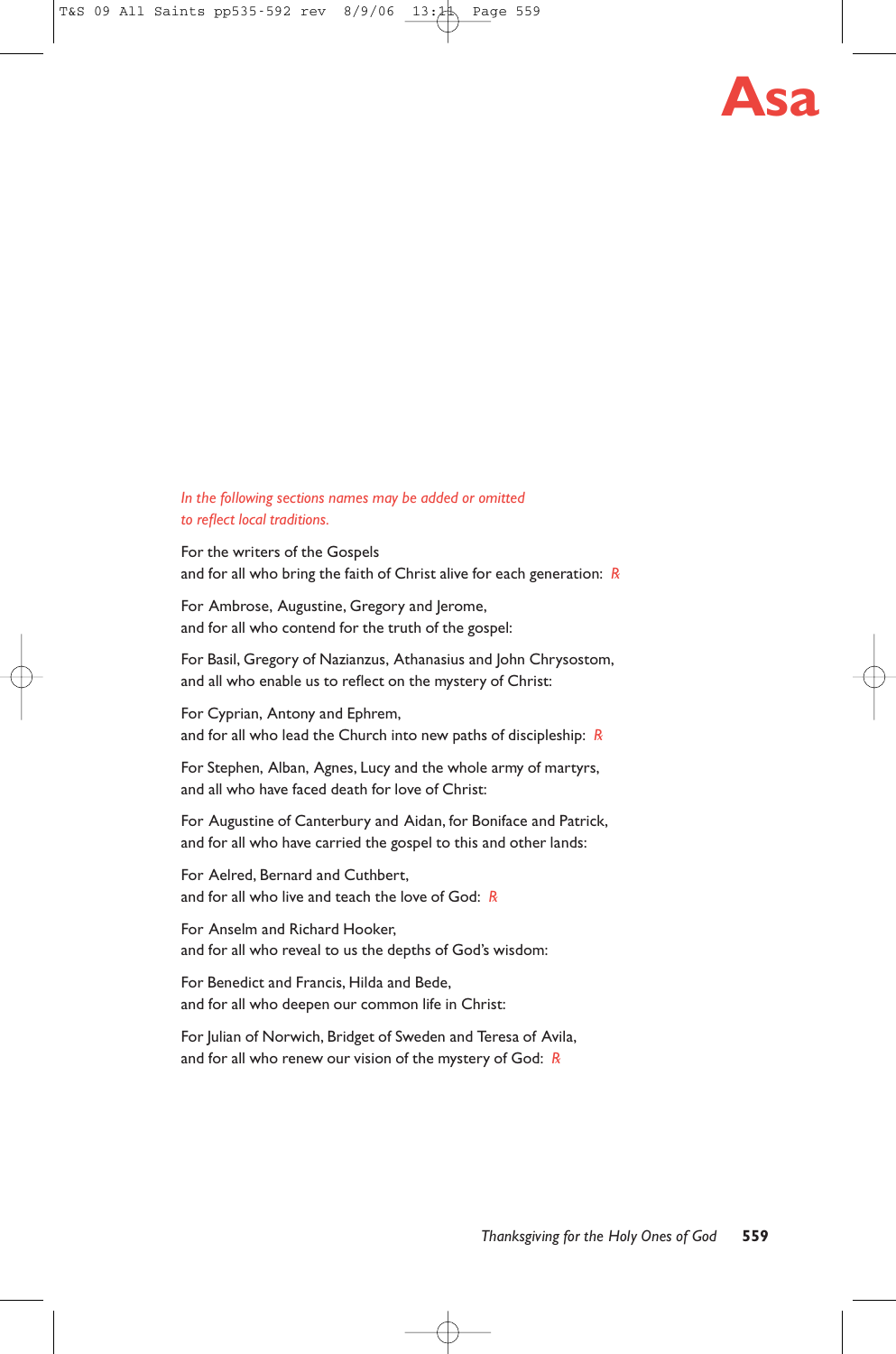

# *In the following sections names may be added or omitted to reflect local traditions.*

For the writers of the Gospels and for all who bring the faith of Christ alive for each generation: *R*

For Ambrose, Augustine, Gregory and Jerome, and for all who contend for the truth of the gospel:

For Basil, Gregory of Nazianzus, Athanasius and John Chrysostom, and all who enable us to reflect on the mystery of Christ:

For Cyprian, Antony and Ephrem, and for all who lead the Church into new paths of discipleship: *R*

For Stephen, Alban, Agnes, Lucy and the whole army of martyrs, and all who have faced death for love of Christ:

For Augustine of Canterbury and Aidan, for Boniface and Patrick, and for all who have carried the gospel to this and other lands:

For Aelred, Bernard and Cuthbert, and for all who live and teach the love of God: *R*

For Anselm and Richard Hooker, and for all who reveal to us the depths of God's wisdom:

For Benedict and Francis, Hilda and Bede, and for all who deepen our common life in Christ:

For Julian of Norwich, Bridget of Sweden and Teresa of Avila, and for all who renew our vision of the mystery of God: *R*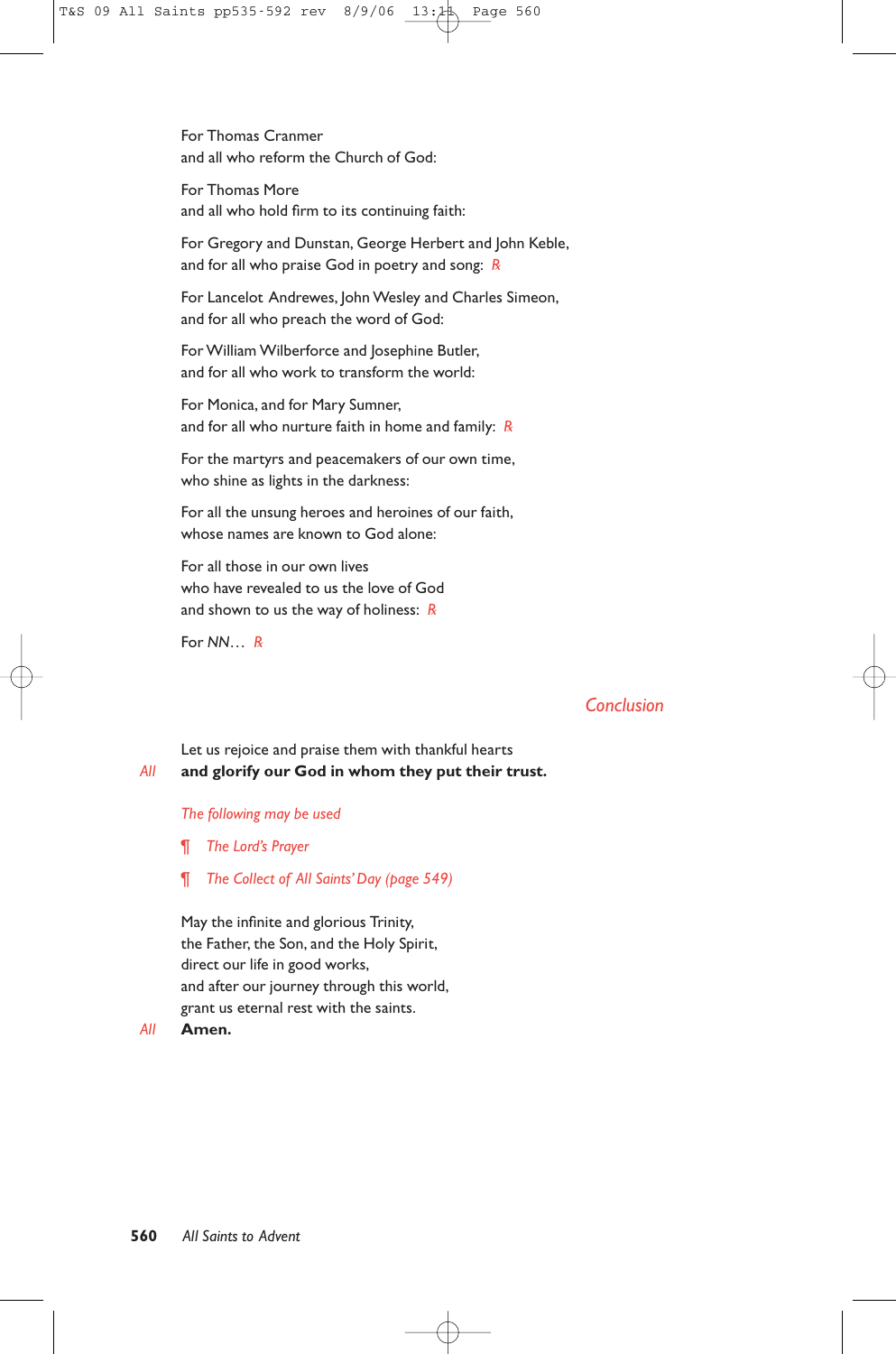For Thomas Cranmer and all who reform the Church of God:

For Thomas More and all who hold firm to its continuing faith:

For Gregory and Dunstan, George Herbert and John Keble, and for all who praise God in poetry and song: *R*

For Lancelot Andrewes, John Wesley and Charles Simeon, and for all who preach the word of God:

For William Wilberforce and Josephine Butler, and for all who work to transform the world:

For Monica, and for Mary Sumner, and for all who nurture faith in home and family: *R*

For the martyrs and peacemakers of our own time, who shine as lights in the darkness:

For all the unsung heroes and heroines of our faith, whose names are known to God alone:

For all those in our own lives who have revealed to us the love of God and shown to us the way of holiness: *R*

For *NN*… *R*

# *Conclusion*

# Let us rejoice and praise them with thankful hearts *All* **and glorify our God in whom they put their trust.**

#### *The following may be used*

¶ *The Lord's Prayer*

¶ *The Collect of All Saints' Day (page 549)*

May the infinite and glorious Trinity, the Father, the Son, and the Holy Spirit, direct our life in good works, and after our journey through this world, grant us eternal rest with the saints.

#### *All* **Amen.**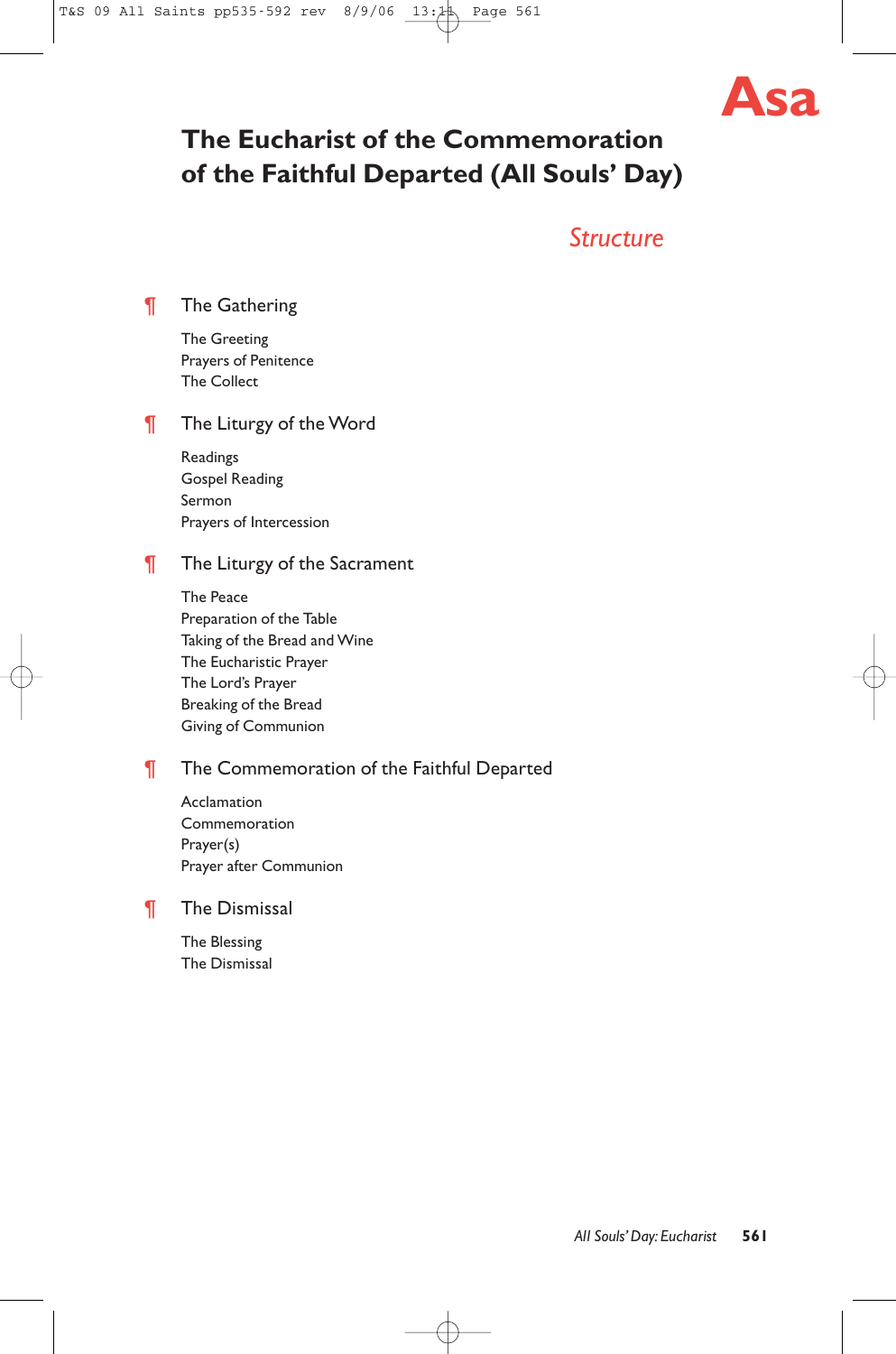

# **The Eucharist of the Commemoration of the Faithful Departed (All Souls' Day)**

# *Structure*

¶ The Gathering

The Greeting Prayers of Penitence The Collect

# **The Liturgy of the Word**

Readings Gospel Reading Sermon Prayers of Intercession

# **The Liturgy of the Sacrament**

The Peace Preparation of the Table Taking of the Bread and Wine The Eucharistic Prayer The Lord's Prayer Breaking of the Bread Giving of Communion

# **The Commemoration of the Faithful Departed**

Acclamation Commemoration Prayer(s) Prayer after Communion

# ¶ The Dismissal

The Blessing The Dismissal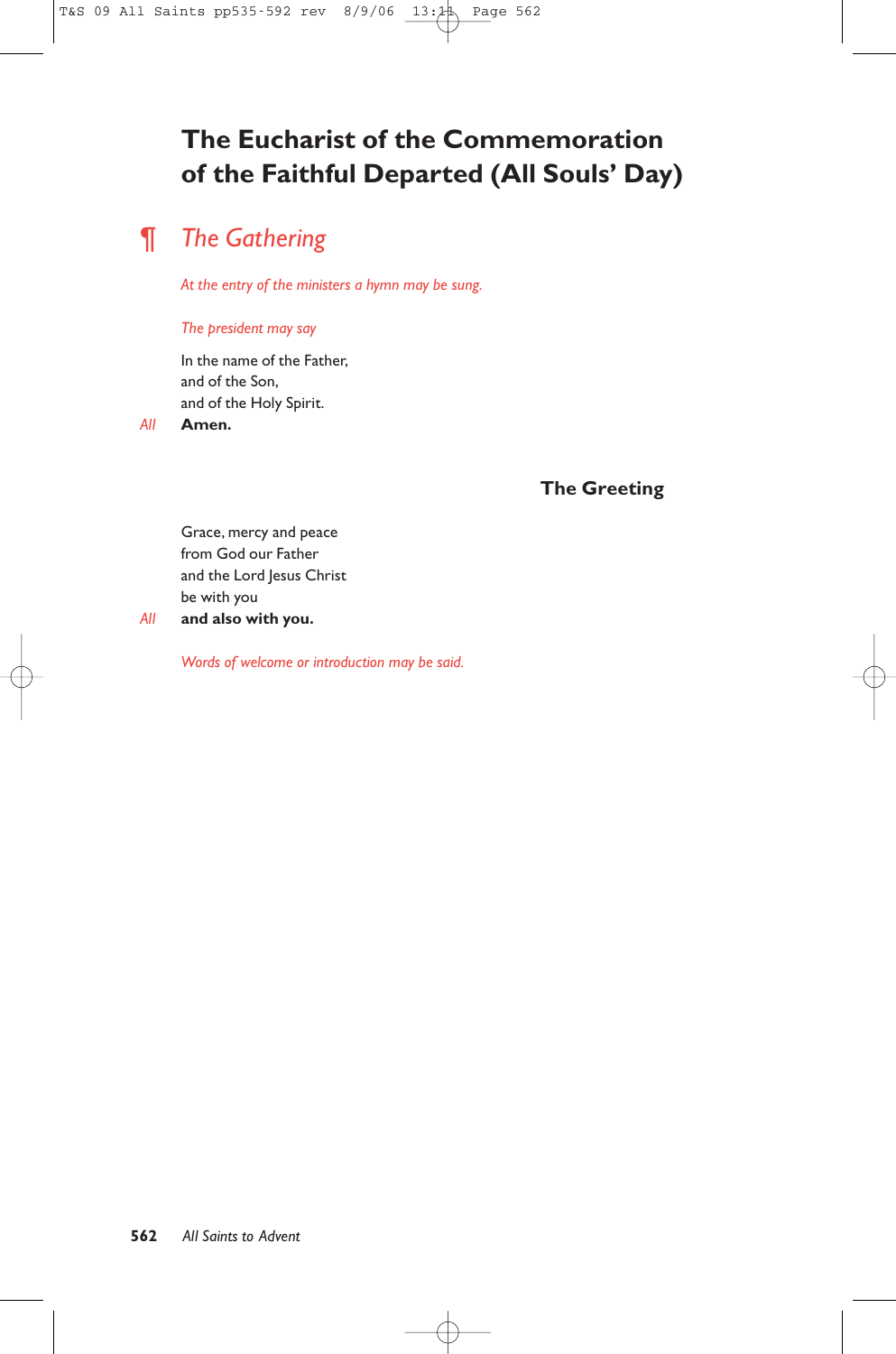# **The Eucharist of the Commemoration of the Faithful Departed (All Souls' Day)**

# ¶ *The Gathering*

*At the entry of the ministers a hymn may be sung.*

## *The president may say*

In the name of the Father, and of the Son, and of the Holy Spirit.

*All* **Amen.**

# **The Greeting**

Grace, mercy and peace from God our Father and the Lord Jesus Christ be with you *All* **and also with you.**

*Words of welcome or introduction may be said.*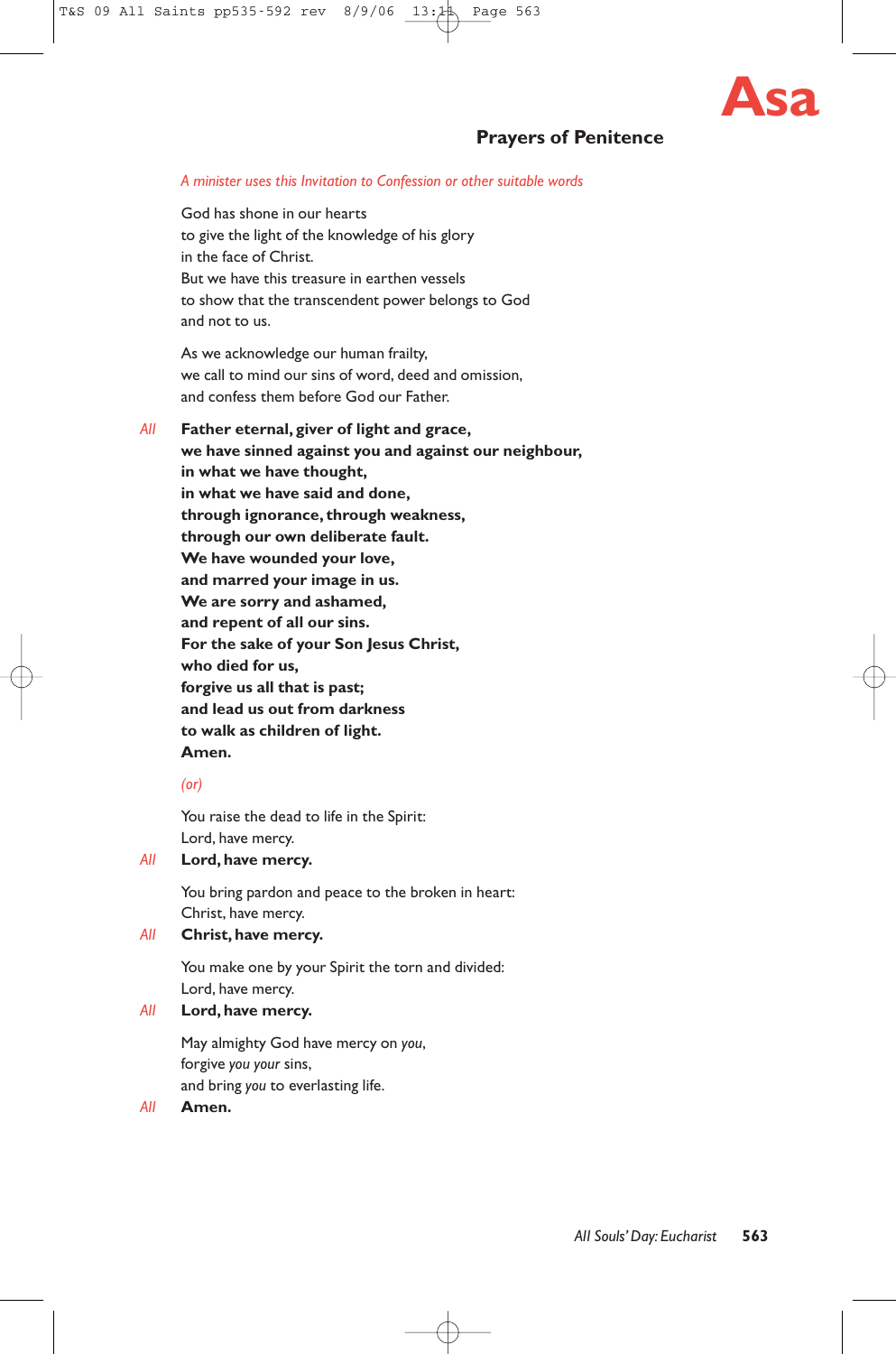

# **Prayers of Penitence**

#### *A minister uses this Invitation to Confession or other suitable words*

God has shone in our hearts to give the light of the knowledge of his glory in the face of Christ. But we have this treasure in earthen vessels to show that the transcendent power belongs to God and not to us.

As we acknowledge our human frailty, we call to mind our sins of word, deed and omission, and confess them before God our Father.

*All* **Father eternal, giver of light and grace, we have sinned against you and against our neighbour, in what we have thought, in what we have said and done, through ignorance, through weakness, through our own deliberate fault. We have wounded your love, and marred your image in us. We are sorry and ashamed, and repent of all our sins. For the sake of your Son Jesus Christ, who died for us, forgive us all that is past; and lead us out from darkness to walk as children of light. Amen.**

# *(or)*

You raise the dead to life in the Spirit: Lord, have mercy.

# *All* **Lord, have mercy.**

You bring pardon and peace to the broken in heart: Christ, have mercy.

## *All* **Christ, have mercy.**

You make one by your Spirit the torn and divided: Lord, have mercy.

# *All* **Lord, have mercy.**

May almighty God have mercy on *you*, forgive *you your* sins, and bring *you* to everlasting life.

#### *All* **Amen.**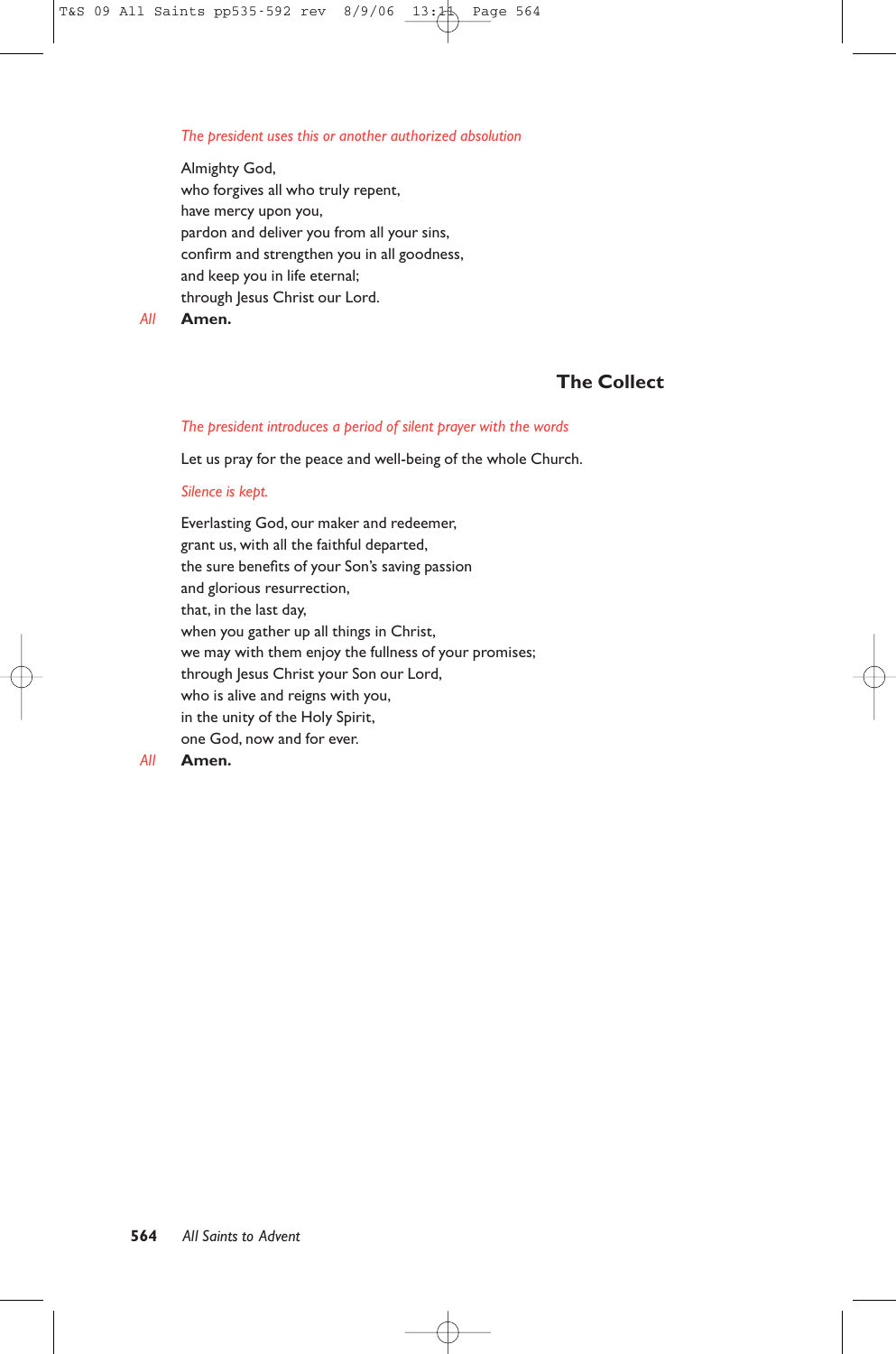#### *The president uses this or another authorized absolution*

Almighty God, who forgives all who truly repent, have mercy upon you, pardon and deliver you from all your sins, confirm and strengthen you in all goodness, and keep you in life eternal; through Jesus Christ our Lord.

*All* **Amen.**

# **The Collect**

#### *The president introduces a period of silent prayer with the words*

Let us pray for the peace and well-being of the whole Church.

#### *Silence is kept.*

Everlasting God, our maker and redeemer, grant us, with all the faithful departed, the sure benefits of your Son's saving passion and glorious resurrection, that, in the last day, when you gather up all things in Christ, we may with them enjoy the fullness of your promises; through Jesus Christ your Son our Lord, who is alive and reigns with you, in the unity of the Holy Spirit, one God, now and for ever.

# *All* **Amen.**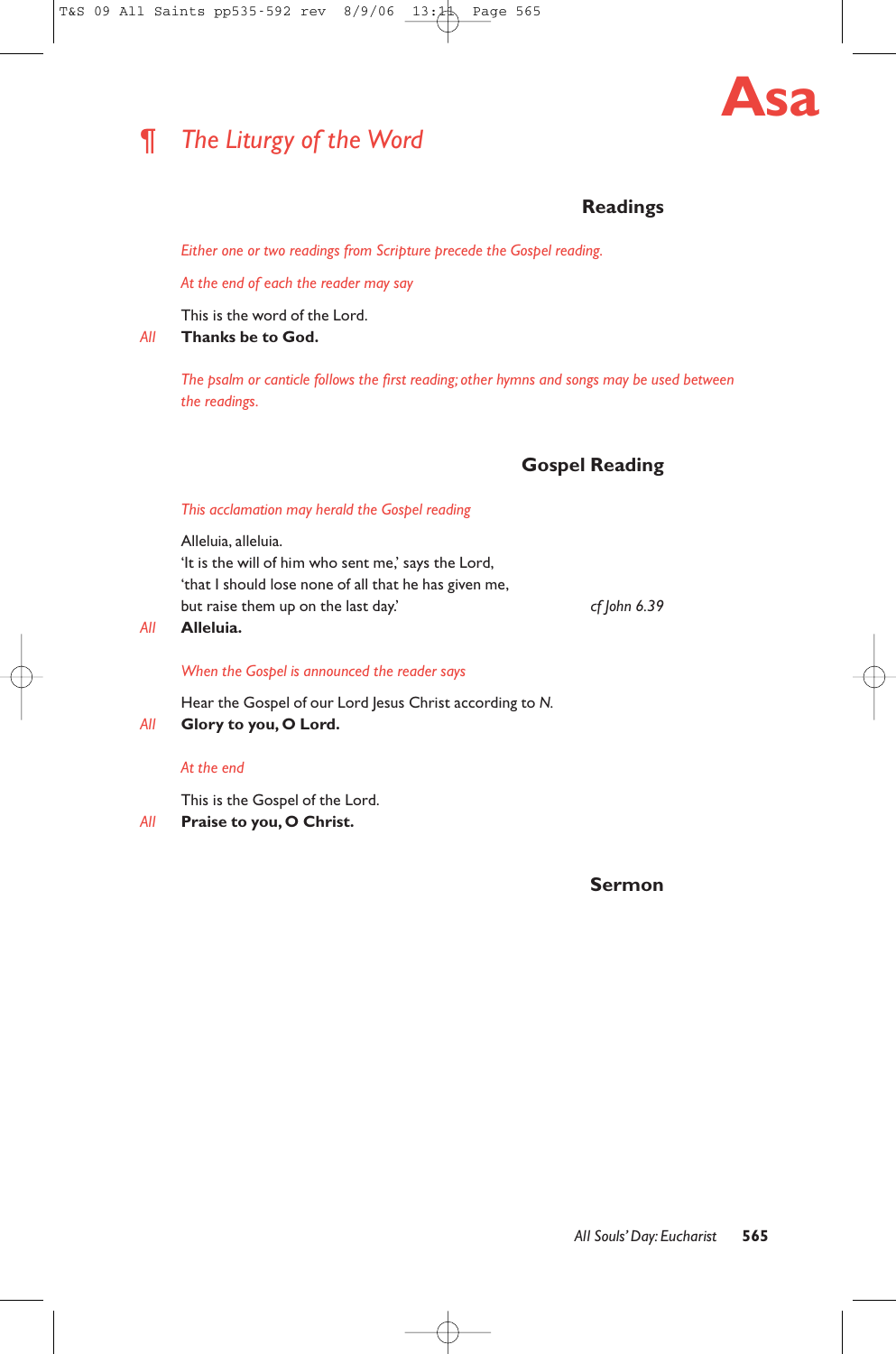# ¶ *The Liturgy of the Word*



# **Readings**

*Either one or two readings from Scripture precede the Gospel reading.*

*At the end of each the reader may say*

This is the word of the Lord.

*All* **Thanks be to God.**

*The psalm or canticle follows the first reading; other hymns and songs may be used between the readings.*

# **Gospel Reading**

## *This acclamation may herald the Gospel reading*

Alleluia, alleluia. 'It is the will of him who sent me,' says the Lord, 'that I should lose none of all that he has given me, but raise them up on the last day.' *cf John 6.39*

*All* **Alleluia.**

## *When the Gospel is announced the reader says*

Hear the Gospel of our Lord Jesus Christ according to *N.*

*All* **Glory to you, O Lord.**

# *At the end*

This is the Gospel of the Lord.

*All* **Praise to you, O Christ.**

**Sermon**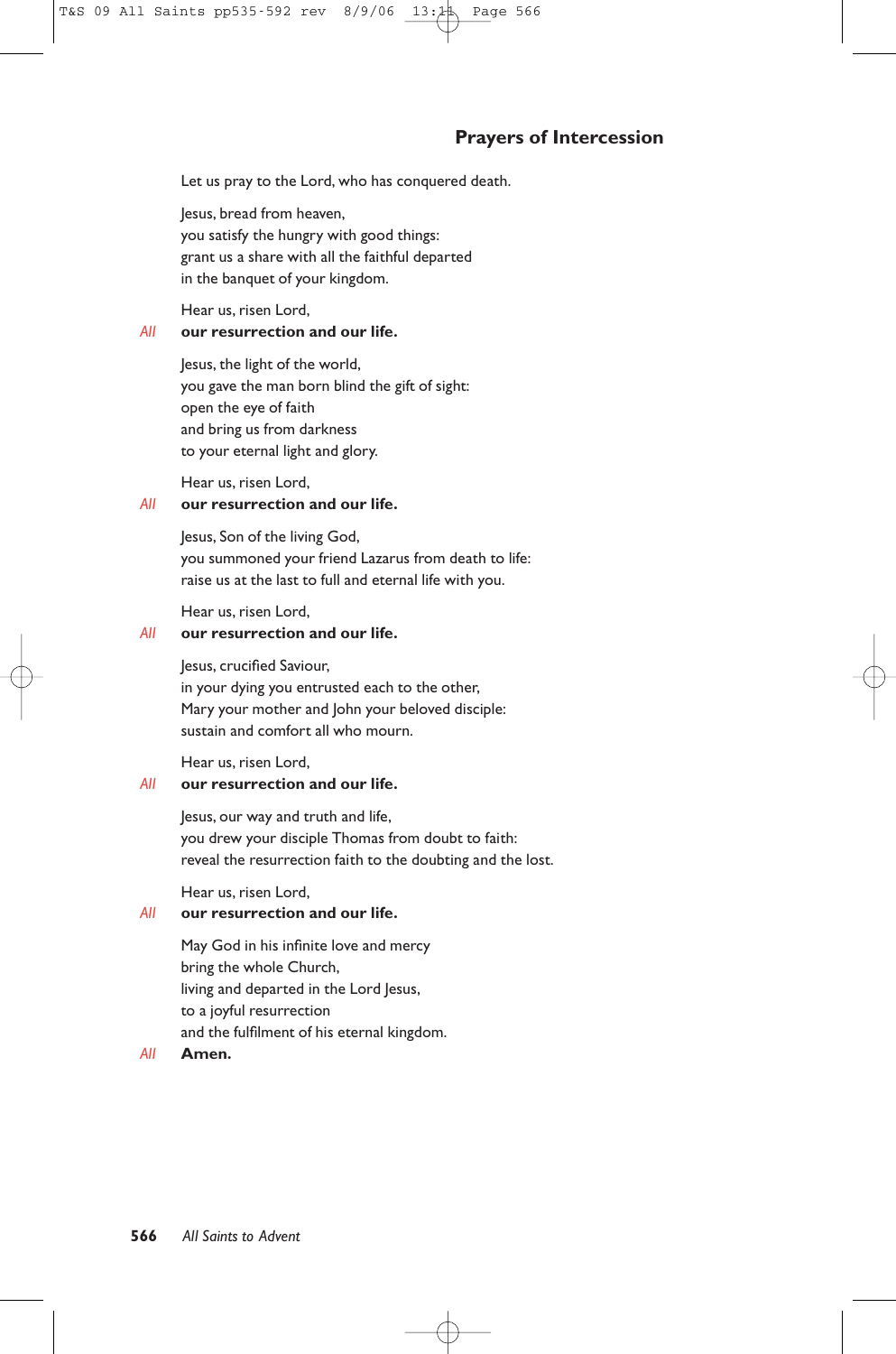# **Prayers of Intercession**

Let us pray to the Lord, who has conquered death.

Jesus, bread from heaven, you satisfy the hungry with good things: grant us a share with all the faithful departed in the banquet of your kingdom.

Hear us, risen Lord,

#### *All* **our resurrection and our life.**

Jesus, the light of the world, you gave the man born blind the gift of sight: open the eye of faith and bring us from darkness to your eternal light and glory.

Hear us, risen Lord,

# *All* **our resurrection and our life.**

Jesus, Son of the living God, you summoned your friend Lazarus from death to life: raise us at the last to full and eternal life with you.

Hear us, risen Lord,

## *All* **our resurrection and our life.**

Jesus, crucified Saviour, in your dying you entrusted each to the other, Mary your mother and John your beloved disciple: sustain and comfort all who mourn.

Hear us, risen Lord,

# *All* **our resurrection and our life.**

Jesus, our way and truth and life, you drew your disciple Thomas from doubt to faith: reveal the resurrection faith to the doubting and the lost.

Hear us, risen Lord,

# *All* **our resurrection and our life.**

May God in his infinite love and mercy bring the whole Church, living and departed in the Lord Jesus, to a joyful resurrection and the fulfilment of his eternal kingdom.

*All* **Amen.**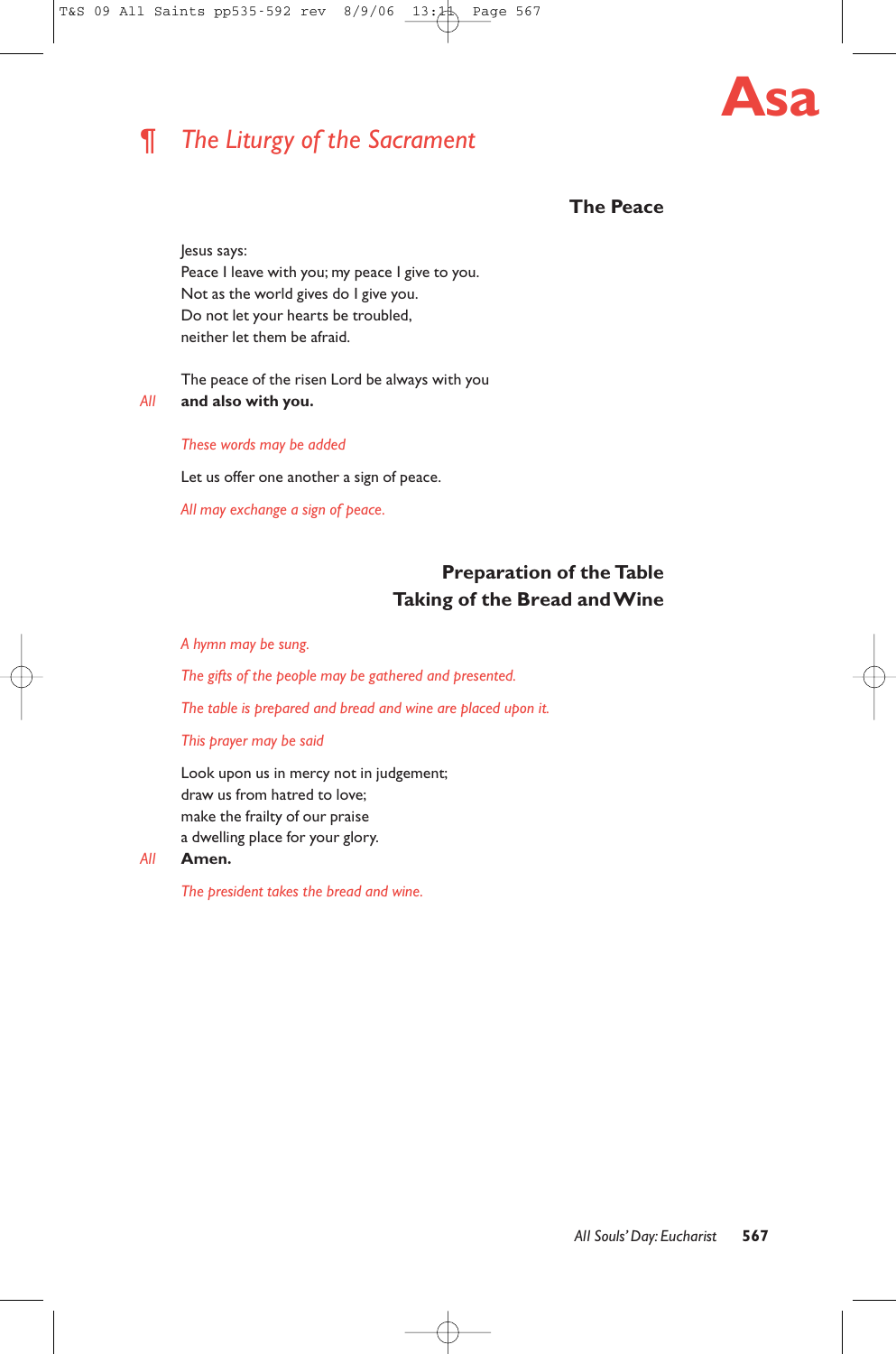# ¶ *The Liturgy of the Sacrament*



# **The Peace**

Jesus says: Peace I leave with you; my peace I give to you. Not as the world gives do I give you. Do not let your hearts be troubled, neither let them be afraid.

The peace of the risen Lord be always with you *All* **and also with you.**

*These words may be added*

Let us offer one another a sign of peace.

*All may exchange a sign of peace.*

# **Preparation of the Table Taking of the Bread and Wine**

*A hymn may be sung.*

*The gifts of the people may be gathered and presented.*

*The table is prepared and bread and wine are placed upon it.*

*This prayer may be said*

Look upon us in mercy not in judgement; draw us from hatred to love; make the frailty of our praise a dwelling place for your glory.

*All* **Amen.**

*The president takes the bread and wine.*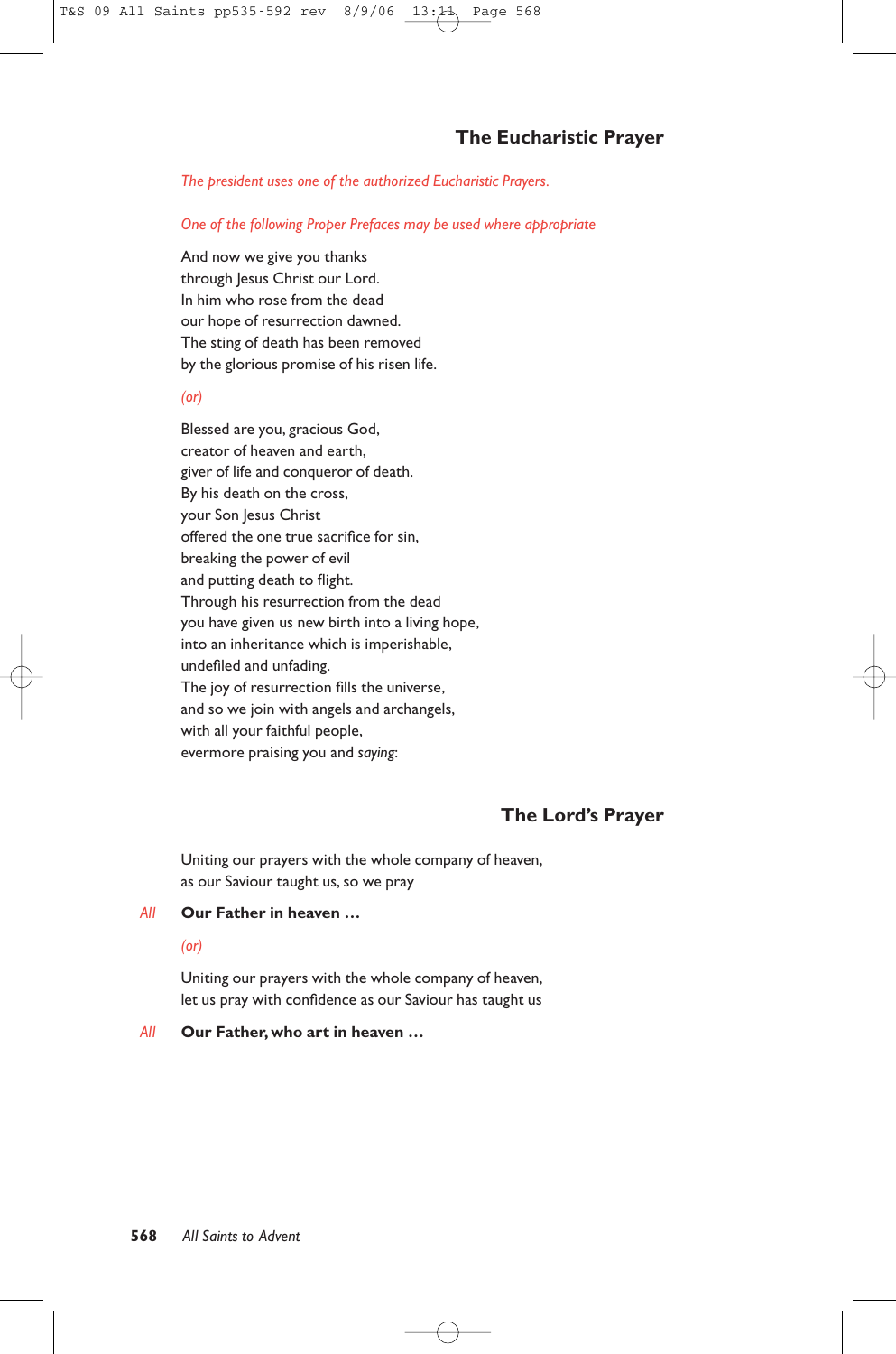*The president uses one of the authorized Eucharistic Prayers.*

*One of the following Proper Prefaces may be used where appropriate*

And now we give you thanks through Jesus Christ our Lord. In him who rose from the dead our hope of resurrection dawned. The sting of death has been removed by the glorious promise of his risen life.

## *(or)*

Blessed are you, gracious God, creator of heaven and earth, giver of life and conqueror of death. By his death on the cross, your Son Jesus Christ offered the one true sacrifice for sin, breaking the power of evil and putting death to flight. Through his resurrection from the dead you have given us new birth into a living hope, into an inheritance which is imperishable, undefiled and unfading. The joy of resurrection fills the universe, and so we join with angels and archangels, with all your faithful people, evermore praising you and *saying*:

# **The Lord's Prayer**

Uniting our prayers with the whole company of heaven, as our Saviour taught us, so we pray

# *All* **Our Father in heaven …**

# *(or)*

Uniting our prayers with the whole company of heaven, let us pray with confidence as our Saviour has taught us

# *All* **Our Father, who art in heaven …**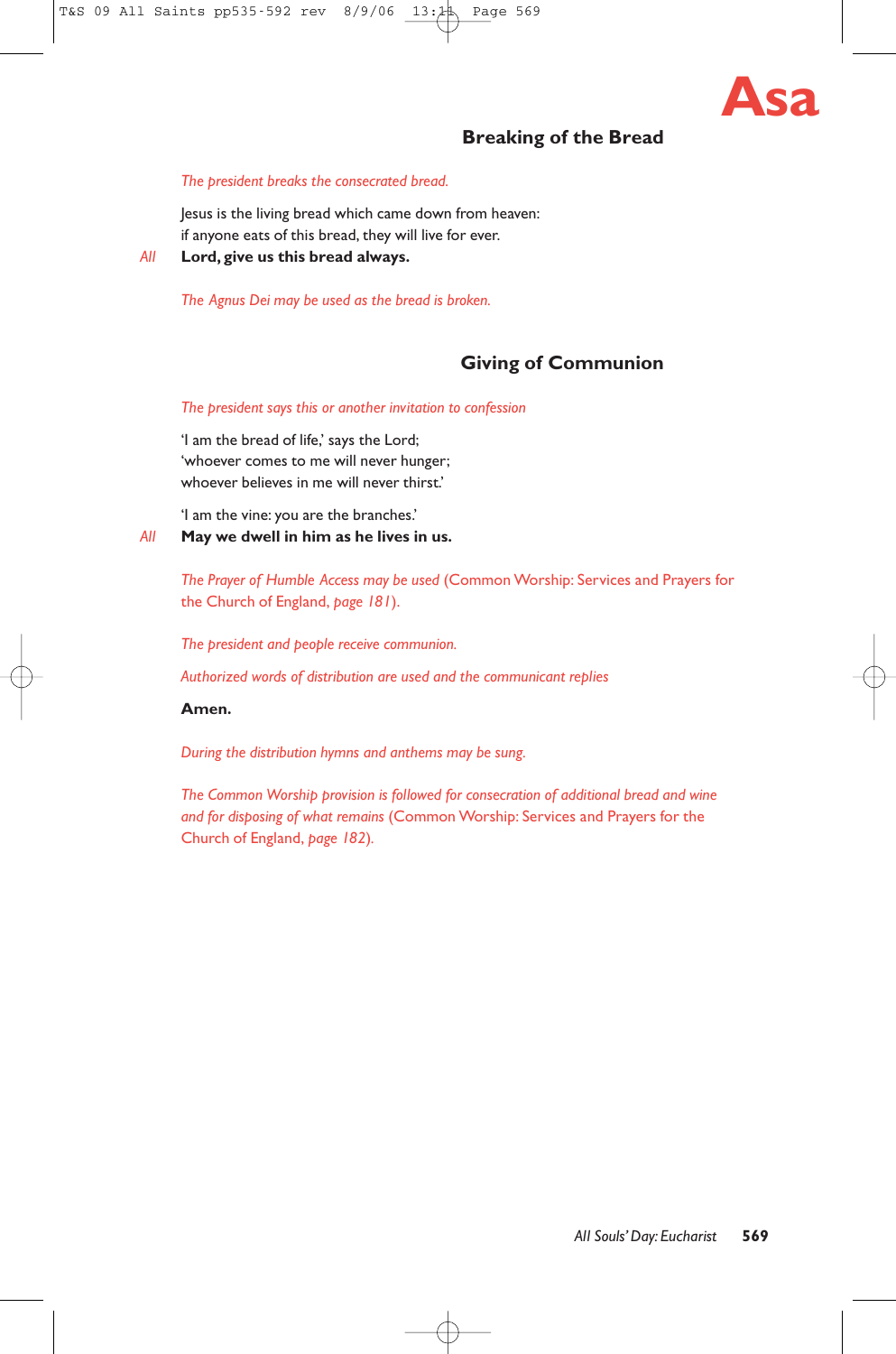

# **Breaking of the Bread**

#### *The president breaks the consecrated bread.*

Jesus is the living bread which came down from heaven: if anyone eats of this bread, they will live for ever.

*All* **Lord, give us this bread always.**

*The Agnus Dei may be used as the bread is broken.*

# **Giving of Communion**

#### *The president says this or another invitation to confession*

'I am the bread of life,' says the Lord; 'whoever comes to me will never hunger; whoever believes in me will never thirst.'

'I am the vine: you are the branches.'

# *All* **May we dwell in him as he lives in us.**

*The Prayer of Humble Access may be used* (Common Worship: Services and Prayers for the Church of England, *page 181*).

*The president and people receive communion.*

*Authorized words of distribution are used and the communicant replies*

#### **Amen.**

*During the distribution hymns and anthems may be sung.*

*The Common Worship provision is followed for consecration of additional bread and wine and for disposing of what remains* (Common Worship: Services and Prayers for the Church of England, *page 182*)*.*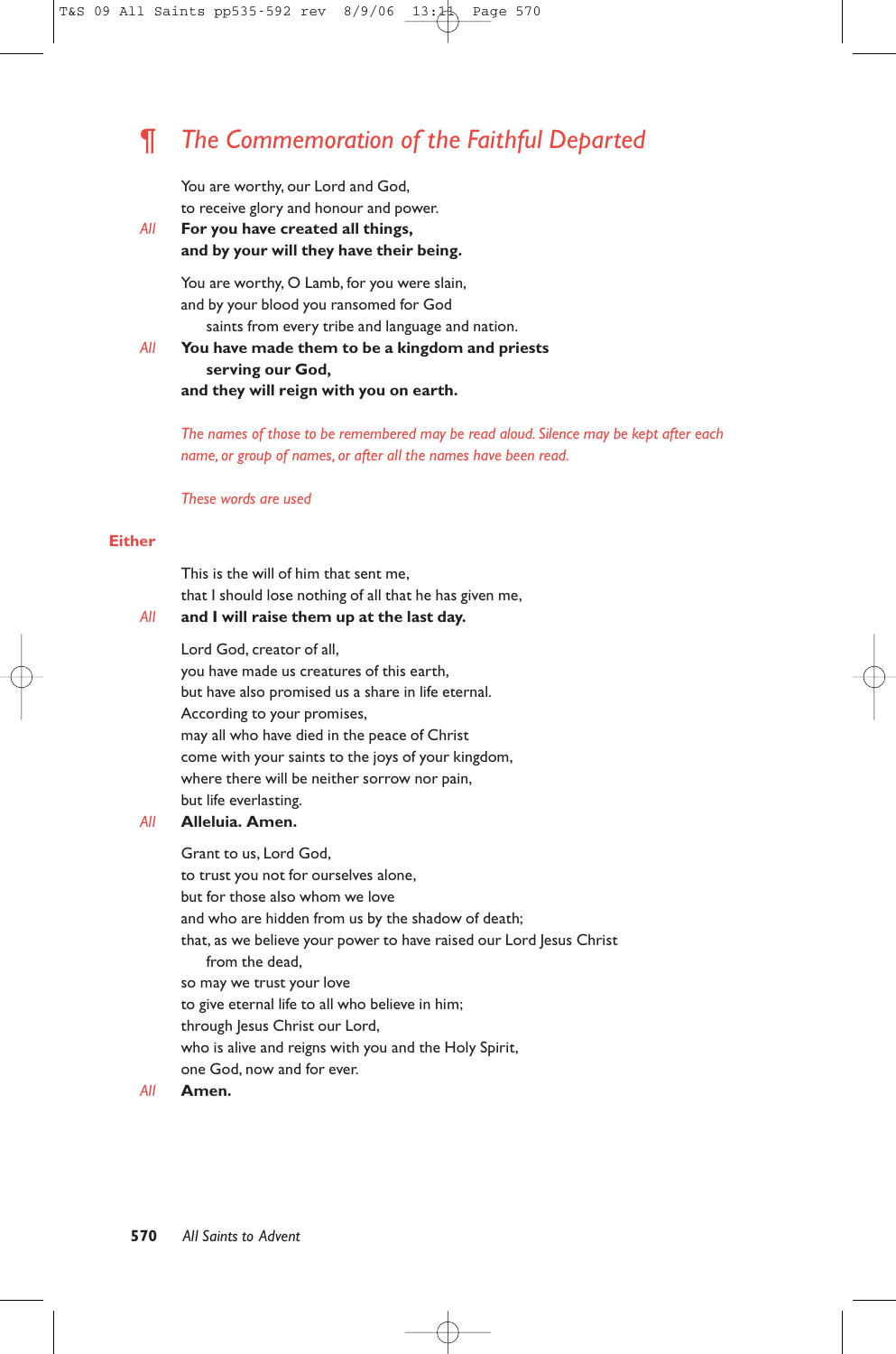# ¶ *The Commemoration of the Faithful Departed*

You are worthy, our Lord and God, to receive glory and honour and power.

*All* **For you have created all things, and by your will they have their being.**

> You are worthy, O Lamb, for you were slain, and by your blood you ransomed for God saints from every tribe and language and nation.

# *All* **You have made them to be a kingdom and priests serving our God, and they will reign with you on earth.**

*The names of those to be remembered may be read aloud. Silence may be kept after each name, or group of names, or after all the names have been read.*

#### *These words are used*

## **Either**

This is the will of him that sent me, that I should lose nothing of all that he has given me,

# *All* **and I will raise them up at the last day.**

Lord God, creator of all,

you have made us creatures of this earth, but have also promised us a share in life eternal. According to your promises, may all who have died in the peace of Christ come with your saints to the joys of your kingdom, where there will be neither sorrow nor pain, but life everlasting.

#### *All* **Alleluia. Amen.**

Grant to us, Lord God, to trust you not for ourselves alone, but for those also whom we love and who are hidden from us by the shadow of death; that, as we believe your power to have raised our Lord Jesus Christ from the dead, so may we trust your love to give eternal life to all who believe in him; through Jesus Christ our Lord, who is alive and reigns with you and the Holy Spirit, one God, now and for ever.

## *All* **Amen.**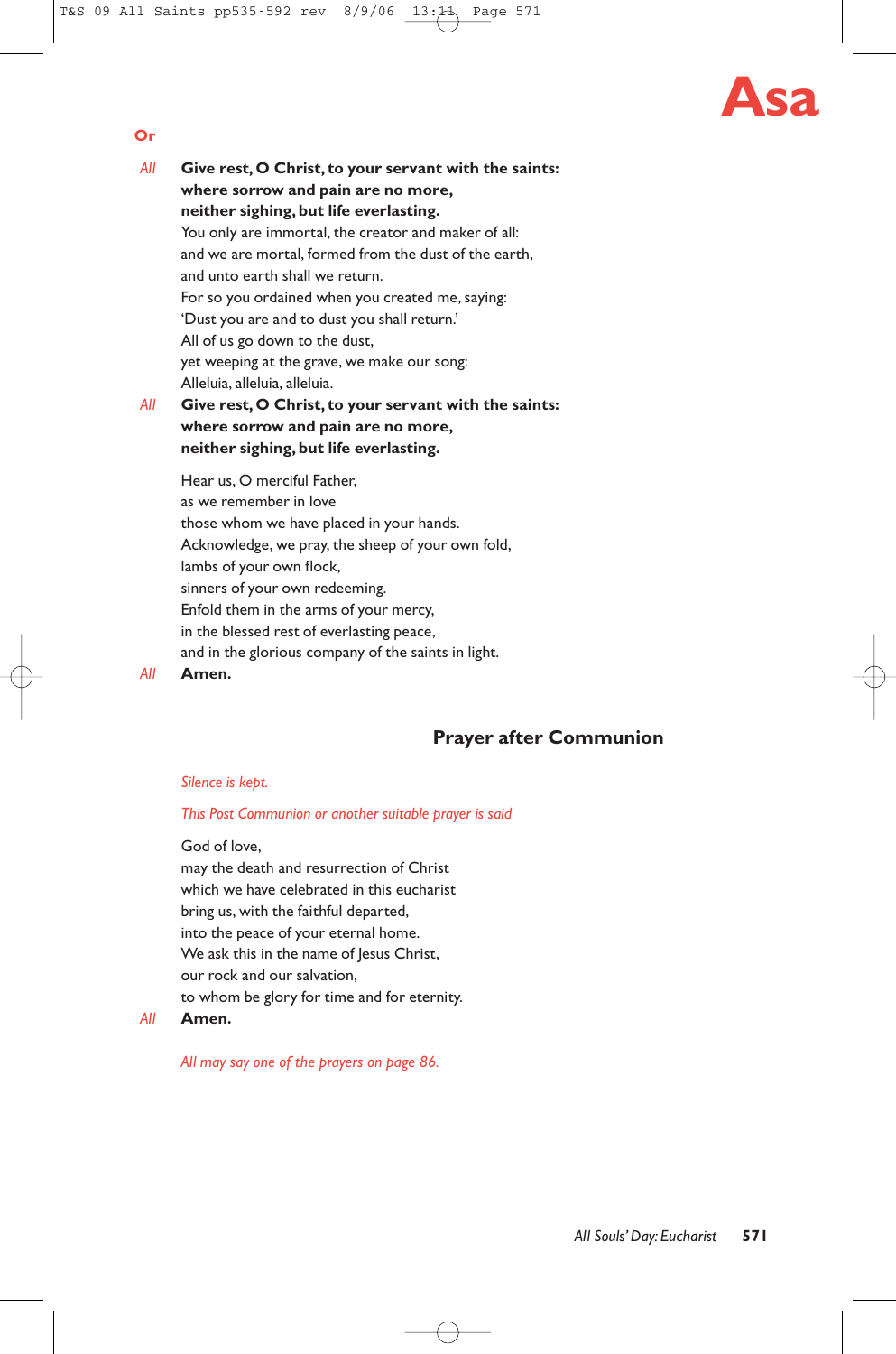# **Asa**

- *All* **Give rest, O Christ, to your servant with the saints: where sorrow and pain are no more, neither sighing, but life everlasting.** You only are immortal, the creator and maker of all: and we are mortal, formed from the dust of the earth, and unto earth shall we return. For so you ordained when you created me, saying: 'Dust you are and to dust you shall return.' All of us go down to the dust, yet weeping at the grave, we make our song: Alleluia, alleluia, alleluia. *All* **Give rest, O Christ, to your servant with the saints: where sorrow and pain are no more, neither sighing, but life everlasting.**
	- Hear us, O merciful Father, as we remember in love those whom we have placed in your hands. Acknowledge, we pray, the sheep of your own fold, lambs of your own flock, sinners of your own redeeming. Enfold them in the arms of your mercy, in the blessed rest of everlasting peace, and in the glorious company of the saints in light.

#### *All* **Amen.**

**Or**

# **Prayer after Communion**

#### *Silence is kept.*

#### *This Post Communion or another suitable prayer is said*

God of love,

may the death and resurrection of Christ which we have celebrated in this eucharist bring us, with the faithful departed, into the peace of your eternal home. We ask this in the name of Jesus Christ, our rock and our salvation, to whom be glory for time and for eternity.

#### *All* **Amen.**

*All may say one of the prayers on page 86.*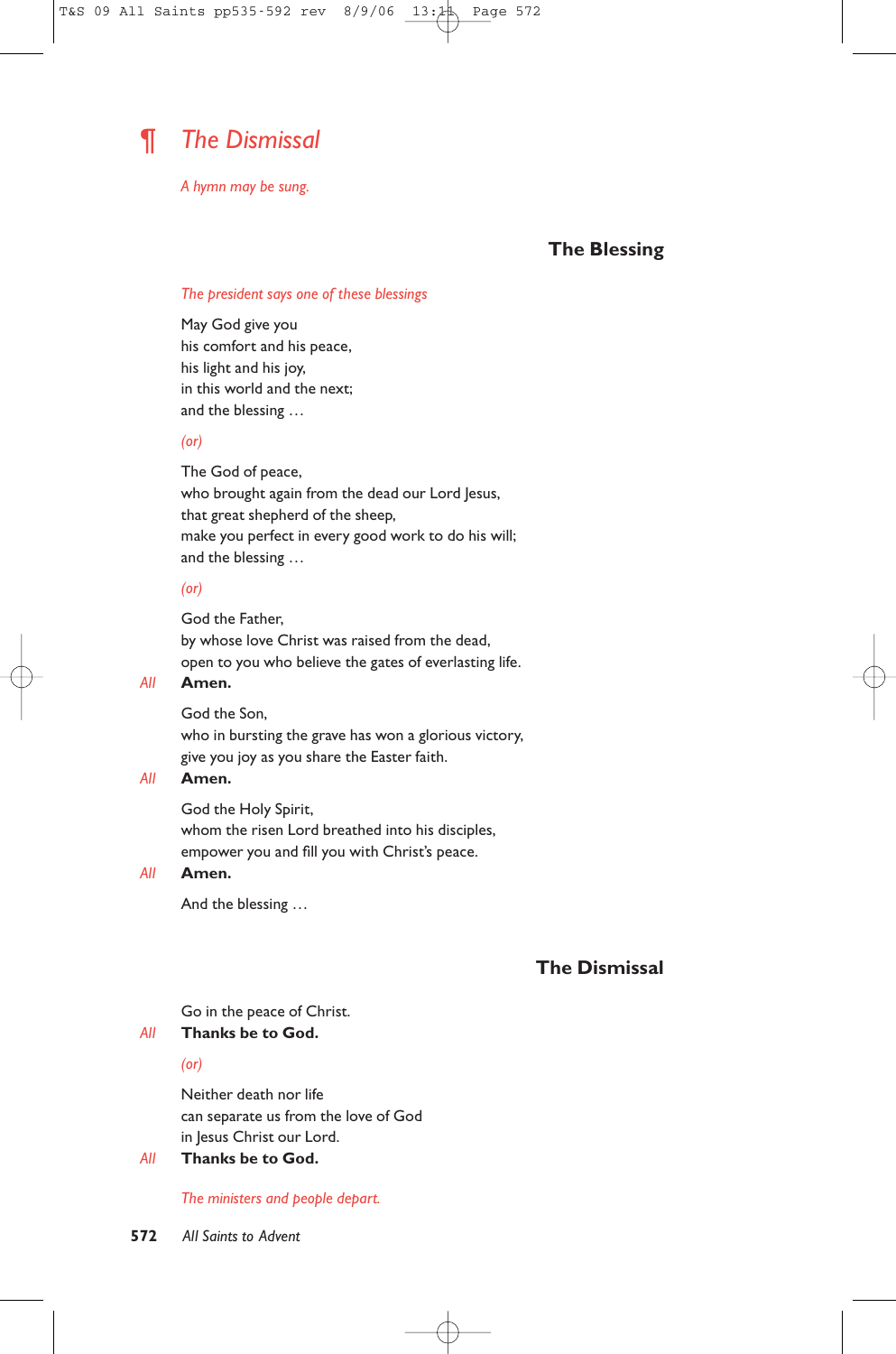

*A hymn may be sung.*

# **The Blessing**

## *The president says one of these blessings*

May God give you his comfort and his peace, his light and his joy, in this world and the next; and the blessing …

#### *(or)*

The God of peace, who brought again from the dead our Lord Jesus, that great shepherd of the sheep, make you perfect in every good work to do his will; and the blessing …

#### *(or)*

God the Father, by whose love Christ was raised from the dead, open to you who believe the gates of everlasting life.

## *All* **Amen.**

God the Son, who in bursting the grave has won a glorious victory, give you joy as you share the Easter faith.

# *All* **Amen.**

God the Holy Spirit, whom the risen Lord breathed into his disciples, empower you and fill you with Christ's peace.

# *All* **Amen.**

And the blessing …

# **The Dismissal**

#### Go in the peace of Christ.

#### *All* **Thanks be to God.**

*(or)*

Neither death nor life can separate us from the love of God in Jesus Christ our Lord.

## *All* **Thanks be to God.**

*The ministers and people depart.*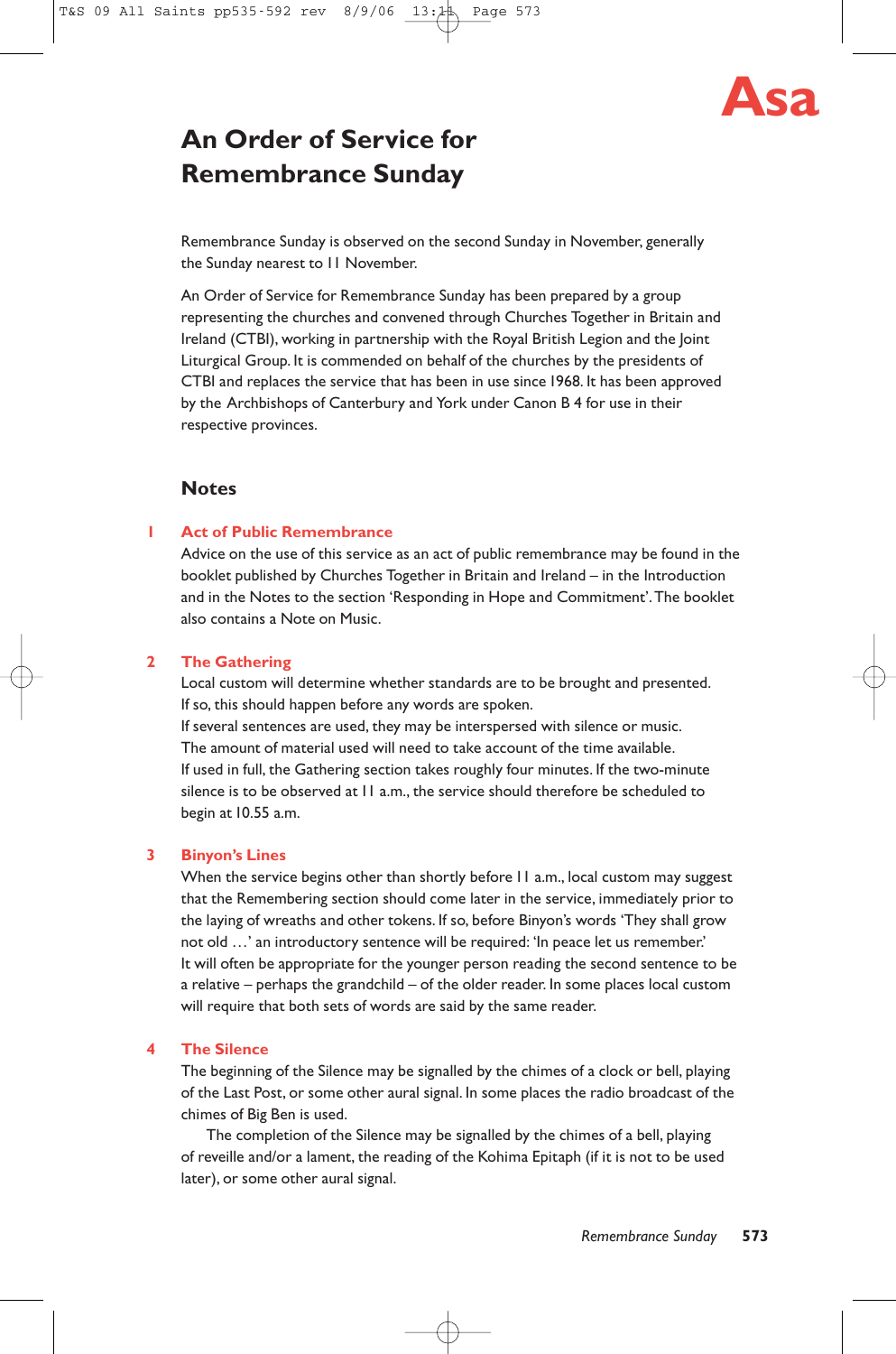

# **An Order of Service for Remembrance Sunday**

Remembrance Sunday is observed on the second Sunday in November, generally the Sunday nearest to 11 November.

An Order of Service for Remembrance Sunday has been prepared by a group representing the churches and convened through Churches Together in Britain and Ireland (CTBI), working in partnership with the Royal British Legion and the Joint Liturgical Group. It is commended on behalf of the churches by the presidents of CTBI and replaces the service that has been in use since 1968. It has been approved by the Archbishops of Canterbury and York under Canon B 4 for use in their respective provinces.

# **Notes**

## **1 Act of Public Remembrance**

Advice on the use of this service as an act of public remembrance may be found in the booklet published by Churches Together in Britain and Ireland – in the Introduction and in the Notes to the section 'Responding in Hope and Commitment'.The booklet also contains a Note on Music.

# **2 The Gathering**

Local custom will determine whether standards are to be brought and presented. If so, this should happen before any words are spoken.

If several sentences are used, they may be interspersed with silence or music. The amount of material used will need to take account of the time available. If used in full, the Gathering section takes roughly four minutes. If the two-minute silence is to be observed at 11 a.m., the service should therefore be scheduled to begin at 10.55 a.m.

#### **3 Binyon's Lines**

When the service begins other than shortly before 11 a.m., local custom may suggest that the Remembering section should come later in the service, immediately prior to the laying of wreaths and other tokens. If so, before Binyon's words 'They shall grow not old …' an introductory sentence will be required: 'In peace let us remember.' It will often be appropriate for the younger person reading the second sentence to be a relative – perhaps the grandchild – of the older reader. In some places local custom will require that both sets of words are said by the same reader.

#### **4 The Silence**

The beginning of the Silence may be signalled by the chimes of a clock or bell, playing of the Last Post, or some other aural signal. In some places the radio broadcast of the chimes of Big Ben is used.

The completion of the Silence may be signalled by the chimes of a bell, playing of reveille and/or a lament, the reading of the Kohima Epitaph (if it is not to be used later), or some other aural signal.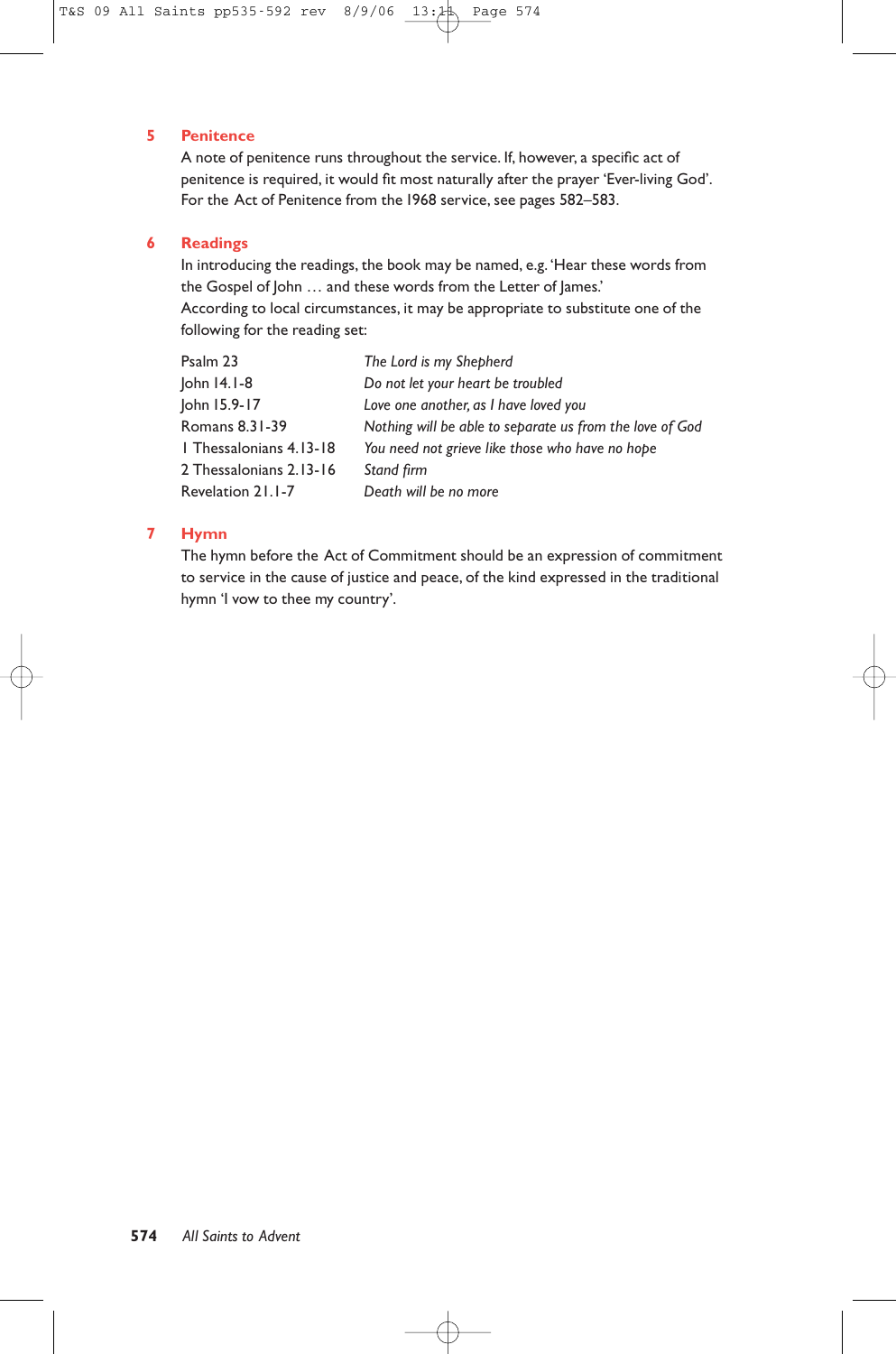# **5 Penitence**

A note of penitence runs throughout the service. If, however, a specific act of penitence is required, it would fit most naturally after the prayer 'Ever-living God'. For the Act of Penitence from the 1968 service, see pages 582–583.

#### **6 Readings**

In introducing the readings, the book may be named, e.g. 'Hear these words from the Gospel of John … and these words from the Letter of James.' According to local circumstances, it may be appropriate to substitute one of the following for the reading set:

| Psalm 23                | The Lord is my Shepherd                                  |
|-------------------------|----------------------------------------------------------|
| John 14.1-8             | Do not let your heart be troubled                        |
| John 15.9-17            | Love one another, as I have loved you                    |
| Romans 8.31-39          | Nothing will be able to separate us from the love of God |
| 1 Thessalonians 4.13-18 | You need not grieve like those who have no hope          |
| 2 Thessalonians 2.13-16 | Stand firm                                               |
| Revelation 21.1-7       | Death will be no more                                    |

# **7 Hymn**

The hymn before the Act of Commitment should be an expression of commitment to service in the cause of justice and peace, of the kind expressed in the traditional hymn 'I vow to thee my country'.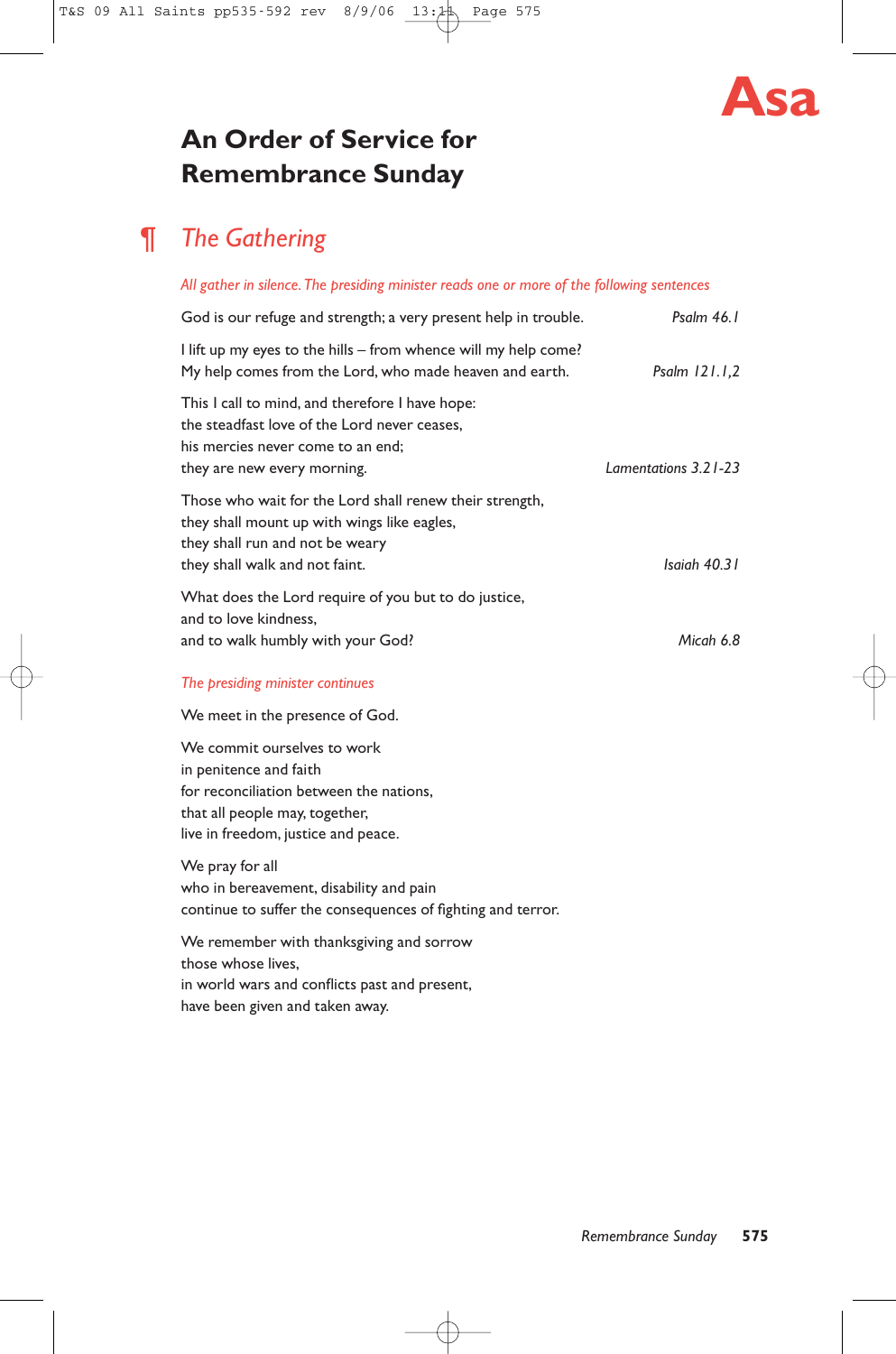

# **An Order of Service for Remembrance Sunday**

# ¶ *The Gathering*

# *All gather in silence.The presiding minister reads one or more of the following sentences*

| God is our refuge and strength; a very present help in trouble.                                                                                                             | Psalm 46.1           |
|-----------------------------------------------------------------------------------------------------------------------------------------------------------------------------|----------------------|
| l lift up my eyes to the hills – from whence will my help come?<br>My help comes from the Lord, who made heaven and earth.                                                  | Psalm $121.1,2$      |
| This I call to mind, and therefore I have hope:<br>the steadfast love of the Lord never ceases.<br>his mercies never come to an end;<br>they are new every morning.         | Lamentations 3.21-23 |
| Those who wait for the Lord shall renew their strength,<br>they shall mount up with wings like eagles,<br>they shall run and not be weary<br>they shall walk and not faint. | Isaiah 40.31         |
| What does the Lord require of you but to do justice,<br>and to love kindness,<br>and to walk humbly with your God?                                                          | Micah 6.8            |
| The presiding minister continues                                                                                                                                            |                      |
| We meet in the presence of God.                                                                                                                                             |                      |
| We commit ourselves to work<br>in penitence and faith<br>for reconciliation between the nations.<br>that all people may, together,<br>live in freedom, justice and peace.   |                      |
| We pray for all<br>who in bereavement, disability and pain<br>continue to suffer the consequences of fighting and terror.                                                   |                      |
| We remember with thanksgiving and sorrow<br>those whose lives.<br>in world wars and conflicts past and present,<br>have been given and taken away.                          |                      |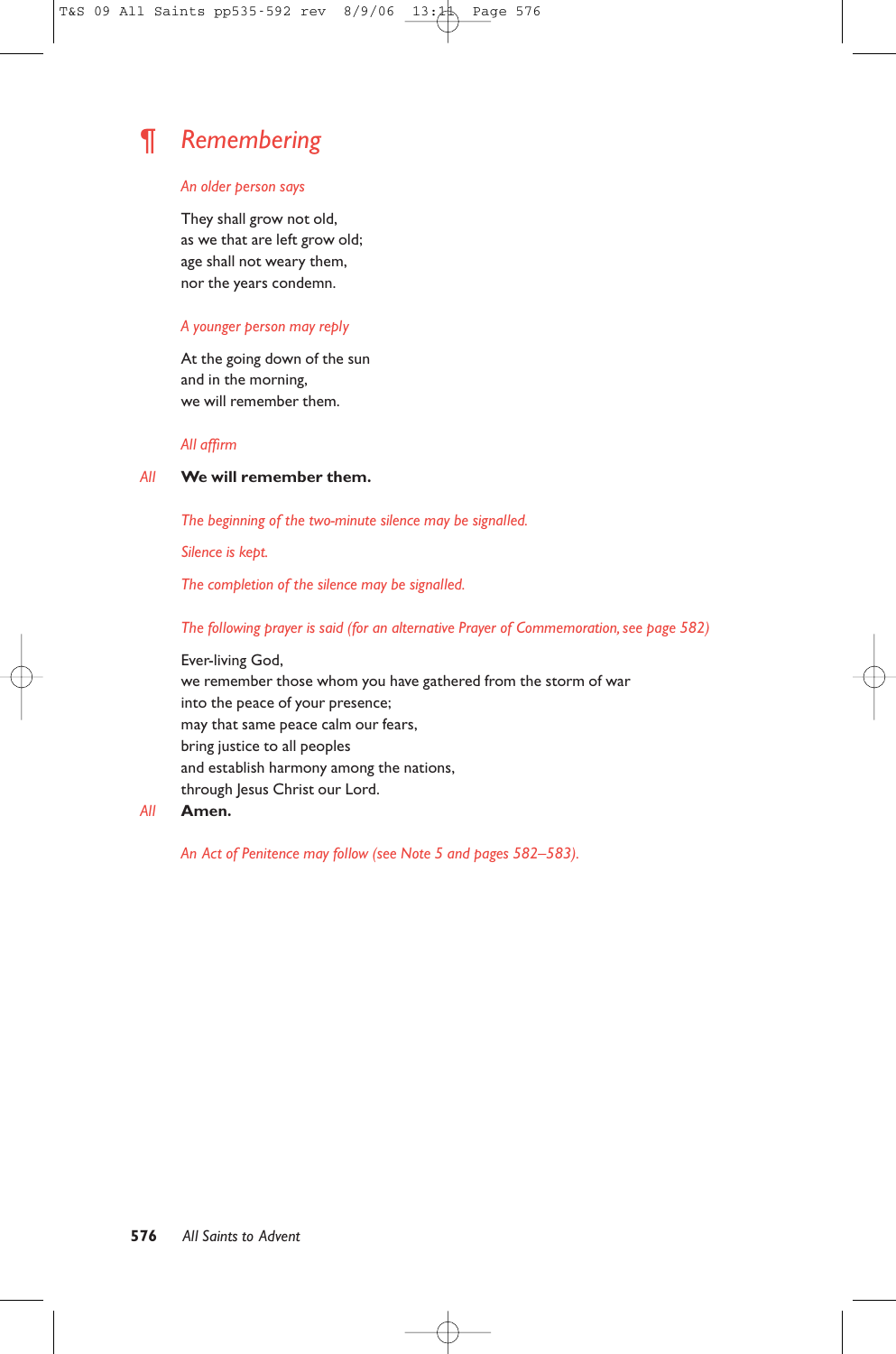# ¶ *Remembering*

#### *An older person says*

They shall grow not old, as we that are left grow old; age shall not weary them, nor the years condemn.

# *A younger person may reply*

At the going down of the sun and in the morning, we will remember them.

#### *All affirm*

## *All* **We will remember them.**

*The beginning of the two-minute silence may be signalled.*

*Silence is kept.*

*The completion of the silence may be signalled.*

*The following prayer is said (for an alternative Prayer of Commemoration, see page 582)*

Ever-living God, we remember those whom you have gathered from the storm of war into the peace of your presence; may that same peace calm our fears, bring justice to all peoples and establish harmony among the nations, through Jesus Christ our Lord.

## *All* **Amen.**

*An Act of Penitence may follow (see Note 5 and pages 582–583).*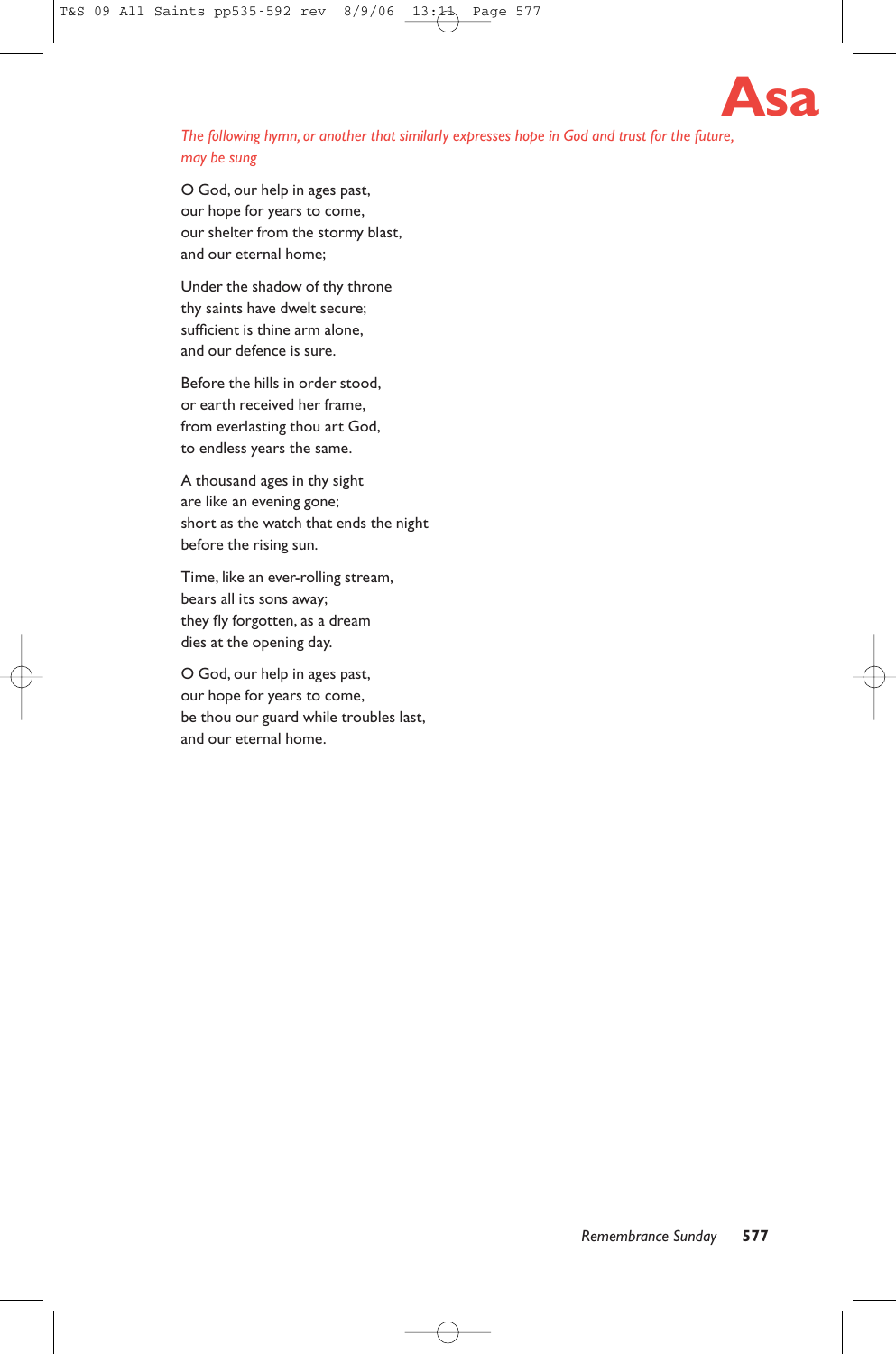

# *The following hymn, or another that similarly expresses hope in God and trust for the future, may be sung*

O God, our help in ages past, our hope for years to come, our shelter from the stormy blast, and our eternal home;

Under the shadow of thy throne thy saints have dwelt secure; sufficient is thine arm alone, and our defence is sure.

Before the hills in order stood, or earth received her frame, from everlasting thou art God, to endless years the same.

A thousand ages in thy sight are like an evening gone; short as the watch that ends the night before the rising sun.

Time, like an ever-rolling stream, bears all its sons away; they fly forgotten, as a dream dies at the opening day.

O God, our help in ages past, our hope for years to come, be thou our guard while troubles last, and our eternal home.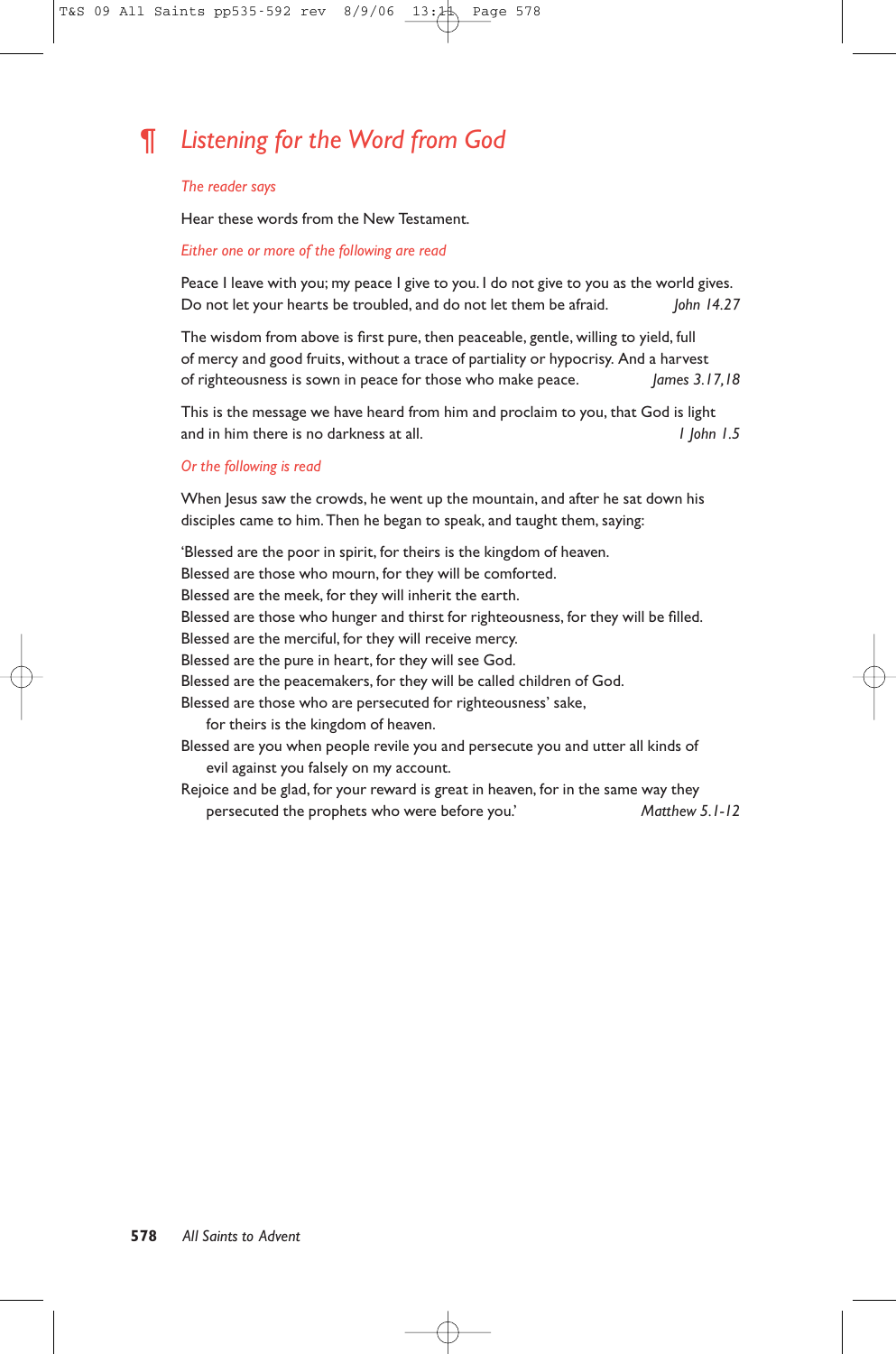# ¶ *Listening for the Word from God*

#### *The reader says*

Hear these words from the New Testament.

#### *Either one or more of the following are read*

Peace I leave with you; my peace I give to you. I do not give to you as the world gives. Do not let your hearts be troubled, and do not let them be afraid. *John 14.27*

The wisdom from above is first pure, then peaceable, gentle, willing to yield, full of mercy and good fruits, without a trace of partiality or hypocrisy. And a harvest of righteousness is sown in peace for those who make peace. *James 3.17,18*

This is the message we have heard from him and proclaim to you, that God is light and in him there is no darkness at all. *1 John 1.5*

#### *Or the following is read*

When Jesus saw the crowds, he went up the mountain, and after he sat down his disciples came to him.Then he began to speak, and taught them, saying:

'Blessed are the poor in spirit, for theirs is the kingdom of heaven. Blessed are those who mourn, for they will be comforted. Blessed are the meek, for they will inherit the earth. Blessed are those who hunger and thirst for righteousness, for they will be filled. Blessed are the merciful, for they will receive mercy. Blessed are the pure in heart, for they will see God. Blessed are the peacemakers, for they will be called children of God. Blessed are those who are persecuted for righteousness' sake, for theirs is the kingdom of heaven. Blessed are you when people revile you and persecute you and utter all kinds of evil against you falsely on my account.

Rejoice and be glad, for your reward is great in heaven, for in the same way they persecuted the prophets who were before you.' *Matthew 5.1-12*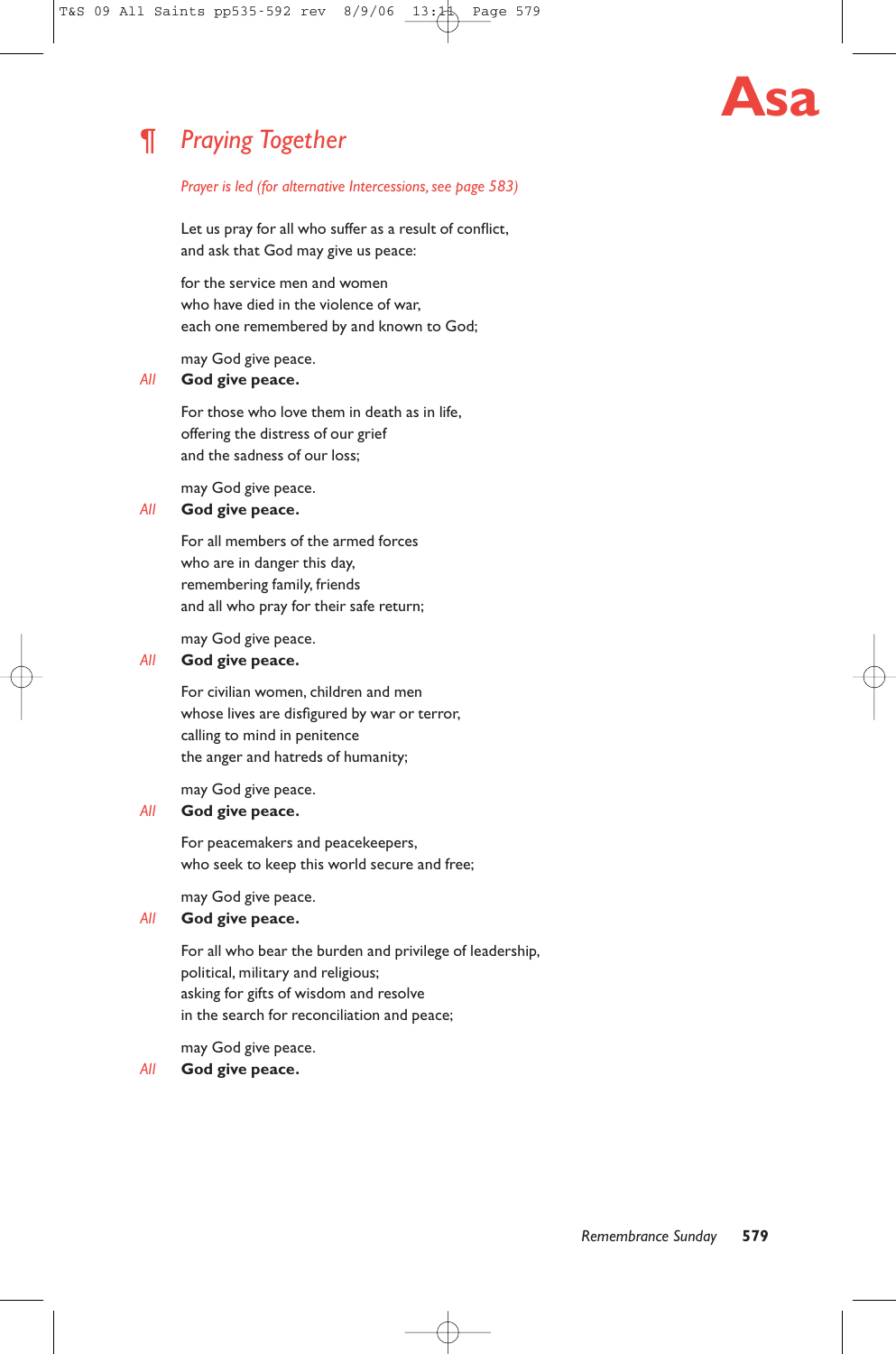# ¶ *Praying Together*

# **Asa**

#### *Prayer is led (for alternative Intercessions, see page 583)*

Let us pray for all who suffer as a result of conflict, and ask that God may give us peace:

for the service men and women who have died in the violence of war, each one remembered by and known to God;

may God give peace.

# *All* **God give peace.**

For those who love them in death as in life, offering the distress of our grief and the sadness of our loss;

may God give peace.

# *All* **God give peace.**

For all members of the armed forces who are in danger this day, remembering family, friends and all who pray for their safe return;

may God give peace.

## *All* **God give peace.**

For civilian women, children and men whose lives are disfigured by war or terror, calling to mind in penitence the anger and hatreds of humanity;

may God give peace.

# *All* **God give peace.**

For peacemakers and peacekeepers, who seek to keep this world secure and free;

may God give peace.

## *All* **God give peace.**

For all who bear the burden and privilege of leadership, political, military and religious; asking for gifts of wisdom and resolve in the search for reconciliation and peace;

may God give peace.

#### *All* **God give peace.**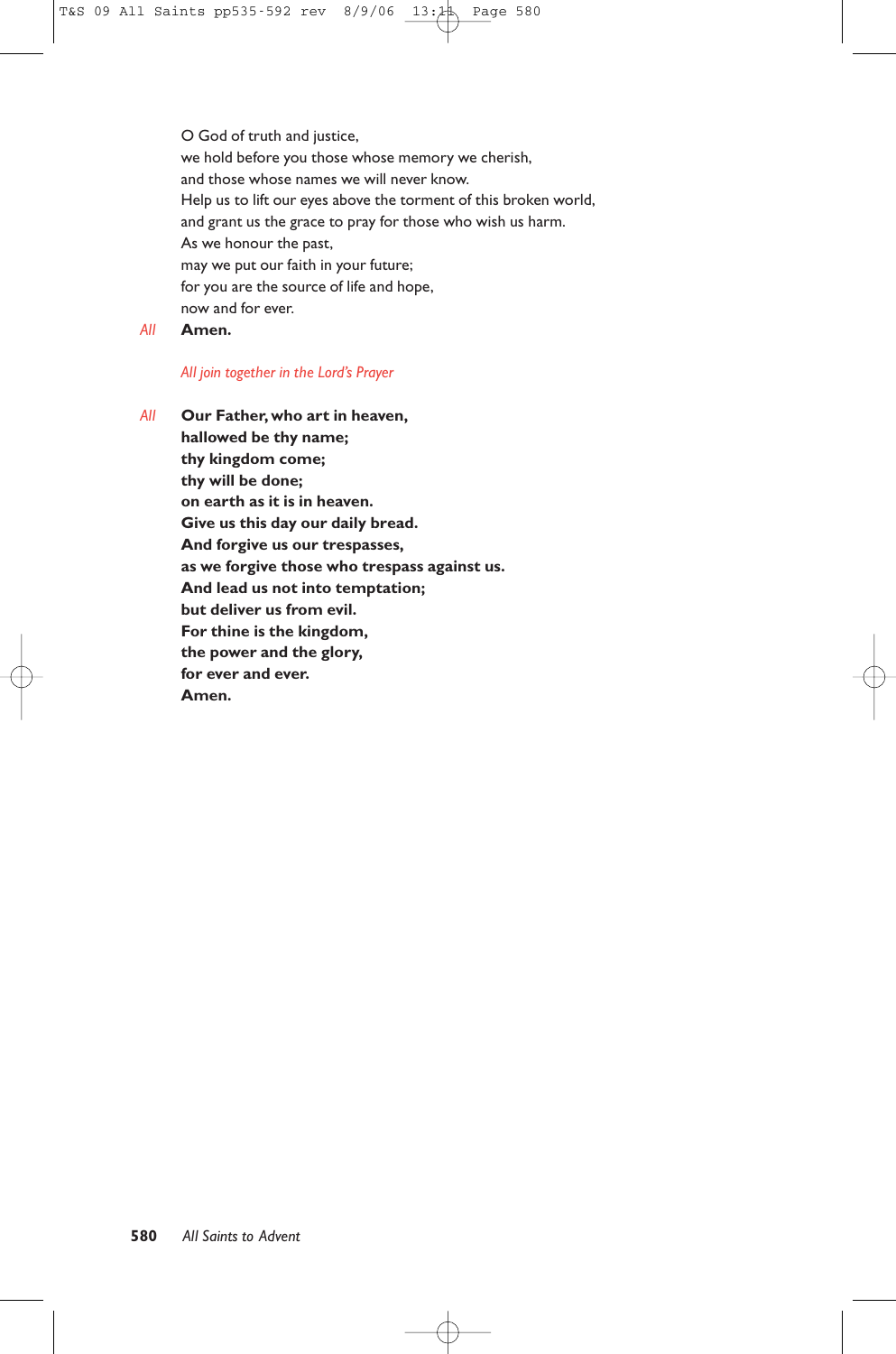O God of truth and justice, we hold before you those whose memory we cherish, and those whose names we will never know. Help us to lift our eyes above the torment of this broken world, and grant us the grace to pray for those who wish us harm. As we honour the past, may we put our faith in your future; for you are the source of life and hope, now and for ever.

*All* **Amen.**

#### *All join together in the Lord's Prayer*

*All* **Our Father, who art in heaven, hallowed be thy name; thy kingdom come; thy will be done; on earth as it is in heaven. Give us this day our daily bread. And forgive us our trespasses, as we forgive those who trespass against us. And lead us not into temptation; but deliver us from evil. For thine is the kingdom, the power and the glory, for ever and ever. Amen.**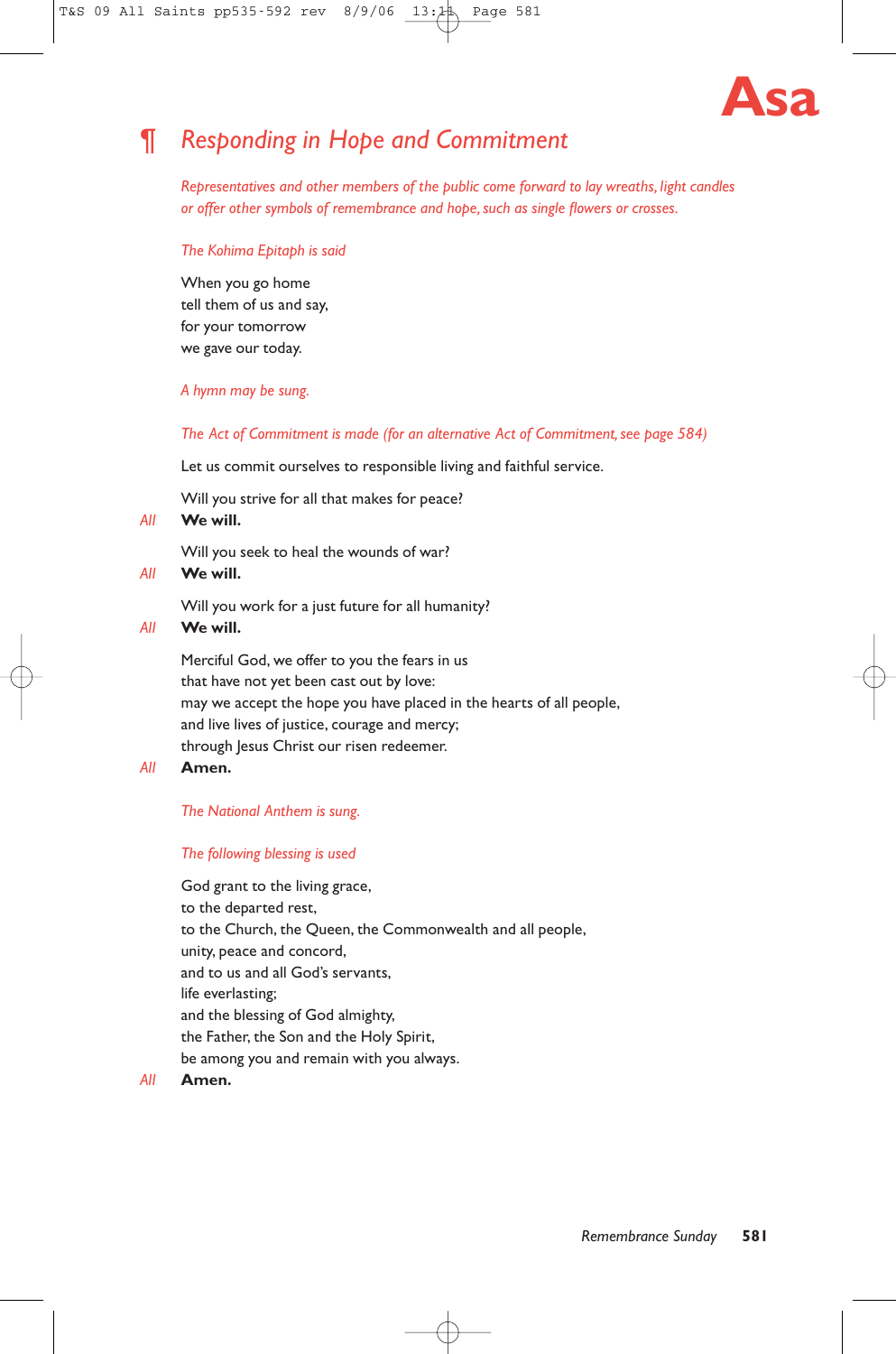

# ¶ *Responding in Hope and Commitment*

*Representatives and other members of the public come forward to lay wreaths, light candles or offer other symbols of remembrance and hope, such as single flowers or crosses.*

#### *The Kohima Epitaph is said*

When you go home tell them of us and say, for your tomorrow we gave our today.

## *A hymn may be sung.*

*The Act of Commitment is made (for an alternative Act of Commitment, see page 584)*

Let us commit ourselves to responsible living and faithful service.

Will you strive for all that makes for peace?

#### *All* **We will.**

Will you seek to heal the wounds of war?

#### *All* **We will.**

Will you work for a just future for all humanity?

#### *All* **We will.**

Merciful God, we offer to you the fears in us that have not yet been cast out by love: may we accept the hope you have placed in the hearts of all people, and live lives of justice, courage and mercy; through Jesus Christ our risen redeemer.

#### *All* **Amen.**

#### *The National Anthem is sung.*

#### *The following blessing is used*

God grant to the living grace, to the departed rest, to the Church, the Queen, the Commonwealth and all people, unity, peace and concord, and to us and all God's servants, life everlasting; and the blessing of God almighty, the Father, the Son and the Holy Spirit, be among you and remain with you always.

#### *All* **Amen.**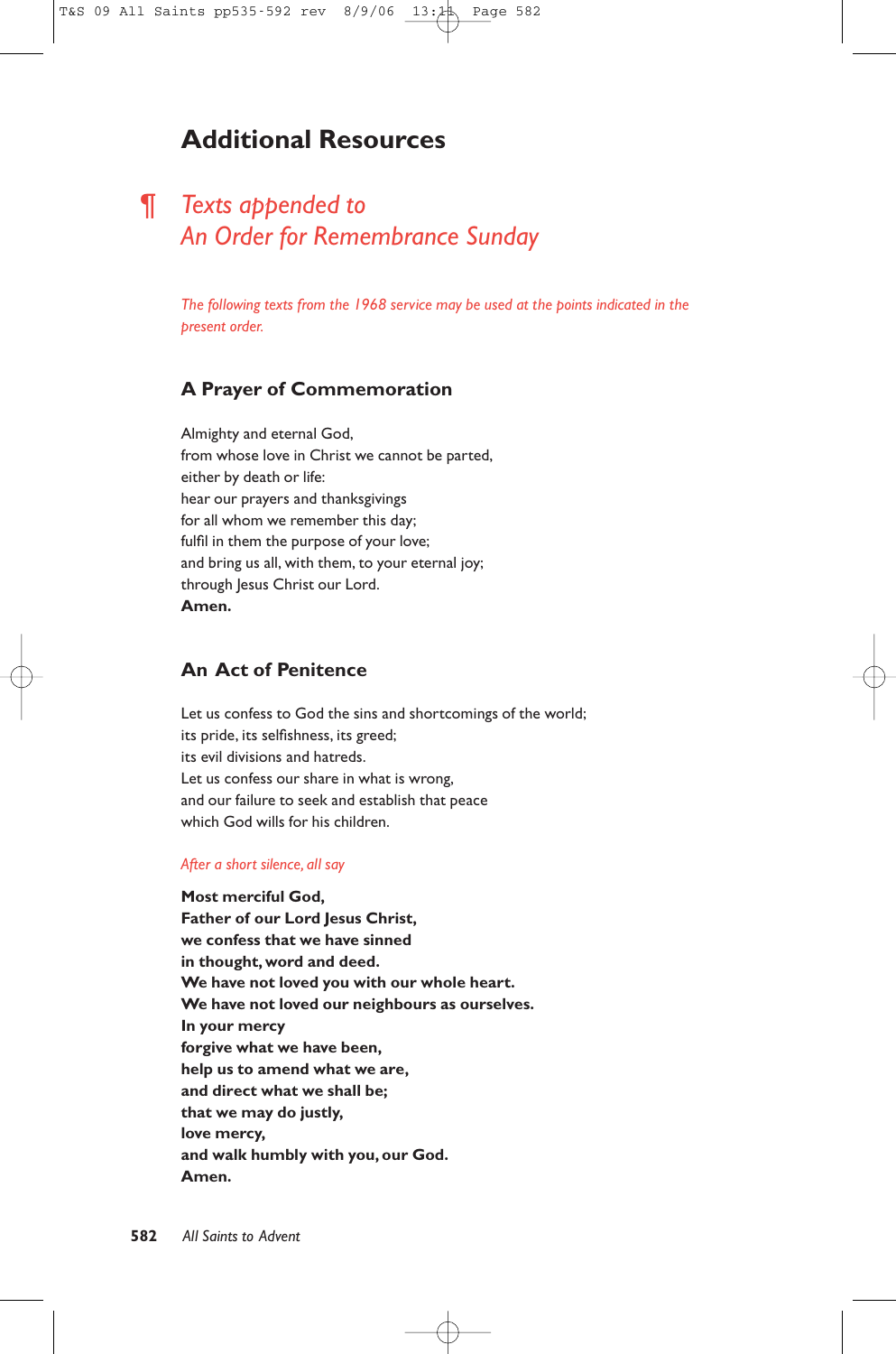# **Additional Resources**

# ¶ *Texts appended to An Order for Remembrance Sunday*

*The following texts from the 1968 service may be used at the points indicated in the present order.*

# **A Prayer of Commemoration**

Almighty and eternal God, from whose love in Christ we cannot be parted, either by death or life: hear our prayers and thanksgivings for all whom we remember this day; fulfil in them the purpose of your love; and bring us all, with them, to your eternal joy; through Jesus Christ our Lord. **Amen.**

# **An Act of Penitence**

Let us confess to God the sins and shortcomings of the world; its pride, its selfishness, its greed; its evil divisions and hatreds. Let us confess our share in what is wrong, and our failure to seek and establish that peace which God wills for his children.

#### *After a short silence, all say*

**Most merciful God, Father of our Lord Jesus Christ, we confess that we have sinned in thought, word and deed. We have not loved you with our whole heart. We have not loved our neighbours as ourselves. In your mercy forgive what we have been, help us to amend what we are, and direct what we shall be; that we may do justly, love mercy, and walk humbly with you, our God. Amen.**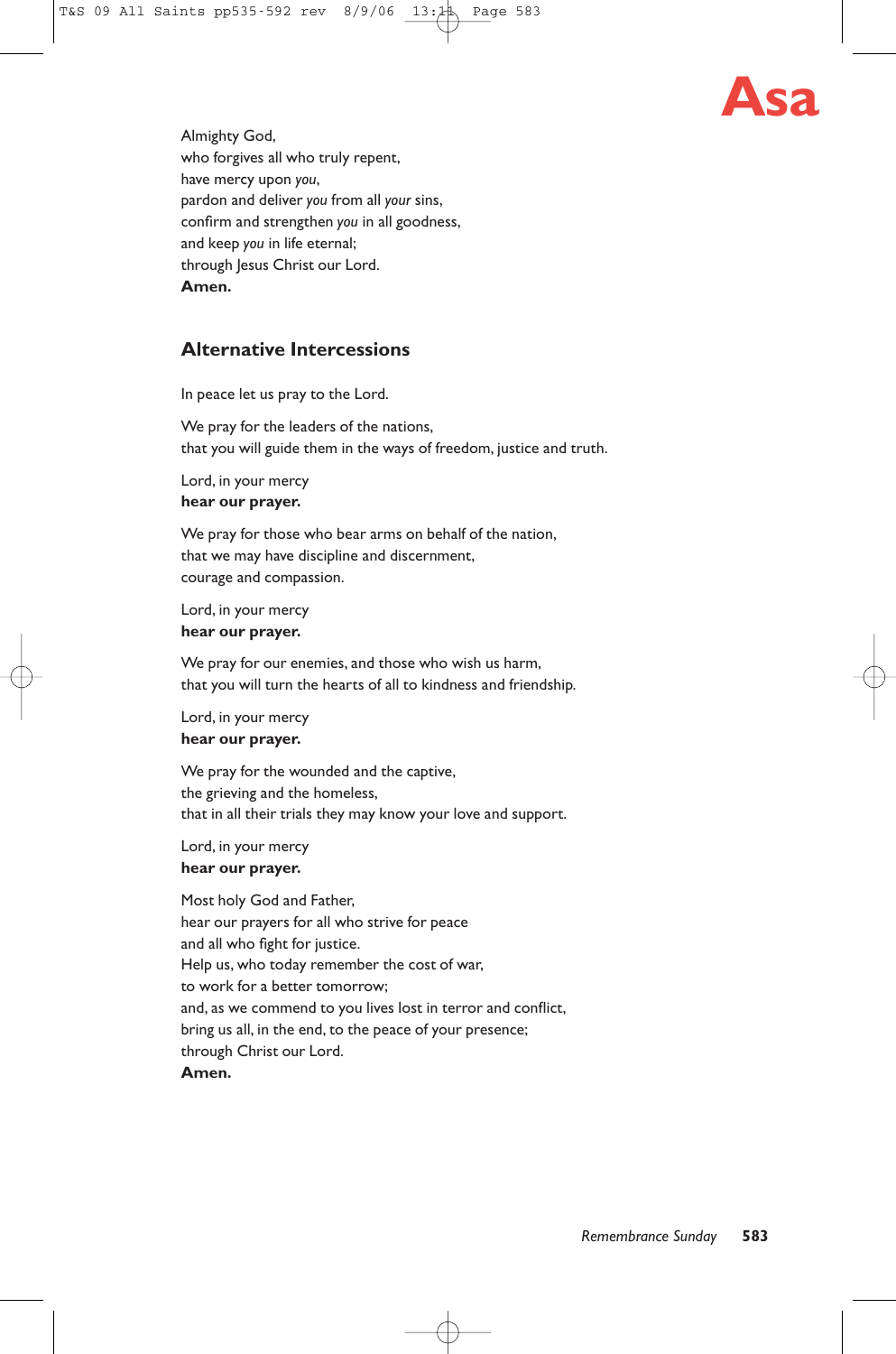

Almighty God, who forgives all who truly repent, have mercy upon *you*, pardon and deliver *you* from all *your* sins, confirm and strengthen *you* in all goodness, and keep *you* in life eternal; through Jesus Christ our Lord. **Amen.**

# **Alternative Intercessions**

In peace let us pray to the Lord.

We pray for the leaders of the nations, that you will guide them in the ways of freedom, justice and truth.

Lord, in your mercy **hear our prayer.**

We pray for those who bear arms on behalf of the nation, that we may have discipline and discernment, courage and compassion.

Lord, in your mercy **hear our prayer.**

We pray for our enemies, and those who wish us harm, that you will turn the hearts of all to kindness and friendship.

Lord, in your mercy **hear our prayer.**

We pray for the wounded and the captive, the grieving and the homeless, that in all their trials they may know your love and support.

Lord, in your mercy **hear our prayer.**

Most holy God and Father, hear our prayers for all who strive for peace and all who fight for justice. Help us, who today remember the cost of war, to work for a better tomorrow; and, as we commend to you lives lost in terror and conflict, bring us all, in the end, to the peace of your presence; through Christ our Lord. **Amen.**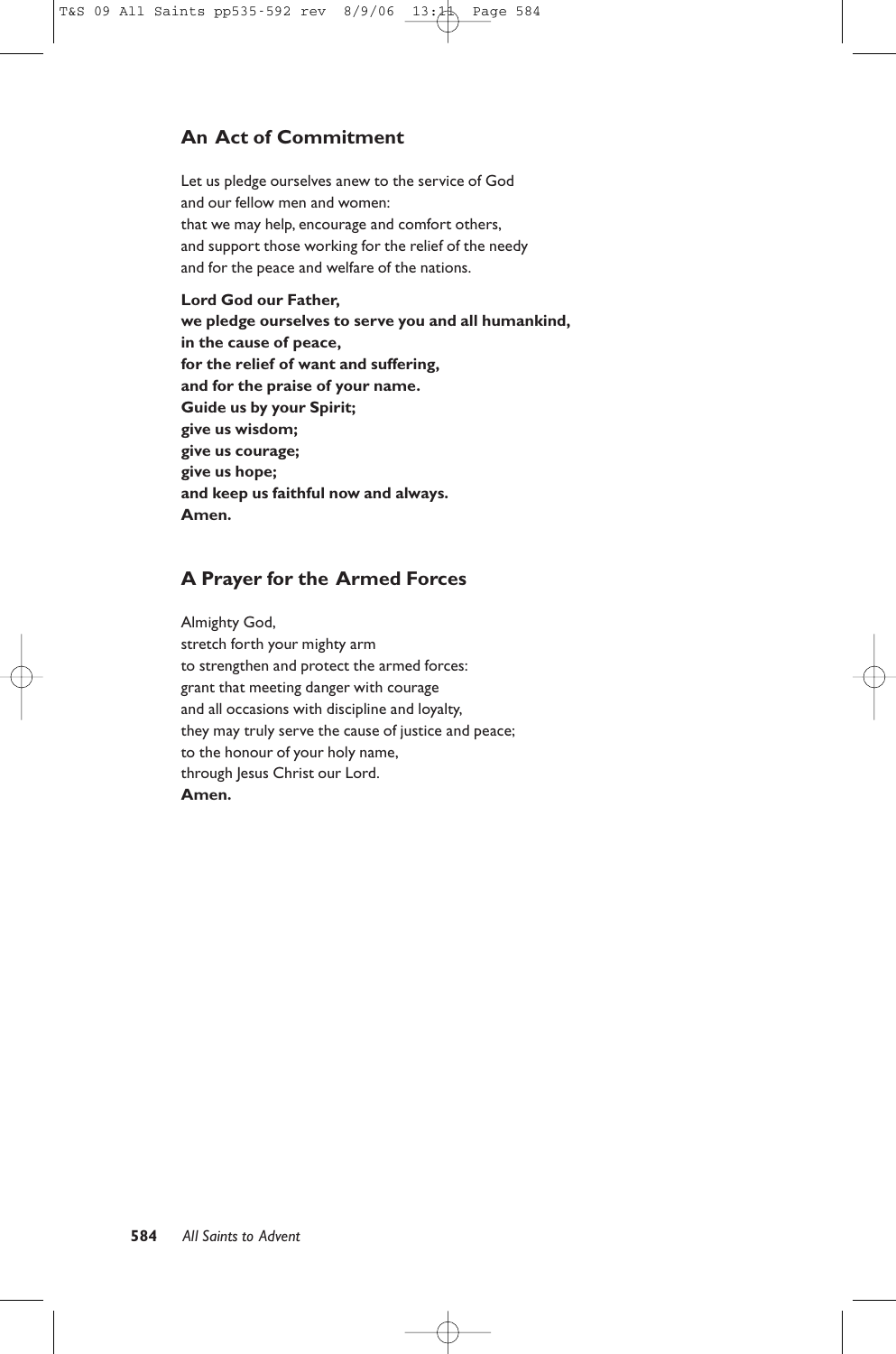# **An Act of Commitment**

Let us pledge ourselves anew to the service of God and our fellow men and women: that we may help, encourage and comfort others, and support those working for the relief of the needy and for the peace and welfare of the nations.

## **Lord God our Father,**

**we pledge ourselves to serve you and all humankind, in the cause of peace, for the relief of want and suffering, and for the praise of your name. Guide us by your Spirit; give us wisdom; give us courage; give us hope; and keep us faithful now and always. Amen.**

# **A Prayer for the Armed Forces**

Almighty God, stretch forth your mighty arm to strengthen and protect the armed forces: grant that meeting danger with courage and all occasions with discipline and loyalty, they may truly serve the cause of justice and peace; to the honour of your holy name, through Jesus Christ our Lord. **Amen.**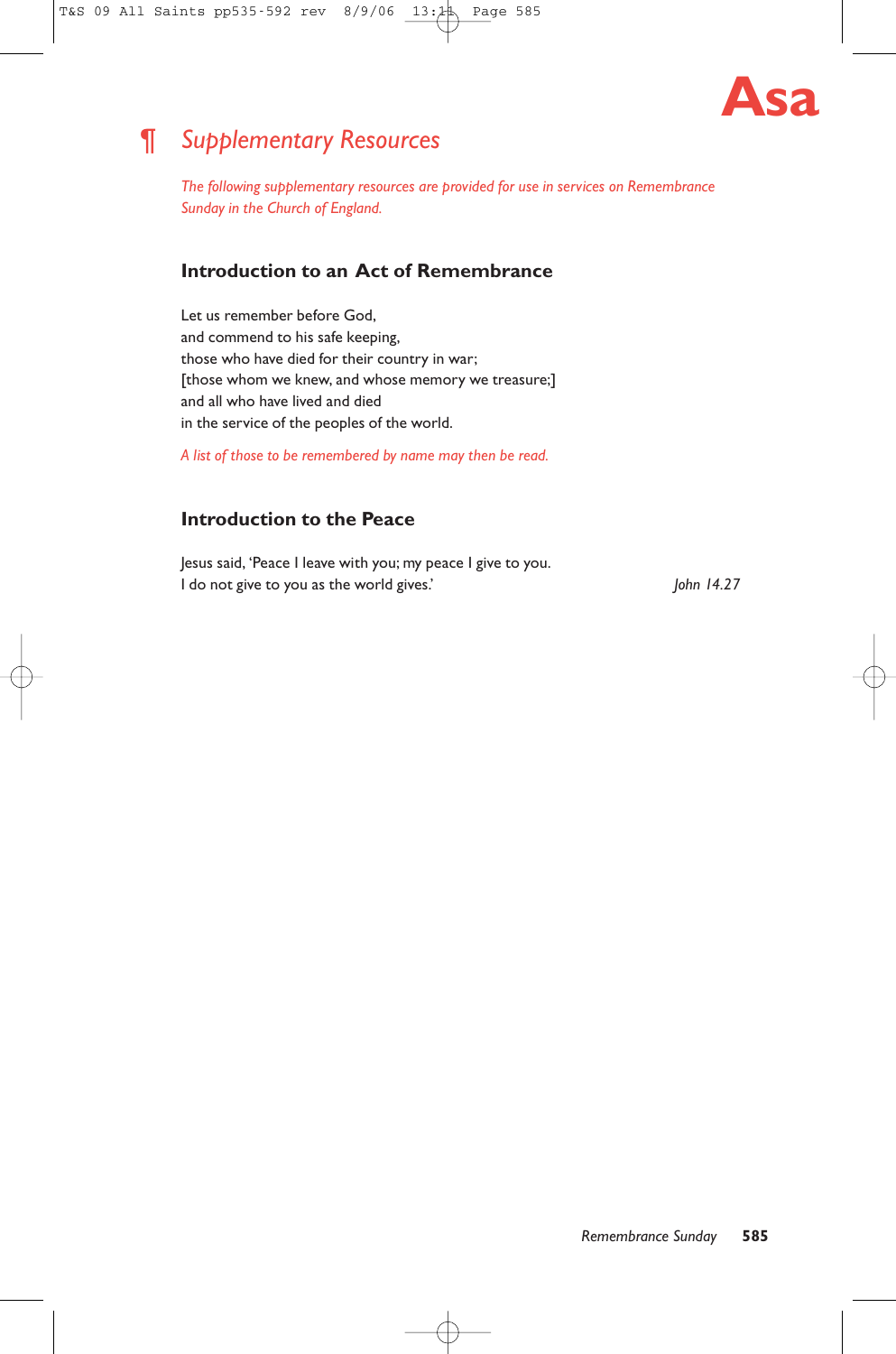

# ¶ *Supplementary Resources*

*The following supplementary resources are provided for use in services on Remembrance Sunday in the Church of England.*

# **Introduction to an Act of Remembrance**

Let us remember before God, and commend to his safe keeping, those who have died for their country in war; [those whom we knew, and whose memory we treasure;] and all who have lived and died in the service of the peoples of the world.

*A list of those to be remembered by name may then be read.*

# **Introduction to the Peace**

Jesus said, 'Peace I leave with you; my peace I give to you. I do not give to you as the world gives.' *John 14.27*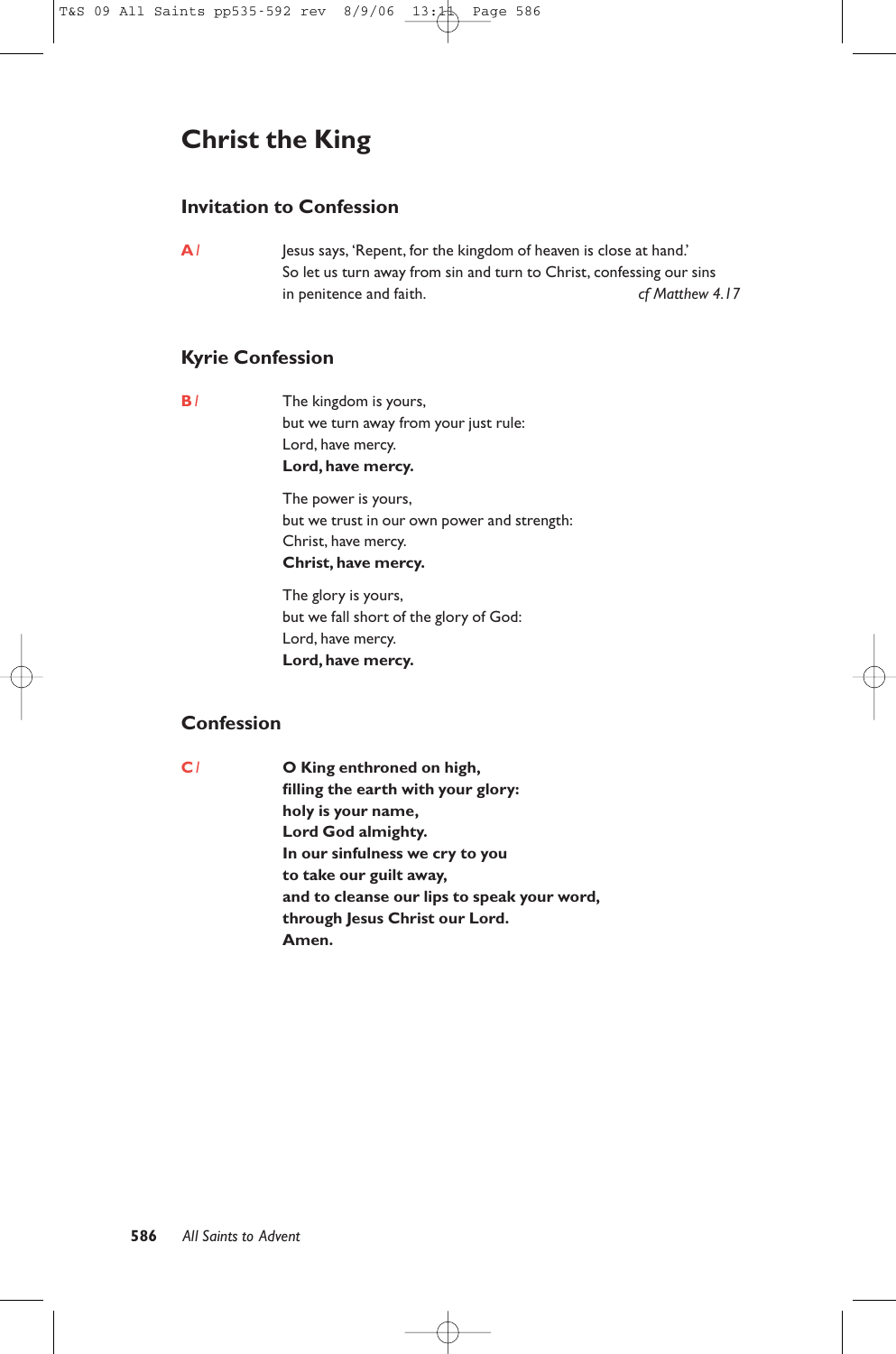# **Christ the King**

# **Invitation to Confession**

**A***1* Jesus says, 'Repent, for the kingdom of heaven is close at hand.' So let us turn away from sin and turn to Christ, confessing our sins in penitence and faith. *cf Matthew 4.17* 

# **Kyrie Confession**

**B***1* The kingdom is yours, but we turn away from your just rule: Lord, have mercy. **Lord, have mercy.**

> The power is yours, but we trust in our own power and strength: Christ, have mercy. **Christ, have mercy.**

The glory is yours, but we fall short of the glory of God: Lord, have mercy. **Lord, have mercy.**

# **Confession**

**C***1* **O King enthroned on high, filling the earth with your glory: holy is your name, Lord God almighty. In our sinfulness we cry to you to take our guilt away, and to cleanse our lips to speak your word, through Jesus Christ our Lord. Amen.**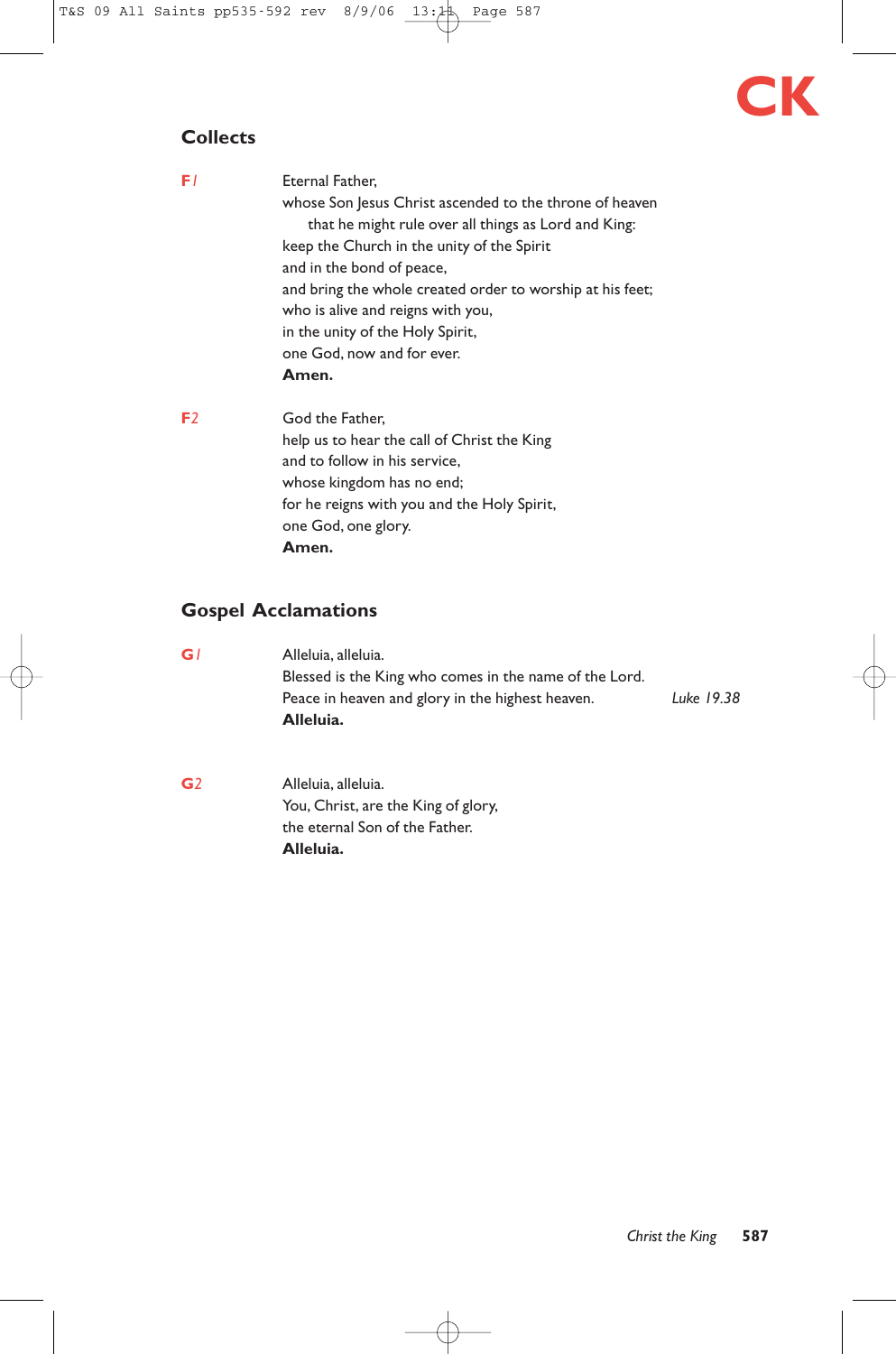# **CK**

# **Collects**

| FΙ             | Eternal Father,                                           |  |  |
|----------------|-----------------------------------------------------------|--|--|
|                | whose Son Jesus Christ ascended to the throne of heaven   |  |  |
|                | that he might rule over all things as Lord and King:      |  |  |
|                | keep the Church in the unity of the Spirit                |  |  |
|                | and in the bond of peace,                                 |  |  |
|                | and bring the whole created order to worship at his feet; |  |  |
|                | who is alive and reigns with you,                         |  |  |
|                | in the unity of the Holy Spirit,                          |  |  |
|                | one God, now and for ever.                                |  |  |
|                | Amen.                                                     |  |  |
| F <sub>2</sub> | God the Father.                                           |  |  |
|                | help us to hear the call of Christ the King               |  |  |
|                | and to follow in his service.                             |  |  |
|                | whose kingdom has no end;                                 |  |  |
|                | for he reigns with you and the Holy Spirit,               |  |  |
|                | one God, one glory.                                       |  |  |
|                | Amen.                                                     |  |  |

# **Gospel Acclamations**

- **G***1* Alleluia, alleluia. Blessed is the King who comes in the name of the Lord. Peace in heaven and glory in the highest heaven. *Luke 19.38* **Alleluia.**
- **G***2* Alleluia, alleluia. You, Christ, are the King of glory, the eternal Son of the Father. **Alleluia.**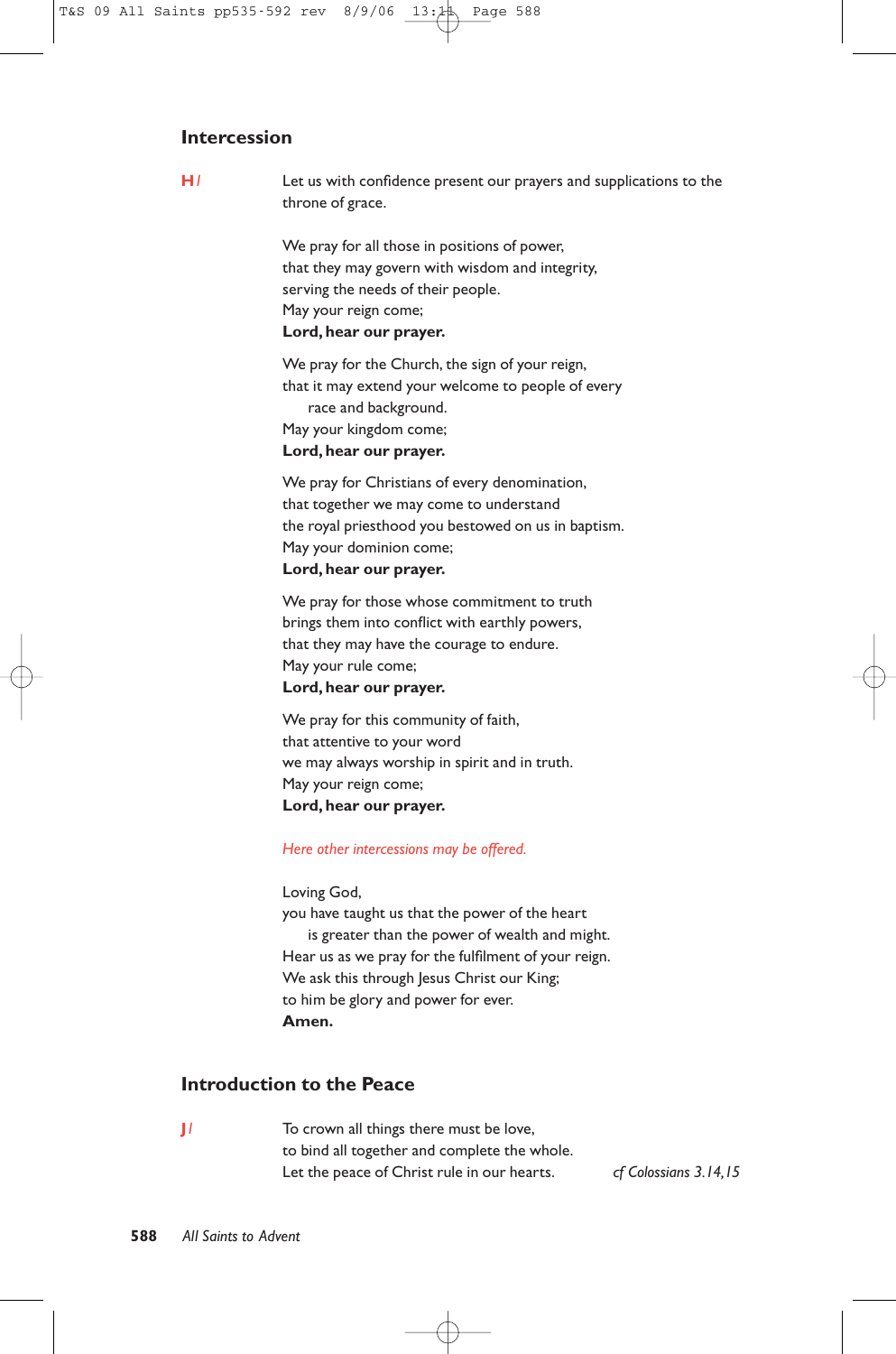# **Intercession**

**H***1* Let us with confidence present our prayers and supplications to the throne of grace.

> We pray for all those in positions of power, that they may govern with wisdom and integrity, serving the needs of their people. May your reign come; **Lord, hear our prayer.**

We pray for the Church, the sign of your reign, that it may extend your welcome to people of every race and background. May your kingdom come;

# **Lord, hear our prayer.**

We pray for Christians of every denomination, that together we may come to understand the royal priesthood you bestowed on us in baptism. May your dominion come; **Lord, hear our prayer.**

We pray for those whose commitment to truth brings them into conflict with earthly powers, that they may have the courage to endure. May your rule come; **Lord, hear our prayer.**

We pray for this community of faith, that attentive to your word we may always worship in spirit and in truth. May your reign come; **Lord, hear our prayer.**

#### *Here other intercessions may be offered.*

Loving God,

you have taught us that the power of the heart is greater than the power of wealth and might. Hear us as we pray for the fulfilment of your reign. We ask this through Jesus Christ our King; to him be glory and power for ever. **Amen.**

# **Introduction to the Peace**

**J***1* To crown all things there must be love, to bind all together and complete the whole. Let the peace of Christ rule in our hearts. *cf Colossians 3.14,15*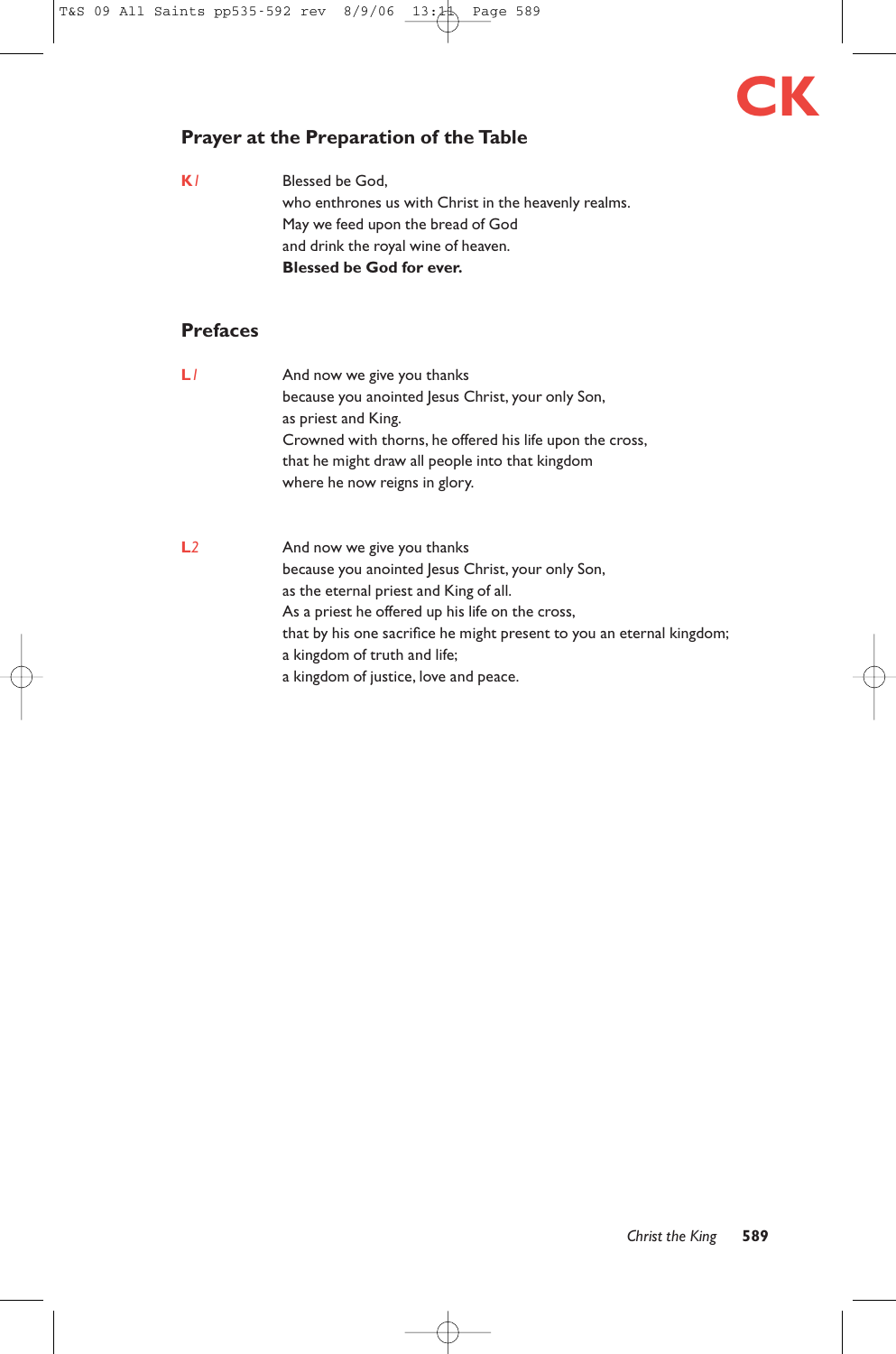# **CK**

# **Prayer at the Preparation of the Table**

**K***1* Blessed be God, who enthrones us with Christ in the heavenly realms. May we feed upon the bread of God and drink the royal wine of heaven. **Blessed be God for ever.**

# **Prefaces**

- **L***l* And now we give you thanks because you anointed Jesus Christ, your only Son, as priest and King. Crowned with thorns, he offered his life upon the cross, that he might draw all people into that kingdom where he now reigns in glory.
- **L***2* And now we give you thanks because you anointed Jesus Christ, your only Son, as the eternal priest and King of all. As a priest he offered up his life on the cross, that by his one sacrifice he might present to you an eternal kingdom; a kingdom of truth and life; a kingdom of justice, love and peace.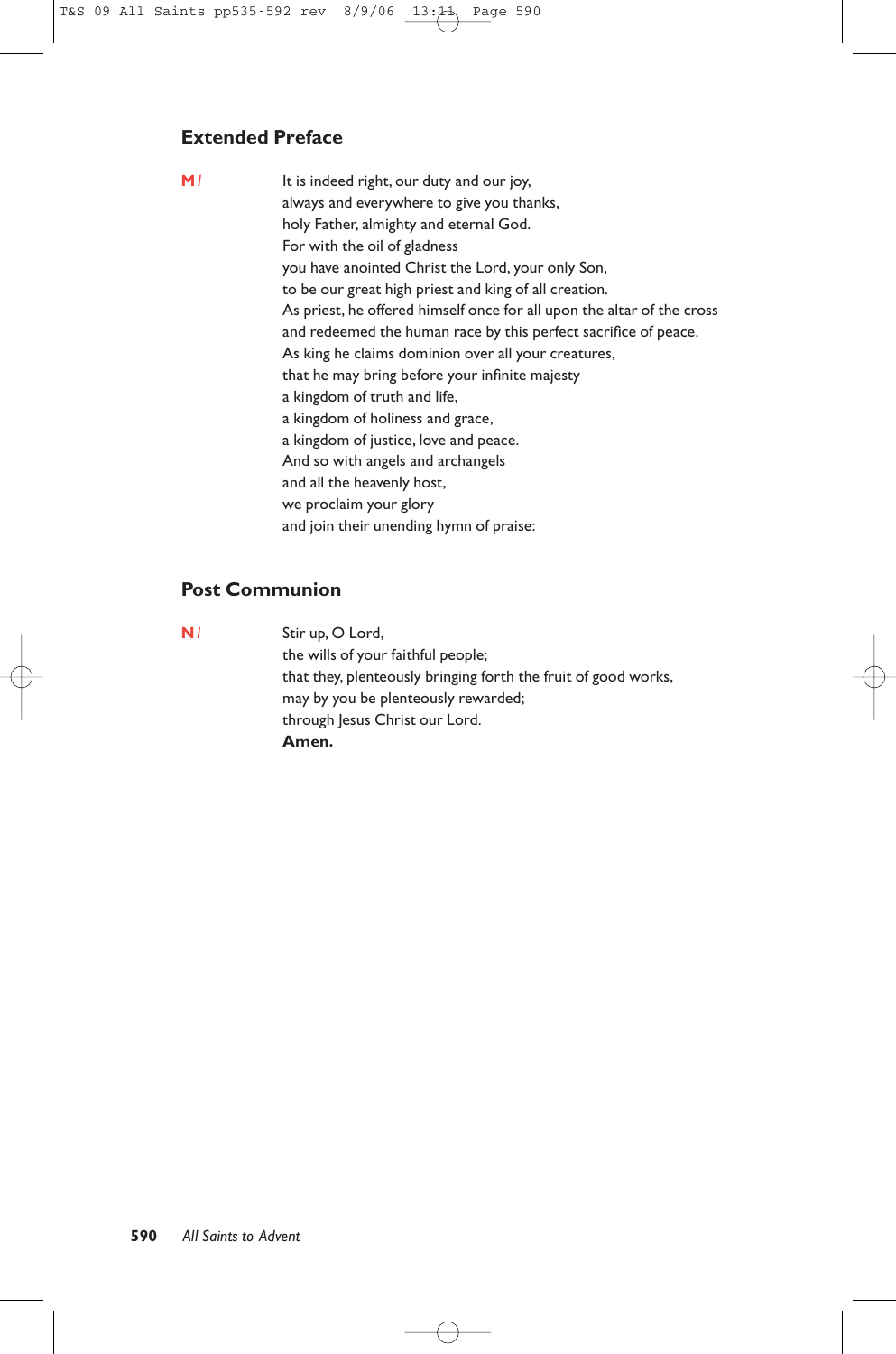# **Extended Preface**

**M***1* It is indeed right, our duty and our joy, always and everywhere to give you thanks, holy Father, almighty and eternal God. For with the oil of gladness you have anointed Christ the Lord, your only Son, to be our great high priest and king of all creation. As priest, he offered himself once for all upon the altar of the cross and redeemed the human race by this perfect sacrifice of peace. As king he claims dominion over all your creatures, that he may bring before your infinite majesty a kingdom of truth and life, a kingdom of holiness and grace, a kingdom of justice, love and peace. And so with angels and archangels and all the heavenly host, we proclaim your glory and join their unending hymn of praise:

# **Post Communion**

**N***1* Stir up, O Lord, the wills of your faithful people; that they, plenteously bringing forth the fruit of good works, may by you be plenteously rewarded; through Jesus Christ our Lord. **Amen.**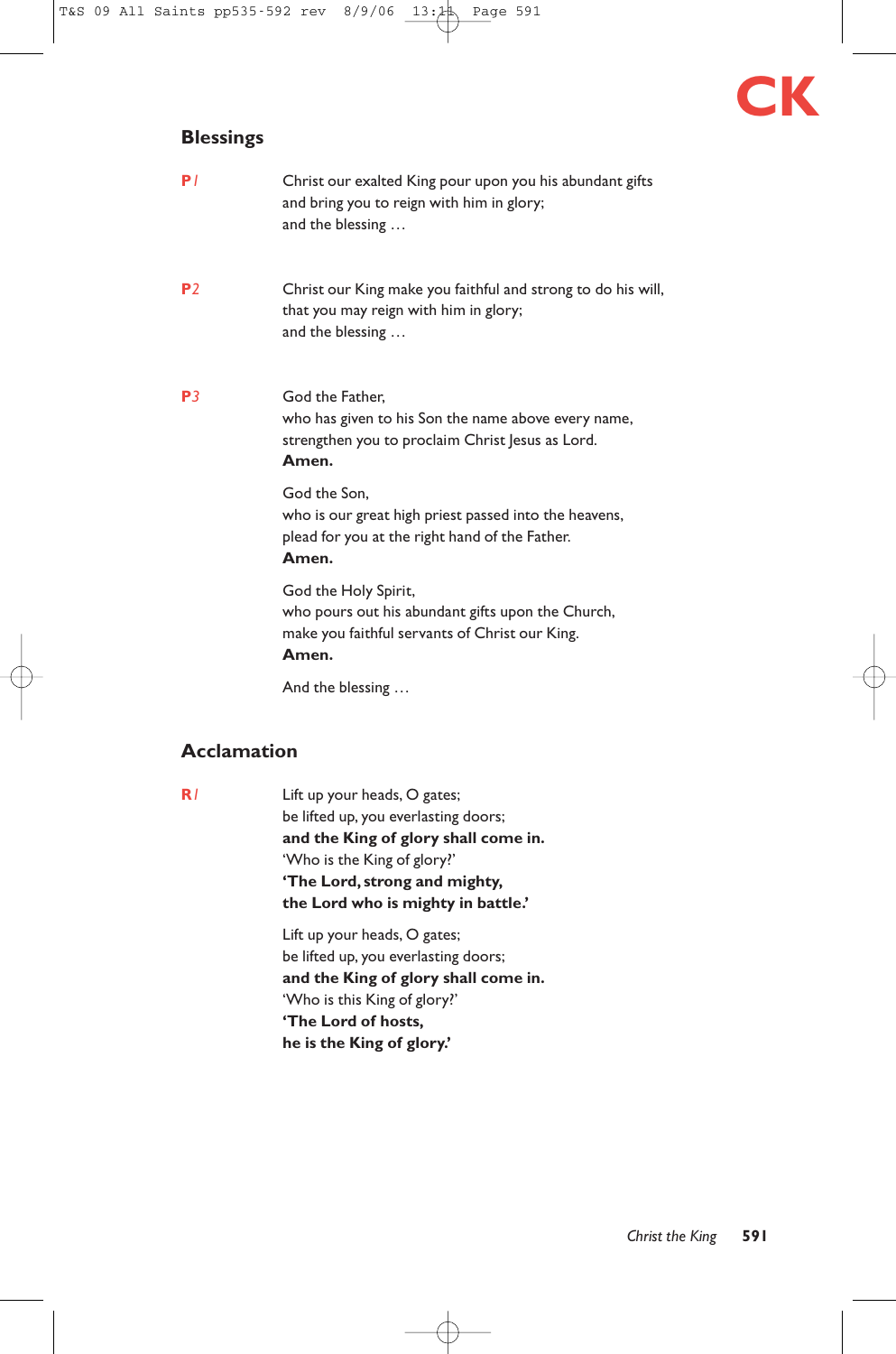# **CK**

# **Blessings**

| P/             | Christ our exalted King pour upon you his abundant gifts<br>and bring you to reign with him in glory;<br>and the blessing            |
|----------------|--------------------------------------------------------------------------------------------------------------------------------------|
| P <sub>2</sub> | Christ our King make you faithful and strong to do his will,<br>that you may reign with him in glory;<br>and the blessing            |
| P <sub>3</sub> | God the Father,<br>who has given to his Son the name above every name,<br>strengthen you to proclaim Christ Jesus as Lord.<br>Amen.  |
|                | God the Son.<br>who is our great high priest passed into the heavens,<br>plead for you at the right hand of the Father.<br>Amen.     |
|                | God the Holy Spirit,<br>who pours out his abundant gifts upon the Church,<br>make you faithful servants of Christ our King.<br>Amen. |
|                | And the blessing                                                                                                                     |

# **Acclamation**

**R***1* Lift up your heads, O gates; be lifted up, you everlasting doors; **and the King of glory shall come in.** 'Who is the King of glory?' **'The Lord, strong and mighty, the Lord who is mighty in battle.'**

> Lift up your heads, O gates; be lifted up, you everlasting doors; **and the King of glory shall come in.** 'Who is this King of glory?' **'The Lord of hosts, he is the King of glory.'**